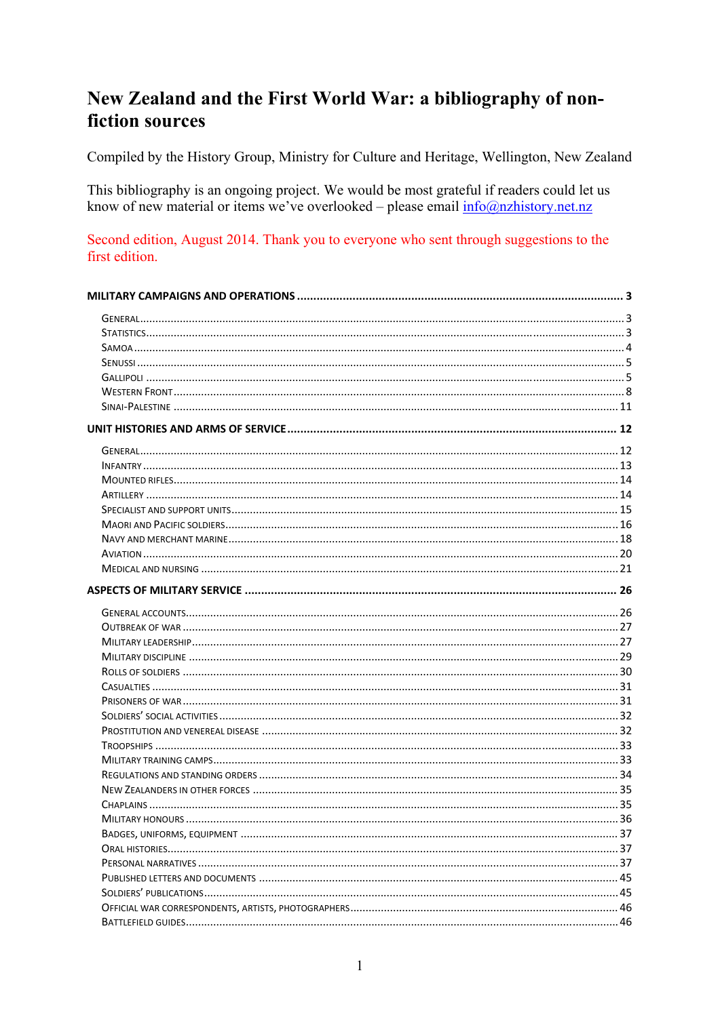# New Zealand and the First World War: a bibliography of nonfiction sources

Compiled by the History Group, Ministry for Culture and Heritage, Wellington, New Zealand

This bibliography is an ongoing project. We would be most grateful if readers could let us know of new material or items we've overlooked – please email  $info@nzhistory.net.nz$ 

#### Second edition, August 2014. Thank you to everyone who sent through suggestions to the first edition.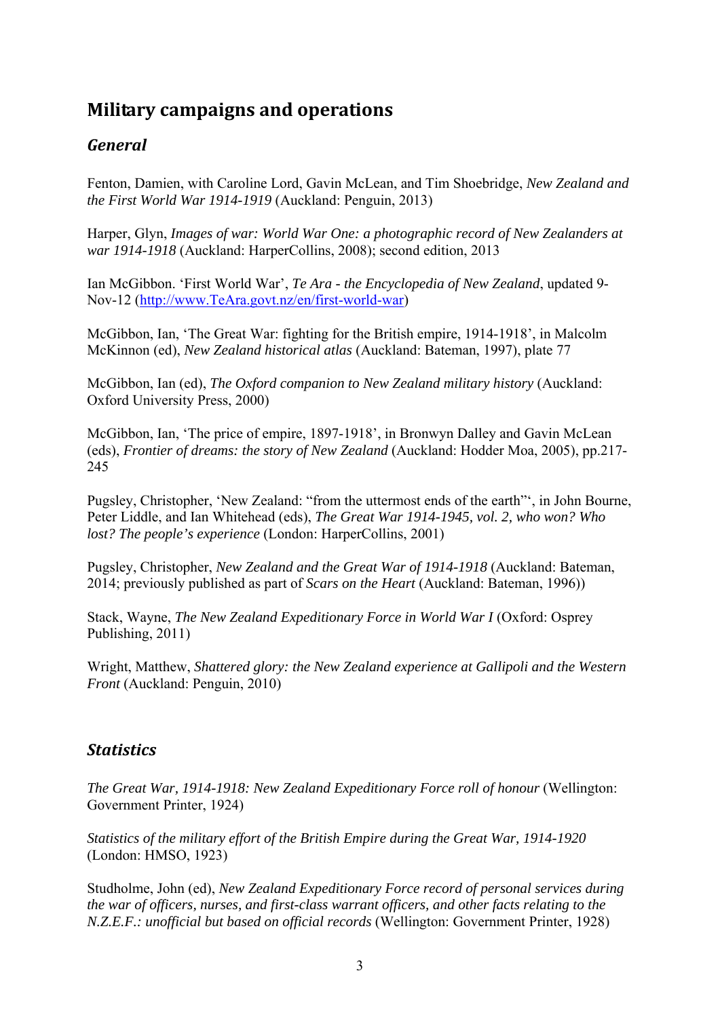# **Military campaigns and operations**

# *General*

Fenton, Damien, with Caroline Lord, Gavin McLean, and Tim Shoebridge, *New Zealand and the First World War 1914-1919* (Auckland: Penguin, 2013)

Harper, Glyn, *Images of war: World War One: a photographic record of New Zealanders at war 1914-1918* (Auckland: HarperCollins, 2008); second edition, 2013

Ian McGibbon. 'First World War', *Te Ara - the Encyclopedia of New Zealand*, updated 9- Nov-12 (http://www.TeAra.govt.nz/en/first-world-war)

McGibbon, Ian, 'The Great War: fighting for the British empire, 1914-1918', in Malcolm McKinnon (ed), *New Zealand historical atlas* (Auckland: Bateman, 1997), plate 77

McGibbon, Ian (ed), *The Oxford companion to New Zealand military history* (Auckland: Oxford University Press, 2000)

McGibbon, Ian, 'The price of empire, 1897-1918', in Bronwyn Dalley and Gavin McLean (eds), *Frontier of dreams: the story of New Zealand* (Auckland: Hodder Moa, 2005), pp.217- 245

Pugsley, Christopher, 'New Zealand: "from the uttermost ends of the earth"', in John Bourne, Peter Liddle, and Ian Whitehead (eds), *The Great War 1914-1945, vol. 2, who won? Who lost? The people's experience* (London: HarperCollins, 2001)

Pugsley, Christopher, *New Zealand and the Great War of 1914-1918* (Auckland: Bateman, 2014; previously published as part of *Scars on the Heart* (Auckland: Bateman, 1996))

Stack, Wayne, *The New Zealand Expeditionary Force in World War I* (Oxford: Osprey Publishing, 2011)

Wright, Matthew, *Shattered glory: the New Zealand experience at Gallipoli and the Western Front* (Auckland: Penguin, 2010)

## *Statistics*

*The Great War, 1914-1918: New Zealand Expeditionary Force roll of honour (Wellington:* Government Printer, 1924)

*Statistics of the military effort of the British Empire during the Great War, 1914-1920* (London: HMSO, 1923)

Studholme, John (ed), *New Zealand Expeditionary Force record of personal services during the war of officers, nurses, and first-class warrant officers, and other facts relating to the N.Z.E.F.: unofficial but based on official records* (Wellington: Government Printer, 1928)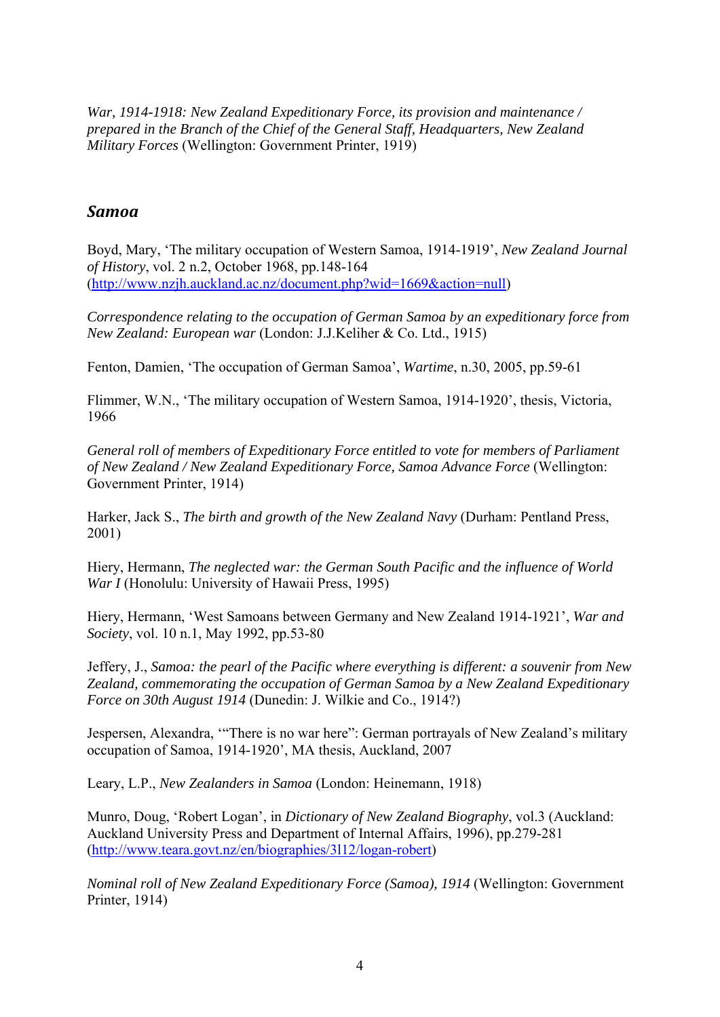*War, 1914-1918: New Zealand Expeditionary Force, its provision and maintenance / prepared in the Branch of the Chief of the General Staff, Headquarters, New Zealand Military Forces* (Wellington: Government Printer, 1919)

#### *Samoa*

Boyd, Mary, 'The military occupation of Western Samoa, 1914-1919', *New Zealand Journal of History*, vol. 2 n.2, October 1968, pp.148-164 (http://www.nzjh.auckland.ac.nz/document.php?wid=1669&action=null)

*Correspondence relating to the occupation of German Samoa by an expeditionary force from New Zealand: European war* (London: J.J.Keliher & Co. Ltd., 1915)

Fenton, Damien, 'The occupation of German Samoa', *Wartime*, n.30, 2005, pp.59-61

Flimmer, W.N., 'The military occupation of Western Samoa, 1914-1920', thesis, Victoria, 1966

*General roll of members of Expeditionary Force entitled to vote for members of Parliament of New Zealand / New Zealand Expeditionary Force, Samoa Advance Force* (Wellington: Government Printer, 1914)

Harker, Jack S., *The birth and growth of the New Zealand Navy* (Durham: Pentland Press, 2001)

Hiery, Hermann, *The neglected war: the German South Pacific and the influence of World War I* (Honolulu: University of Hawaii Press, 1995)

Hiery, Hermann, 'West Samoans between Germany and New Zealand 1914-1921', *War and Society*, vol. 10 n.1, May 1992, pp.53-80

Jeffery, J., *Samoa: the pearl of the Pacific where everything is different: a souvenir from New Zealand, commemorating the occupation of German Samoa by a New Zealand Expeditionary Force on 30th August 1914* (Dunedin: J. Wilkie and Co., 1914?)

Jespersen, Alexandra, '"There is no war here": German portrayals of New Zealand's military occupation of Samoa, 1914-1920', MA thesis, Auckland, 2007

Leary, L.P., *New Zealanders in Samoa* (London: Heinemann, 1918)

Munro, Doug, 'Robert Logan', in *Dictionary of New Zealand Biography*, vol.3 (Auckland: Auckland University Press and Department of Internal Affairs, 1996), pp.279-281 (http://www.teara.govt.nz/en/biographies/3l12/logan-robert)

*Nominal roll of New Zealand Expeditionary Force (Samoa), 1914* (Wellington: Government Printer, 1914)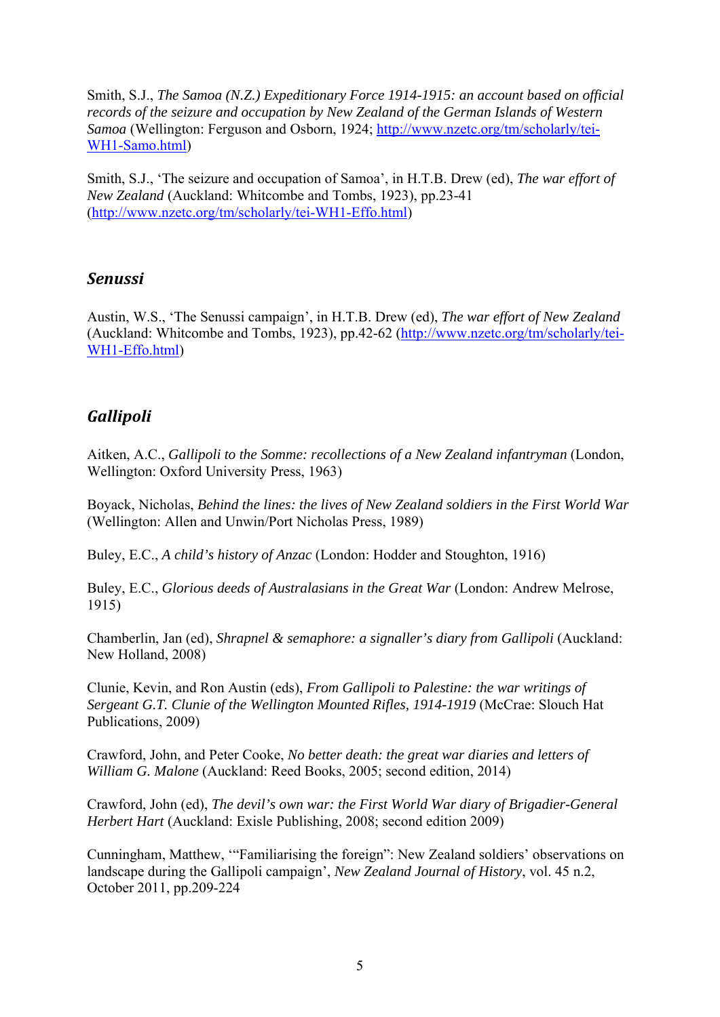Smith, S.J., *The Samoa (N.Z.) Expeditionary Force 1914-1915: an account based on official records of the seizure and occupation by New Zealand of the German Islands of Western Samoa* (Wellington: Ferguson and Osborn, 1924; http://www.nzetc.org/tm/scholarly/tei-WH1-Samo.html)

Smith, S.J., 'The seizure and occupation of Samoa', in H.T.B. Drew (ed), *The war effort of New Zealand* (Auckland: Whitcombe and Tombs, 1923), pp.23-41 (http://www.nzetc.org/tm/scholarly/tei-WH1-Effo.html)

#### *Senussi*

Austin, W.S., 'The Senussi campaign', in H.T.B. Drew (ed), *The war effort of New Zealand* (Auckland: Whitcombe and Tombs, 1923), pp.42-62 (http://www.nzetc.org/tm/scholarly/tei-WH1-Effo.html)

#### *Gallipoli*

Aitken, A.C., *Gallipoli to the Somme: recollections of a New Zealand infantryman* (London, Wellington: Oxford University Press, 1963)

Boyack, Nicholas, *Behind the lines: the lives of New Zealand soldiers in the First World War* (Wellington: Allen and Unwin/Port Nicholas Press, 1989)

Buley, E.C., *A child's history of Anzac* (London: Hodder and Stoughton, 1916)

Buley, E.C., *Glorious deeds of Australasians in the Great War* (London: Andrew Melrose, 1915)

Chamberlin, Jan (ed), *Shrapnel & semaphore: a signaller's diary from Gallipoli* (Auckland: New Holland, 2008)

Clunie, Kevin, and Ron Austin (eds), *From Gallipoli to Palestine: the war writings of Sergeant G.T. Clunie of the Wellington Mounted Rifles, 1914-1919* (McCrae: Slouch Hat Publications, 2009)

Crawford, John, and Peter Cooke, *No better death: the great war diaries and letters of William G. Malone* (Auckland: Reed Books, 2005; second edition, 2014)

Crawford, John (ed), *The devil's own war: the First World War diary of Brigadier-General Herbert Hart* (Auckland: Exisle Publishing, 2008; second edition 2009)

Cunningham, Matthew, '"Familiarising the foreign": New Zealand soldiers' observations on landscape during the Gallipoli campaign', *New Zealand Journal of History*, vol. 45 n.2, October 2011, pp.209-224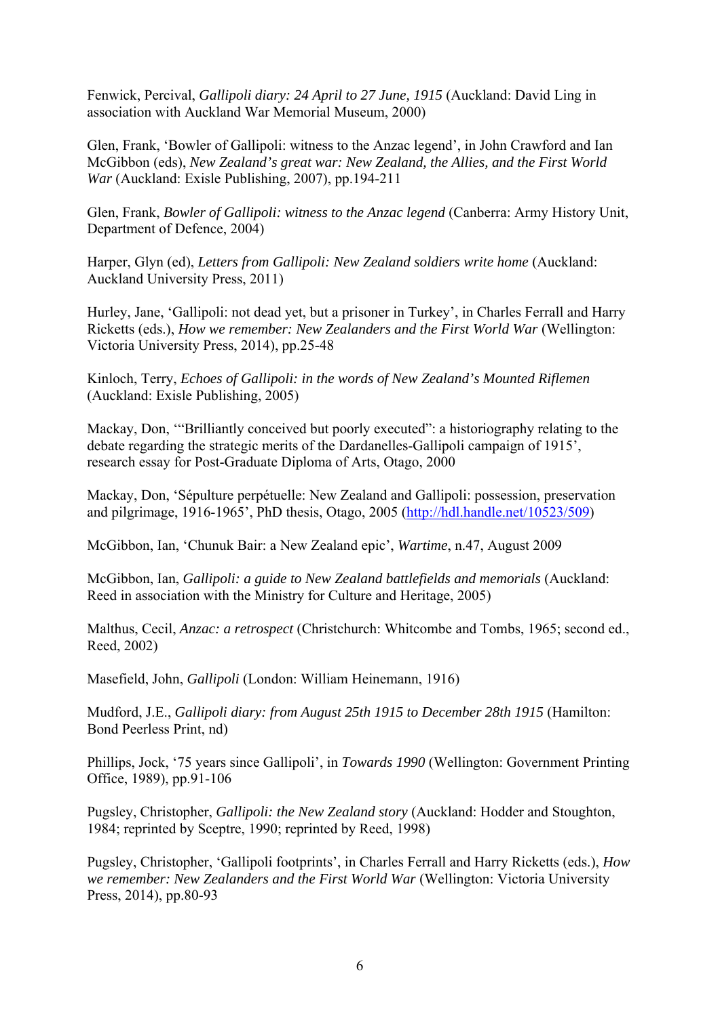Fenwick, Percival, *Gallipoli diary: 24 April to 27 June, 1915* (Auckland: David Ling in association with Auckland War Memorial Museum, 2000)

Glen, Frank, 'Bowler of Gallipoli: witness to the Anzac legend', in John Crawford and Ian McGibbon (eds), *New Zealand's great war: New Zealand, the Allies, and the First World War* (Auckland: Exisle Publishing, 2007), pp.194-211

Glen, Frank, *Bowler of Gallipoli: witness to the Anzac legend* (Canberra: Army History Unit, Department of Defence, 2004)

Harper, Glyn (ed), *Letters from Gallipoli: New Zealand soldiers write home* (Auckland: Auckland University Press, 2011)

Hurley, Jane, 'Gallipoli: not dead yet, but a prisoner in Turkey', in Charles Ferrall and Harry Ricketts (eds.), *How we remember: New Zealanders and the First World War* (Wellington: Victoria University Press, 2014), pp.25-48

Kinloch, Terry, *Echoes of Gallipoli: in the words of New Zealand's Mounted Riflemen* (Auckland: Exisle Publishing, 2005)

Mackay, Don, "Brilliantly conceived but poorly executed": a historiography relating to the debate regarding the strategic merits of the Dardanelles-Gallipoli campaign of 1915', research essay for Post-Graduate Diploma of Arts, Otago, 2000

Mackay, Don, 'Sépulture perpétuelle: New Zealand and Gallipoli: possession, preservation and pilgrimage, 1916-1965', PhD thesis, Otago, 2005 (http://hdl.handle.net/10523/509)

McGibbon, Ian, 'Chunuk Bair: a New Zealand epic', *Wartime*, n.47, August 2009

McGibbon, Ian, *Gallipoli: a guide to New Zealand battlefields and memorials* (Auckland: Reed in association with the Ministry for Culture and Heritage, 2005)

Malthus, Cecil, *Anzac: a retrospect* (Christchurch: Whitcombe and Tombs, 1965; second ed., Reed, 2002)

Masefield, John, *Gallipoli* (London: William Heinemann, 1916)

Mudford, J.E., *Gallipoli diary: from August 25th 1915 to December 28th 1915* (Hamilton: Bond Peerless Print, nd)

Phillips, Jock, '75 years since Gallipoli', in *Towards 1990* (Wellington: Government Printing Office, 1989), pp.91-106

Pugsley, Christopher, *Gallipoli: the New Zealand story* (Auckland: Hodder and Stoughton, 1984; reprinted by Sceptre, 1990; reprinted by Reed, 1998)

Pugsley, Christopher, 'Gallipoli footprints', in Charles Ferrall and Harry Ricketts (eds.), *How we remember: New Zealanders and the First World War* (Wellington: Victoria University Press, 2014), pp.80-93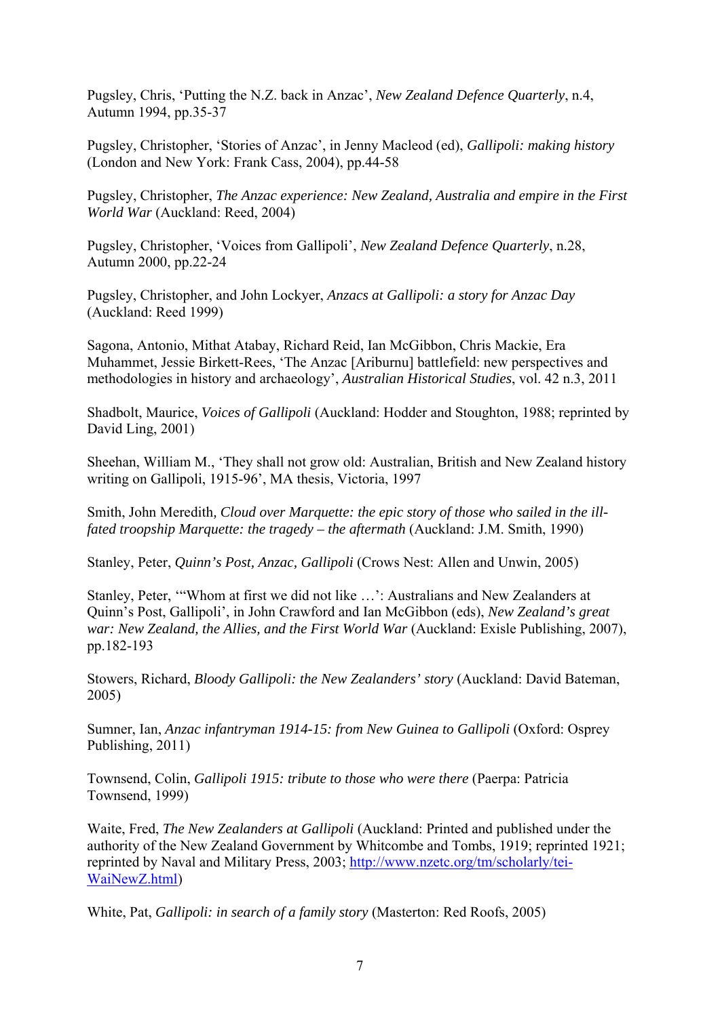Pugsley, Chris, 'Putting the N.Z. back in Anzac', *New Zealand Defence Quarterly*, n.4, Autumn 1994, pp.35-37

Pugsley, Christopher, 'Stories of Anzac', in Jenny Macleod (ed), *Gallipoli: making history* (London and New York: Frank Cass, 2004), pp.44-58

Pugsley, Christopher, *The Anzac experience: New Zealand, Australia and empire in the First World War* (Auckland: Reed, 2004)

Pugsley, Christopher, 'Voices from Gallipoli', *New Zealand Defence Quarterly*, n.28, Autumn 2000, pp.22-24

Pugsley, Christopher, and John Lockyer, *Anzacs at Gallipoli: a story for Anzac Day* (Auckland: Reed 1999)

Sagona, Antonio, Mithat Atabay, Richard Reid, Ian McGibbon, Chris Mackie, Era Muhammet, Jessie Birkett-Rees, 'The Anzac [Ariburnu] battlefield: new perspectives and methodologies in history and archaeology', *Australian Historical Studies*, vol. 42 n.3, 2011

Shadbolt, Maurice, *Voices of Gallipoli* (Auckland: Hodder and Stoughton, 1988; reprinted by David Ling, 2001)

Sheehan, William M., 'They shall not grow old: Australian, British and New Zealand history writing on Gallipoli, 1915-96', MA thesis, Victoria, 1997

Smith, John Meredith*, Cloud over Marquette: the epic story of those who sailed in the illfated troopship Marquette: the tragedy – the aftermath (Auckland: J.M. Smith, 1990)* 

Stanley, Peter, *Quinn's Post, Anzac, Gallipoli* (Crows Nest: Allen and Unwin, 2005)

Stanley, Peter, '"Whom at first we did not like …': Australians and New Zealanders at Quinn's Post, Gallipoli', in John Crawford and Ian McGibbon (eds), *New Zealand's great war: New Zealand, the Allies, and the First World War* (Auckland: Exisle Publishing, 2007), pp.182-193

Stowers, Richard, *Bloody Gallipoli: the New Zealanders' story* (Auckland: David Bateman, 2005)

Sumner, Ian, *Anzac infantryman 1914-15: from New Guinea to Gallipoli* (Oxford: Osprey Publishing, 2011)

Townsend, Colin, *Gallipoli 1915: tribute to those who were there* (Paerpa: Patricia Townsend, 1999)

Waite, Fred, *The New Zealanders at Gallipoli* (Auckland: Printed and published under the authority of the New Zealand Government by Whitcombe and Tombs, 1919; reprinted 1921; reprinted by Naval and Military Press, 2003; http://www.nzetc.org/tm/scholarly/tei-WaiNewZ.html)

White, Pat, *Gallipoli: in search of a family story* (Masterton: Red Roofs, 2005)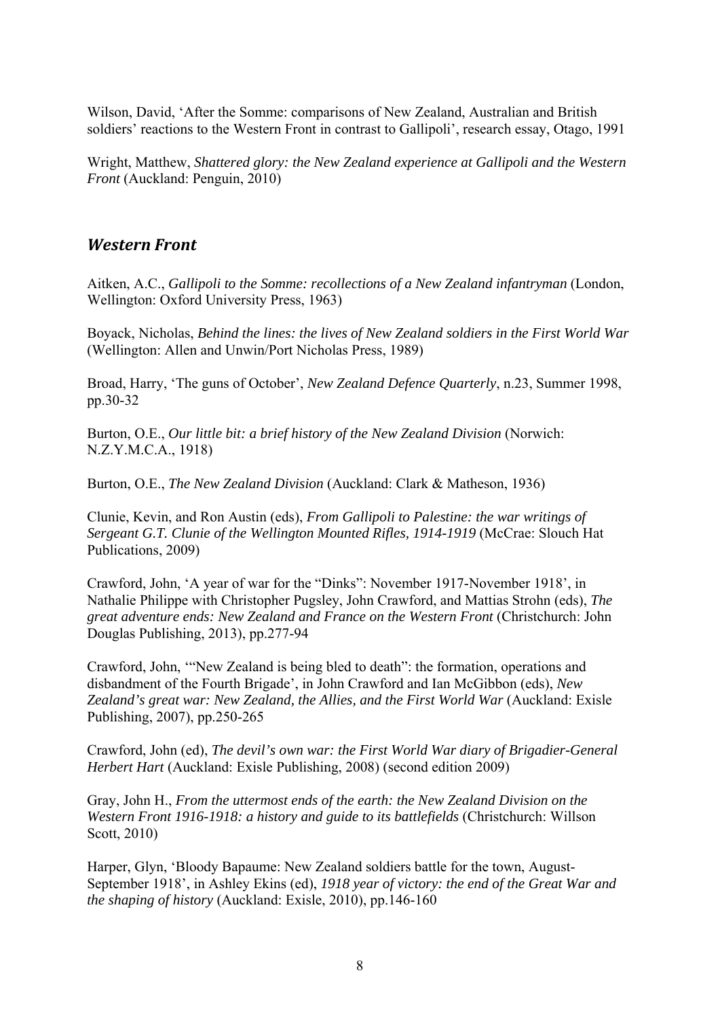Wilson, David, 'After the Somme: comparisons of New Zealand, Australian and British soldiers' reactions to the Western Front in contrast to Gallipoli', research essay, Otago, 1991

Wright, Matthew, *Shattered glory: the New Zealand experience at Gallipoli and the Western Front* (Auckland: Penguin, 2010)

#### *Western Front*

Aitken, A.C., *Gallipoli to the Somme: recollections of a New Zealand infantryman* (London, Wellington: Oxford University Press, 1963)

Boyack, Nicholas, *Behind the lines: the lives of New Zealand soldiers in the First World War* (Wellington: Allen and Unwin/Port Nicholas Press, 1989)

Broad, Harry, 'The guns of October', *New Zealand Defence Quarterly*, n.23, Summer 1998, pp.30-32

Burton, O.E., *Our little bit: a brief history of the New Zealand Division* (Norwich: N.Z.Y.M.C.A., 1918)

Burton, O.E., *The New Zealand Division* (Auckland: Clark & Matheson, 1936)

Clunie, Kevin, and Ron Austin (eds), *From Gallipoli to Palestine: the war writings of Sergeant G.T. Clunie of the Wellington Mounted Rifles, 1914-1919* (McCrae: Slouch Hat Publications, 2009)

Crawford, John, 'A year of war for the "Dinks": November 1917-November 1918', in Nathalie Philippe with Christopher Pugsley, John Crawford, and Mattias Strohn (eds), *The great adventure ends: New Zealand and France on the Western Front* (Christchurch: John Douglas Publishing, 2013), pp.277-94

Crawford, John, '"New Zealand is being bled to death": the formation, operations and disbandment of the Fourth Brigade', in John Crawford and Ian McGibbon (eds), *New Zealand's great war: New Zealand, the Allies, and the First World War* (Auckland: Exisle Publishing, 2007), pp.250-265

Crawford, John (ed), *The devil's own war: the First World War diary of Brigadier-General Herbert Hart* (Auckland: Exisle Publishing, 2008) (second edition 2009)

Gray, John H., *From the uttermost ends of the earth: the New Zealand Division on the Western Front 1916-1918: a history and guide to its battlefields* (Christchurch: Willson Scott, 2010)

Harper, Glyn, 'Bloody Bapaume: New Zealand soldiers battle for the town, August-September 1918', in Ashley Ekins (ed), *1918 year of victory: the end of the Great War and the shaping of history* (Auckland: Exisle, 2010), pp.146-160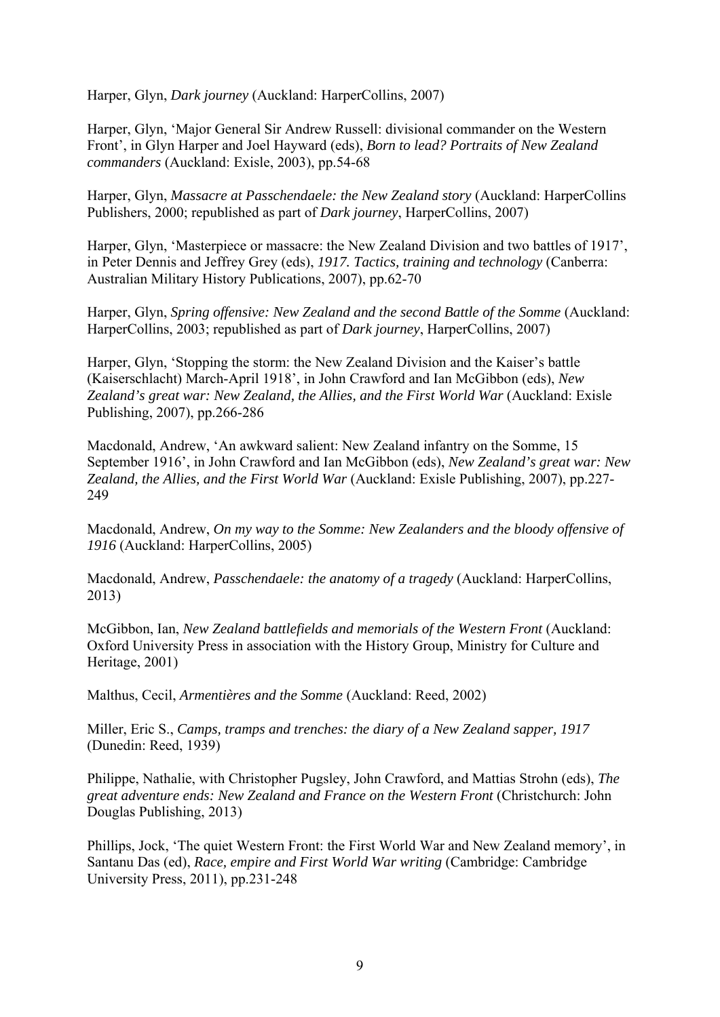Harper, Glyn, *Dark journey* (Auckland: HarperCollins, 2007)

Harper, Glyn, 'Major General Sir Andrew Russell: divisional commander on the Western Front', in Glyn Harper and Joel Hayward (eds), *Born to lead? Portraits of New Zealand commanders* (Auckland: Exisle, 2003), pp.54-68

Harper, Glyn, *Massacre at Passchendaele: the New Zealand story* (Auckland: HarperCollins Publishers, 2000; republished as part of *Dark journey*, HarperCollins, 2007)

Harper, Glyn, 'Masterpiece or massacre: the New Zealand Division and two battles of 1917', in Peter Dennis and Jeffrey Grey (eds), *1917. Tactics, training and technology* (Canberra: Australian Military History Publications, 2007), pp.62-70

Harper, Glyn, *Spring offensive: New Zealand and the second Battle of the Somme* (Auckland: HarperCollins, 2003; republished as part of *Dark journey*, HarperCollins, 2007)

Harper, Glyn, 'Stopping the storm: the New Zealand Division and the Kaiser's battle (Kaiserschlacht) March-April 1918', in John Crawford and Ian McGibbon (eds), *New Zealand's great war: New Zealand, the Allies, and the First World War* (Auckland: Exisle Publishing, 2007), pp.266-286

Macdonald, Andrew, 'An awkward salient: New Zealand infantry on the Somme, 15 September 1916', in John Crawford and Ian McGibbon (eds), *New Zealand's great war: New Zealand, the Allies, and the First World War* (Auckland: Exisle Publishing, 2007), pp.227- 249

Macdonald, Andrew, *On my way to the Somme: New Zealanders and the bloody offensive of 1916* (Auckland: HarperCollins, 2005)

Macdonald, Andrew, *Passchendaele: the anatomy of a tragedy* (Auckland: HarperCollins, 2013)

McGibbon, Ian, *New Zealand battlefields and memorials of the Western Front* (Auckland: Oxford University Press in association with the History Group, Ministry for Culture and Heritage, 2001)

Malthus, Cecil, *Armentières and the Somme* (Auckland: Reed, 2002)

Miller, Eric S., *Camps, tramps and trenches: the diary of a New Zealand sapper, 1917* (Dunedin: Reed, 1939)

Philippe, Nathalie, with Christopher Pugsley, John Crawford, and Mattias Strohn (eds), *The great adventure ends: New Zealand and France on the Western Front* (Christchurch: John Douglas Publishing, 2013)

Phillips, Jock, 'The quiet Western Front: the First World War and New Zealand memory', in Santanu Das (ed), *Race, empire and First World War writing* (Cambridge: Cambridge University Press, 2011), pp.231-248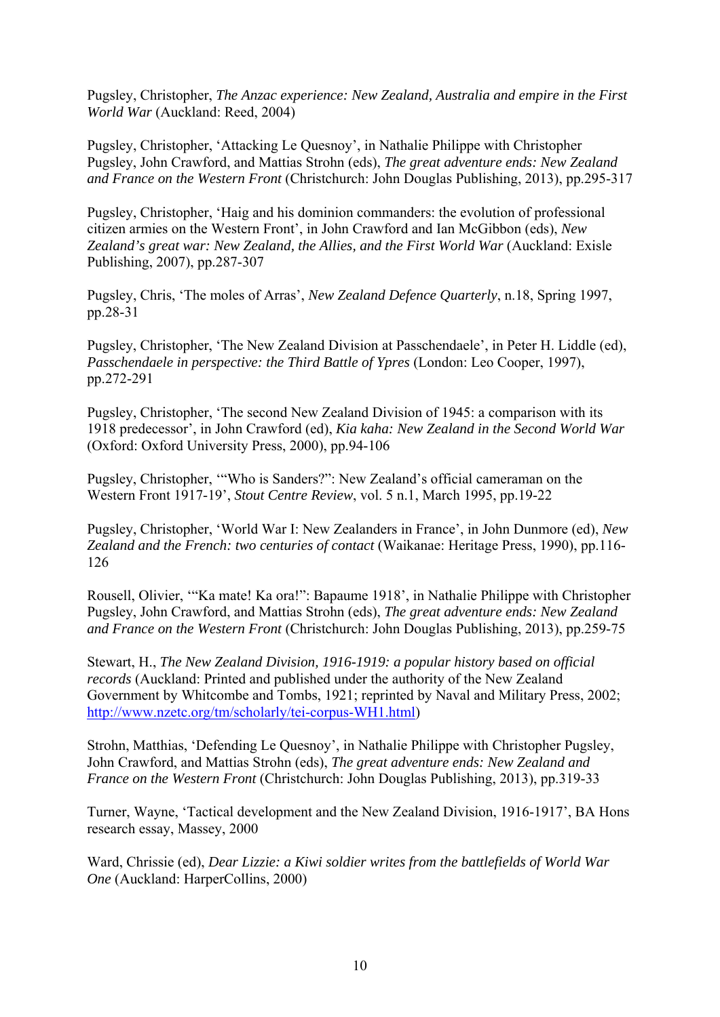Pugsley, Christopher, *The Anzac experience: New Zealand, Australia and empire in the First World War* (Auckland: Reed, 2004)

Pugsley, Christopher, 'Attacking Le Quesnoy', in Nathalie Philippe with Christopher Pugsley, John Crawford, and Mattias Strohn (eds), *The great adventure ends: New Zealand and France on the Western Front* (Christchurch: John Douglas Publishing, 2013), pp.295-317

Pugsley, Christopher, 'Haig and his dominion commanders: the evolution of professional citizen armies on the Western Front', in John Crawford and Ian McGibbon (eds), *New Zealand's great war: New Zealand, the Allies, and the First World War* (Auckland: Exisle Publishing, 2007), pp.287-307

Pugsley, Chris, 'The moles of Arras', *New Zealand Defence Quarterly*, n.18, Spring 1997, pp.28-31

Pugsley, Christopher, 'The New Zealand Division at Passchendaele', in Peter H. Liddle (ed), *Passchendaele in perspective: the Third Battle of Ypres* (London: Leo Cooper, 1997), pp.272-291

Pugsley, Christopher, 'The second New Zealand Division of 1945: a comparison with its 1918 predecessor', in John Crawford (ed), *Kia kaha: New Zealand in the Second World War* (Oxford: Oxford University Press, 2000), pp.94-106

Pugsley, Christopher, '"Who is Sanders?": New Zealand's official cameraman on the Western Front 1917-19', *Stout Centre Review*, vol. 5 n.1, March 1995, pp.19-22

Pugsley, Christopher, 'World War I: New Zealanders in France', in John Dunmore (ed), *New Zealand and the French: two centuries of contact* (Waikanae: Heritage Press, 1990), pp.116- 126

Rousell, Olivier, '"Ka mate! Ka ora!": Bapaume 1918', in Nathalie Philippe with Christopher Pugsley, John Crawford, and Mattias Strohn (eds), *The great adventure ends: New Zealand and France on the Western Front* (Christchurch: John Douglas Publishing, 2013), pp.259-75

Stewart, H., *The New Zealand Division, 1916-1919: a popular history based on official records* (Auckland: Printed and published under the authority of the New Zealand Government by Whitcombe and Tombs, 1921; reprinted by Naval and Military Press, 2002; http://www.nzetc.org/tm/scholarly/tei-corpus-WH1.html)

Strohn, Matthias, 'Defending Le Quesnoy', in Nathalie Philippe with Christopher Pugsley, John Crawford, and Mattias Strohn (eds), *The great adventure ends: New Zealand and France on the Western Front* (Christchurch: John Douglas Publishing, 2013), pp.319-33

Turner, Wayne, 'Tactical development and the New Zealand Division, 1916-1917', BA Hons research essay, Massey, 2000

Ward, Chrissie (ed), *Dear Lizzie: a Kiwi soldier writes from the battlefields of World War One* (Auckland: HarperCollins, 2000)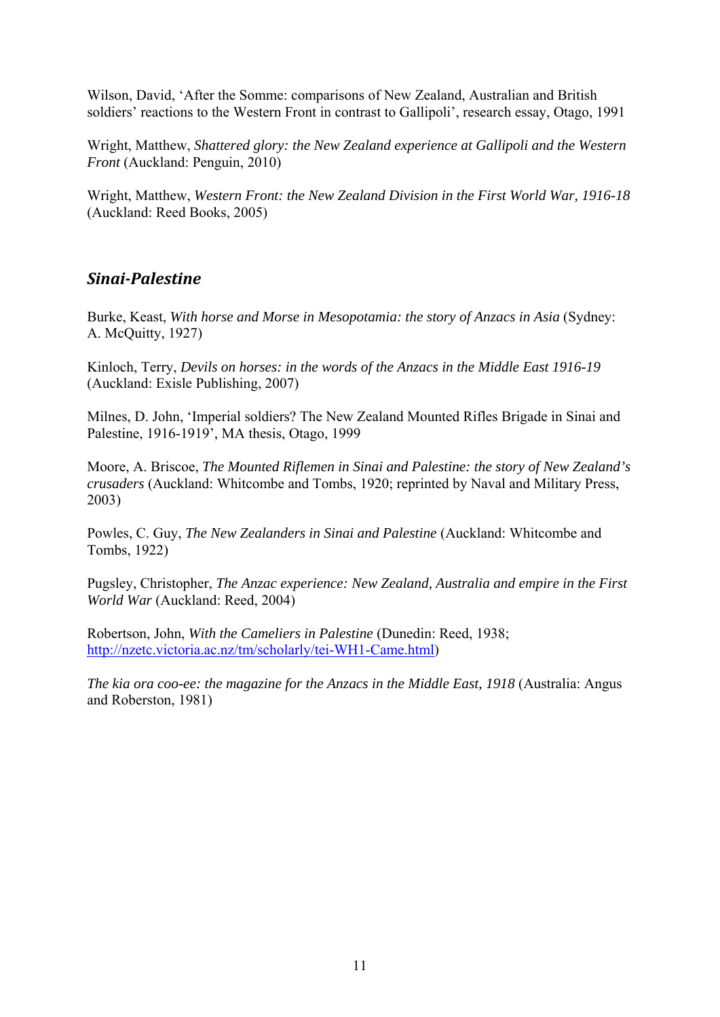Wilson, David, 'After the Somme: comparisons of New Zealand, Australian and British soldiers' reactions to the Western Front in contrast to Gallipoli', research essay, Otago, 1991

Wright, Matthew, *Shattered glory: the New Zealand experience at Gallipoli and the Western Front* (Auckland: Penguin, 2010)

Wright, Matthew, *Western Front: the New Zealand Division in the First World War, 1916-18* (Auckland: Reed Books, 2005)

#### *Sinai‐Palestine*

Burke, Keast, *With horse and Morse in Mesopotamia: the story of Anzacs in Asia* (Sydney: A. McQuitty, 1927)

Kinloch, Terry, *Devils on horses: in the words of the Anzacs in the Middle East 1916-19* (Auckland: Exisle Publishing, 2007)

Milnes, D. John, 'Imperial soldiers? The New Zealand Mounted Rifles Brigade in Sinai and Palestine, 1916-1919', MA thesis, Otago, 1999

Moore, A. Briscoe, *The Mounted Riflemen in Sinai and Palestine: the story of New Zealand's crusaders* (Auckland: Whitcombe and Tombs, 1920; reprinted by Naval and Military Press, 2003)

Powles, C. Guy, *The New Zealanders in Sinai and Palestine* (Auckland: Whitcombe and Tombs, 1922)

Pugsley, Christopher, *The Anzac experience: New Zealand, Australia and empire in the First World War* (Auckland: Reed, 2004)

Robertson, John, *With the Cameliers in Palestine* (Dunedin: Reed, 1938; http://nzetc.victoria.ac.nz/tm/scholarly/tei-WH1-Came.html)

*The kia ora coo-ee: the magazine for the Anzacs in the Middle East, 1918* (Australia: Angus and Roberston, 1981)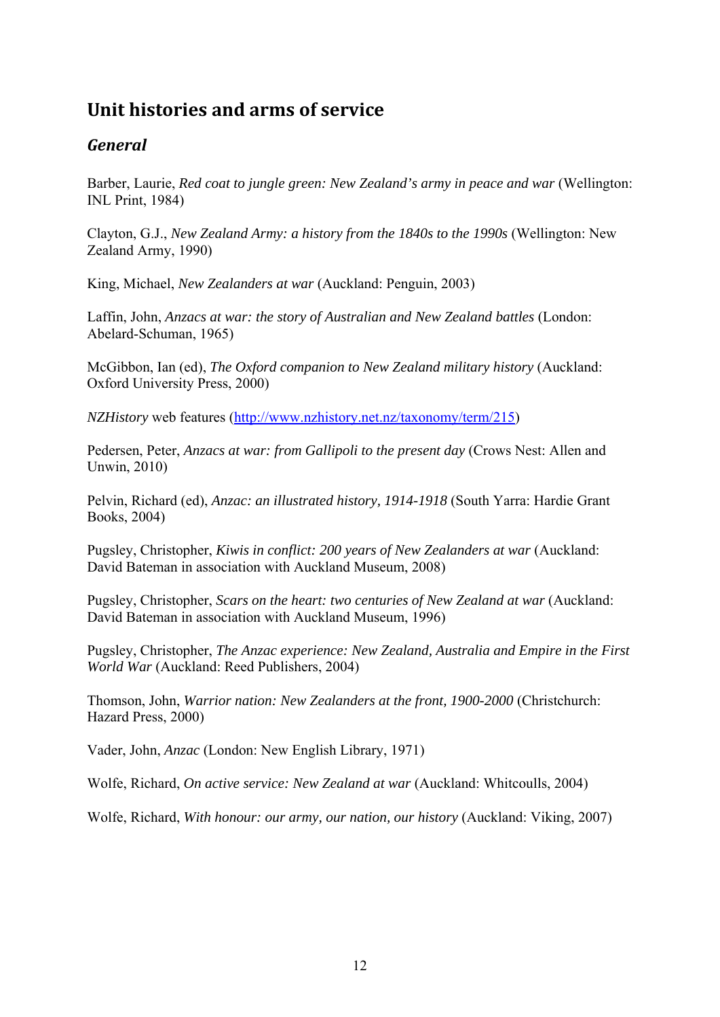# **Unit histories and arms of service**

# *General*

Barber, Laurie, *Red coat to jungle green: New Zealand's army in peace and war* (Wellington: INL Print, 1984)

Clayton, G.J., *New Zealand Army: a history from the 1840s to the 1990s* (Wellington: New Zealand Army, 1990)

King, Michael, *New Zealanders at war* (Auckland: Penguin, 2003)

Laffin, John, *Anzacs at war: the story of Australian and New Zealand battles* (London: Abelard-Schuman, 1965)

McGibbon, Ian (ed), *The Oxford companion to New Zealand military history* (Auckland: Oxford University Press, 2000)

*NZHistory* web features (http://www.nzhistory.net.nz/taxonomy/term/215)

Pedersen, Peter, *Anzacs at war: from Gallipoli to the present day* (Crows Nest: Allen and Unwin, 2010)

Pelvin, Richard (ed), *Anzac: an illustrated history, 1914-1918* (South Yarra: Hardie Grant Books, 2004)

Pugsley, Christopher, *Kiwis in conflict: 200 years of New Zealanders at war* (Auckland: David Bateman in association with Auckland Museum, 2008)

Pugsley, Christopher, *Scars on the heart: two centuries of New Zealand at war* (Auckland: David Bateman in association with Auckland Museum, 1996)

Pugsley, Christopher, *The Anzac experience: New Zealand, Australia and Empire in the First World War* (Auckland: Reed Publishers, 2004)

Thomson, John, *Warrior nation: New Zealanders at the front, 1900-2000* (Christchurch: Hazard Press, 2000)

Vader, John, *Anzac* (London: New English Library, 1971)

Wolfe, Richard, *On active service: New Zealand at war* (Auckland: Whitcoulls, 2004)

Wolfe, Richard, *With honour: our army, our nation, our history* (Auckland: Viking, 2007)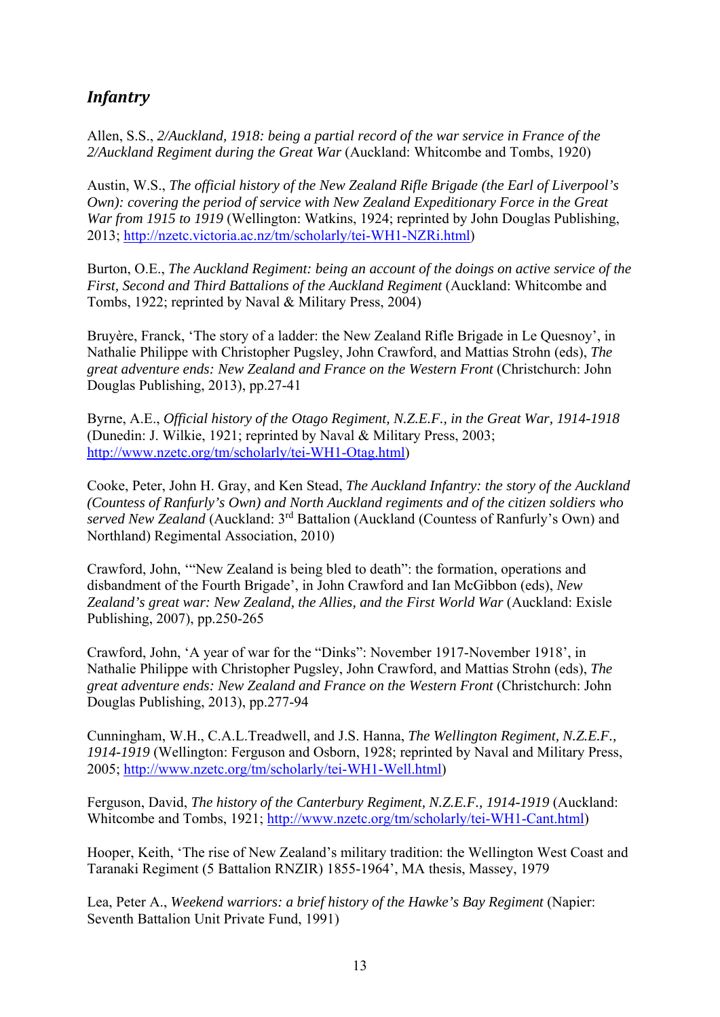# *Infantry*

Allen, S.S., *2/Auckland, 1918: being a partial record of the war service in France of the 2/Auckland Regiment during the Great War* (Auckland: Whitcombe and Tombs, 1920)

Austin, W.S., *The official history of the New Zealand Rifle Brigade (the Earl of Liverpool's Own): covering the period of service with New Zealand Expeditionary Force in the Great War from 1915 to 1919* (Wellington: Watkins, 1924; reprinted by John Douglas Publishing, 2013; http://nzetc.victoria.ac.nz/tm/scholarly/tei-WH1-NZRi.html)

Burton, O.E., *The Auckland Regiment: being an account of the doings on active service of the First, Second and Third Battalions of the Auckland Regiment* (Auckland: Whitcombe and Tombs, 1922; reprinted by Naval & Military Press, 2004)

Bruyère, Franck, 'The story of a ladder: the New Zealand Rifle Brigade in Le Quesnoy', in Nathalie Philippe with Christopher Pugsley, John Crawford, and Mattias Strohn (eds), *The great adventure ends: New Zealand and France on the Western Front* (Christchurch: John Douglas Publishing, 2013), pp.27-41

Byrne, A.E., *Official history of the Otago Regiment, N.Z.E.F., in the Great War, 1914-1918* (Dunedin: J. Wilkie, 1921; reprinted by Naval & Military Press, 2003; http://www.nzetc.org/tm/scholarly/tei-WH1-Otag.html)

Cooke, Peter, John H. Gray, and Ken Stead, *The Auckland Infantry: the story of the Auckland (Countess of Ranfurly's Own) and North Auckland regiments and of the citizen soldiers who served New Zealand* (Auckland: 3rd Battalion (Auckland (Countess of Ranfurly's Own) and Northland) Regimental Association, 2010)

Crawford, John, '"New Zealand is being bled to death": the formation, operations and disbandment of the Fourth Brigade', in John Crawford and Ian McGibbon (eds), *New Zealand's great war: New Zealand, the Allies, and the First World War* (Auckland: Exisle Publishing, 2007), pp.250-265

Crawford, John, 'A year of war for the "Dinks": November 1917-November 1918', in Nathalie Philippe with Christopher Pugsley, John Crawford, and Mattias Strohn (eds), *The great adventure ends: New Zealand and France on the Western Front* (Christchurch: John Douglas Publishing, 2013), pp.277-94

Cunningham, W.H., C.A.L.Treadwell, and J.S. Hanna, *The Wellington Regiment, N.Z.E.F., 1914-1919* (Wellington: Ferguson and Osborn, 1928; reprinted by Naval and Military Press, 2005; http://www.nzetc.org/tm/scholarly/tei-WH1-Well.html)

Ferguson, David, *The history of the Canterbury Regiment, N.Z.E.F., 1914-1919* (Auckland: Whitcombe and Tombs, 1921; http://www.nzetc.org/tm/scholarly/tei-WH1-Cant.html)

Hooper, Keith, 'The rise of New Zealand's military tradition: the Wellington West Coast and Taranaki Regiment (5 Battalion RNZIR) 1855-1964', MA thesis, Massey, 1979

Lea, Peter A., *Weekend warriors: a brief history of the Hawke's Bay Regiment* (Napier: Seventh Battalion Unit Private Fund, 1991)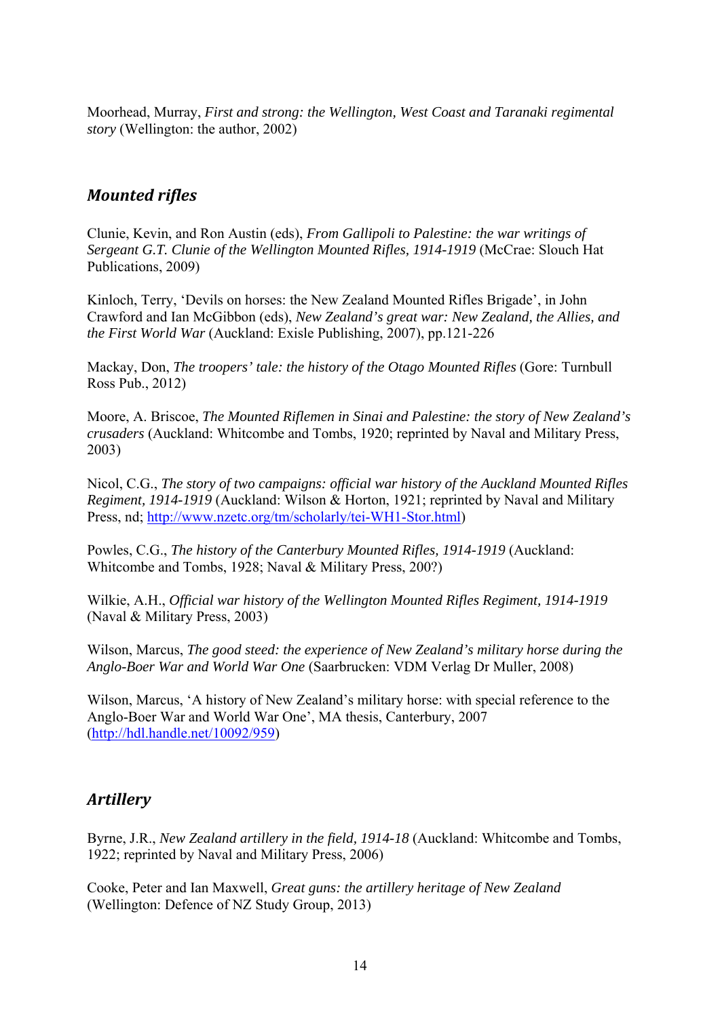Moorhead, Murray, *First and strong: the Wellington, West Coast and Taranaki regimental story* (Wellington: the author, 2002)

## *Mounted rifles*

Clunie, Kevin, and Ron Austin (eds), *From Gallipoli to Palestine: the war writings of Sergeant G.T. Clunie of the Wellington Mounted Rifles, 1914-1919* (McCrae: Slouch Hat Publications, 2009)

Kinloch, Terry, 'Devils on horses: the New Zealand Mounted Rifles Brigade', in John Crawford and Ian McGibbon (eds), *New Zealand's great war: New Zealand, the Allies, and the First World War* (Auckland: Exisle Publishing, 2007), pp.121-226

Mackay, Don, *The troopers' tale: the history of the Otago Mounted Rifles* (Gore: Turnbull Ross Pub., 2012)

Moore, A. Briscoe, *The Mounted Riflemen in Sinai and Palestine: the story of New Zealand's crusaders* (Auckland: Whitcombe and Tombs, 1920; reprinted by Naval and Military Press, 2003)

Nicol, C.G., *The story of two campaigns: official war history of the Auckland Mounted Rifles Regiment, 1914-1919* (Auckland: Wilson & Horton, 1921; reprinted by Naval and Military Press, nd; http://www.nzetc.org/tm/scholarly/tei-WH1-Stor.html)

Powles, C.G., *The history of the Canterbury Mounted Rifles, 1914-1919* (Auckland: Whitcombe and Tombs, 1928; Naval & Military Press, 200?)

Wilkie, A.H., *Official war history of the Wellington Mounted Rifles Regiment, 1914-1919* (Naval & Military Press, 2003)

Wilson, Marcus, *The good steed: the experience of New Zealand's military horse during the Anglo-Boer War and World War One* (Saarbrucken: VDM Verlag Dr Muller, 2008)

Wilson, Marcus, 'A history of New Zealand's military horse: with special reference to the Anglo-Boer War and World War One', MA thesis, Canterbury, 2007 (http://hdl.handle.net/10092/959)

## *Artillery*

Byrne, J.R., *New Zealand artillery in the field, 1914-18* (Auckland: Whitcombe and Tombs, 1922; reprinted by Naval and Military Press, 2006)

Cooke, Peter and Ian Maxwell, *Great guns: the artillery heritage of New Zealand* (Wellington: Defence of NZ Study Group, 2013)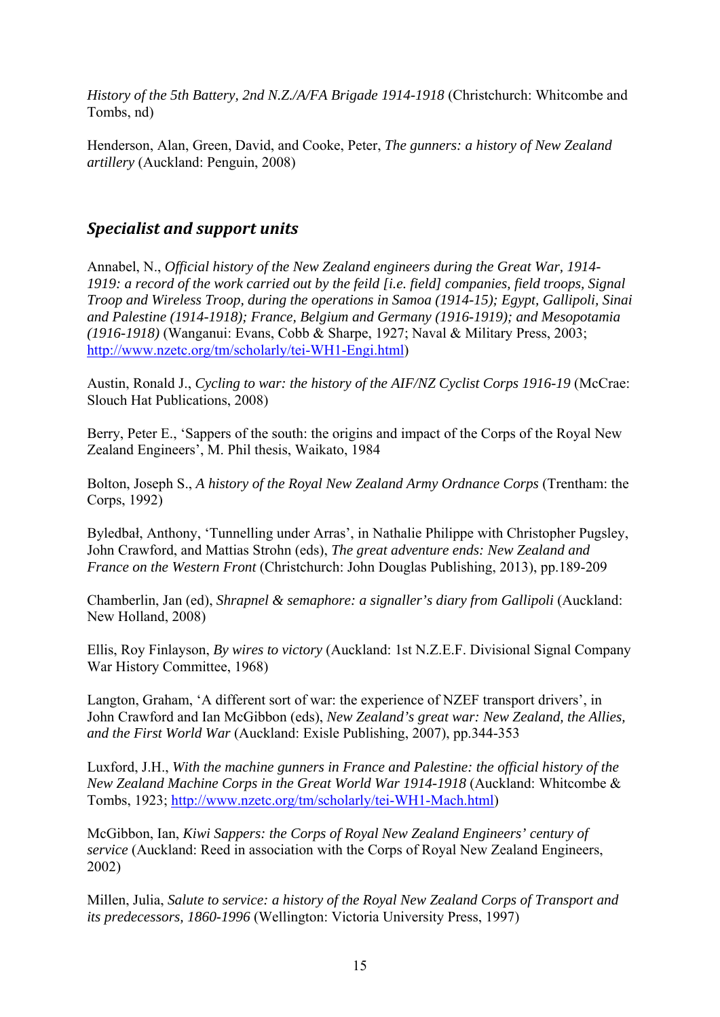*History of the 5th Battery, 2nd N.Z./A/FA Brigade 1914-1918* (Christchurch: Whitcombe and Tombs, nd)

Henderson, Alan, Green, David, and Cooke, Peter, *The gunners: a history of New Zealand artillery* (Auckland: Penguin, 2008)

#### *Specialist and support units*

Annabel, N., *Official history of the New Zealand engineers during the Great War, 1914- 1919: a record of the work carried out by the feild [i.e. field] companies, field troops, Signal Troop and Wireless Troop, during the operations in Samoa (1914-15); Egypt, Gallipoli, Sinai and Palestine (1914-1918); France, Belgium and Germany (1916-1919); and Mesopotamia (1916-1918)* (Wanganui: Evans, Cobb & Sharpe, 1927; Naval & Military Press, 2003; http://www.nzetc.org/tm/scholarly/tei-WH1-Engi.html)

Austin, Ronald J., *Cycling to war: the history of the AIF/NZ Cyclist Corps 1916-19* (McCrae: Slouch Hat Publications, 2008)

Berry, Peter E., 'Sappers of the south: the origins and impact of the Corps of the Royal New Zealand Engineers', M. Phil thesis, Waikato, 1984

Bolton, Joseph S., *A history of the Royal New Zealand Army Ordnance Corps* (Trentham: the Corps, 1992)

Byledbał, Anthony, 'Tunnelling under Arras', in Nathalie Philippe with Christopher Pugsley, John Crawford, and Mattias Strohn (eds), *The great adventure ends: New Zealand and France on the Western Front* (Christchurch: John Douglas Publishing, 2013), pp.189-209

Chamberlin, Jan (ed), *Shrapnel & semaphore: a signaller's diary from Gallipoli* (Auckland: New Holland, 2008)

Ellis, Roy Finlayson, *By wires to victory* (Auckland: 1st N.Z.E.F. Divisional Signal Company War History Committee, 1968)

Langton, Graham, 'A different sort of war: the experience of NZEF transport drivers', in John Crawford and Ian McGibbon (eds), *New Zealand's great war: New Zealand, the Allies, and the First World War* (Auckland: Exisle Publishing, 2007), pp.344-353

Luxford, J.H., *With the machine gunners in France and Palestine: the official history of the New Zealand Machine Corps in the Great World War 1914-1918* (Auckland: Whitcombe & Tombs, 1923; http://www.nzetc.org/tm/scholarly/tei-WH1-Mach.html)

McGibbon, Ian, *Kiwi Sappers: the Corps of Royal New Zealand Engineers' century of service* (Auckland: Reed in association with the Corps of Royal New Zealand Engineers, 2002)

Millen, Julia, *Salute to service: a history of the Royal New Zealand Corps of Transport and its predecessors, 1860-1996* (Wellington: Victoria University Press, 1997)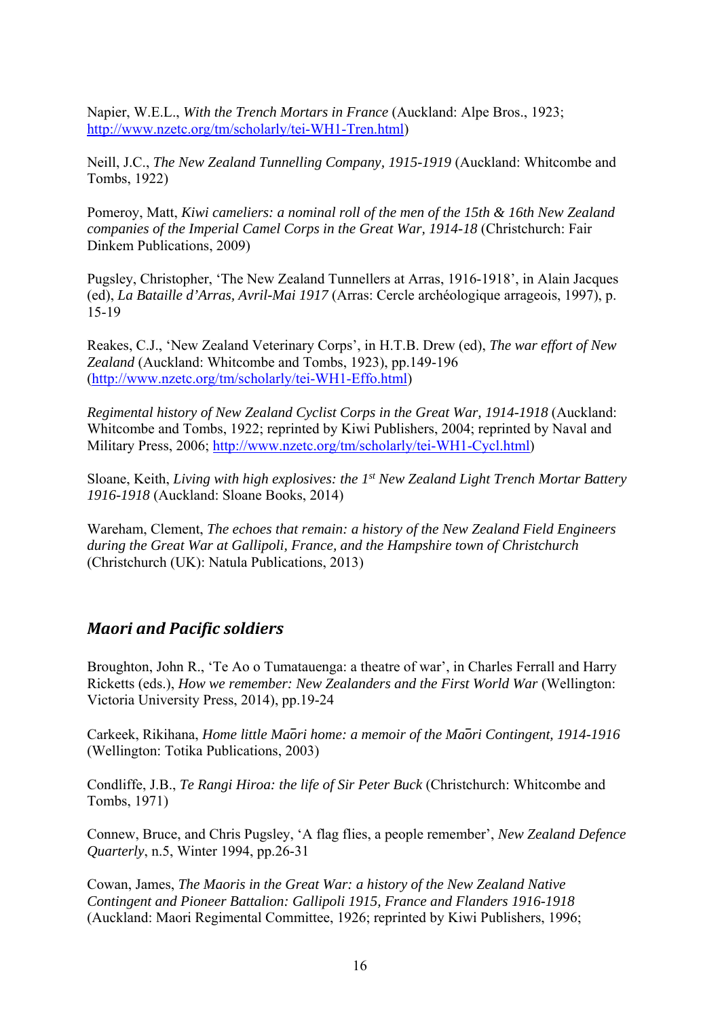Napier, W.E.L., *With the Trench Mortars in France* (Auckland: Alpe Bros., 1923; http://www.nzetc.org/tm/scholarly/tei-WH1-Tren.html)

Neill, J.C., *The New Zealand Tunnelling Company, 1915-1919* (Auckland: Whitcombe and Tombs, 1922)

Pomeroy, Matt, *Kiwi cameliers: a nominal roll of the men of the 15th & 16th New Zealand companies of the Imperial Camel Corps in the Great War, 1914-18* (Christchurch: Fair Dinkem Publications, 2009)

Pugsley, Christopher, 'The New Zealand Tunnellers at Arras, 1916-1918', in Alain Jacques (ed), *La Bataille d'Arras, Avril-Mai 1917* (Arras: Cercle archéologique arrageois, 1997), p. 15-19

Reakes, C.J., 'New Zealand Veterinary Corps', in H.T.B. Drew (ed), *The war effort of New Zealand* (Auckland: Whitcombe and Tombs, 1923), pp.149-196 (http://www.nzetc.org/tm/scholarly/tei-WH1-Effo.html)

*Regimental history of New Zealand Cyclist Corps in the Great War, 1914-1918* (Auckland: Whitcombe and Tombs, 1922; reprinted by Kiwi Publishers, 2004; reprinted by Naval and Military Press, 2006; http://www.nzetc.org/tm/scholarly/tei-WH1-Cycl.html)

Sloane, Keith, *Living with high explosives: the 1st New Zealand Light Trench Mortar Battery 1916-1918* (Auckland: Sloane Books, 2014)

Wareham, Clement, *The echoes that remain: a history of the New Zealand Field Engineers during the Great War at Gallipoli, France, and the Hampshire town of Christchurch* (Christchurch (UK): Natula Publications, 2013)

#### *Maori and Pacific soldiers*

Broughton, John R., 'Te Ao o Tumatauenga: a theatre of war', in Charles Ferrall and Harry Ricketts (eds.), *How we remember: New Zealanders and the First World War* (Wellington: Victoria University Press, 2014), pp.19-24

Carkeek, Rikihana, *Home little Ma*̄*ori home: a memoir of the Ma*̄*ori Contingent, 1914-1916* (Wellington: Totika Publications, 2003)

Condliffe, J.B., *Te Rangi Hiroa: the life of Sir Peter Buck* (Christchurch: Whitcombe and Tombs, 1971)

Connew, Bruce, and Chris Pugsley, 'A flag flies, a people remember', *New Zealand Defence Quarterly*, n.5, Winter 1994, pp.26-31

Cowan, James, *The Maoris in the Great War: a history of the New Zealand Native Contingent and Pioneer Battalion: Gallipoli 1915, France and Flanders 1916-1918*  (Auckland: Maori Regimental Committee, 1926; reprinted by Kiwi Publishers, 1996;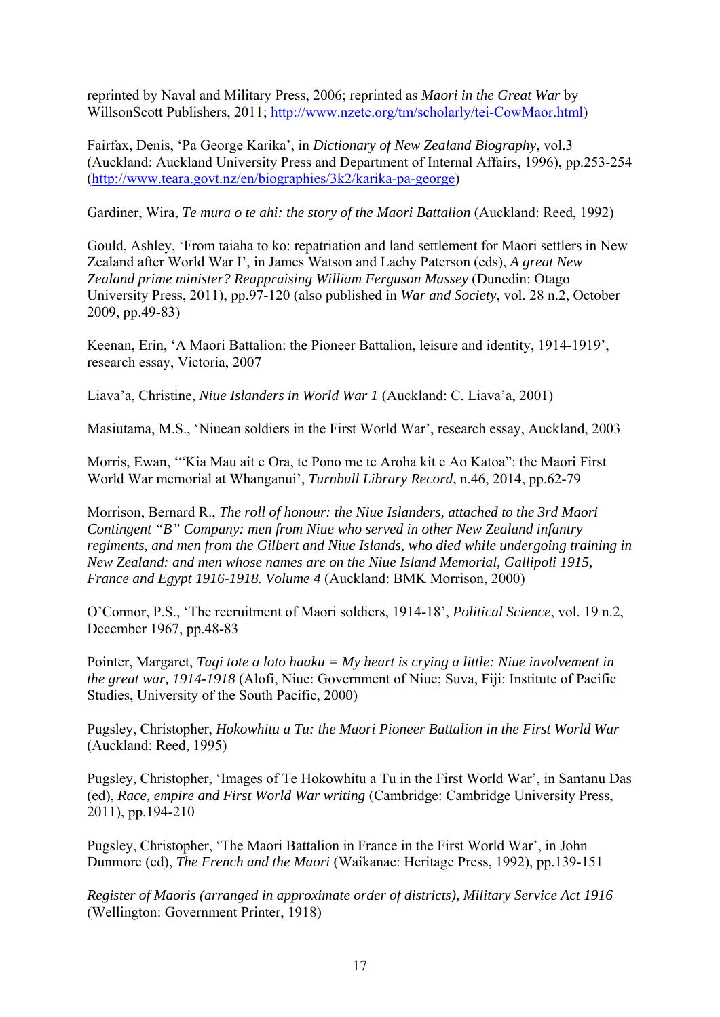reprinted by Naval and Military Press, 2006; reprinted as *Maori in the Great War* by WillsonScott Publishers, 2011; http://www.nzetc.org/tm/scholarly/tei-CowMaor.html)

Fairfax, Denis, 'Pa George Karika', in *Dictionary of New Zealand Biography*, vol.3 (Auckland: Auckland University Press and Department of Internal Affairs, 1996), pp.253-254 (http://www.teara.govt.nz/en/biographies/3k2/karika-pa-george)

Gardiner, Wira, *Te mura o te ahi: the story of the Maori Battalion* (Auckland: Reed, 1992)

Gould, Ashley, 'From taiaha to ko: repatriation and land settlement for Maori settlers in New Zealand after World War I', in James Watson and Lachy Paterson (eds), *A great New Zealand prime minister? Reappraising William Ferguson Massey* (Dunedin: Otago University Press, 2011), pp.97-120 (also published in *War and Society*, vol. 28 n.2, October 2009, pp.49-83)

Keenan, Erin, 'A Maori Battalion: the Pioneer Battalion, leisure and identity, 1914-1919', research essay, Victoria, 2007

Liava'a, Christine, *Niue Islanders in World War 1* (Auckland: C. Liava'a, 2001)

Masiutama, M.S., 'Niuean soldiers in the First World War', research essay, Auckland, 2003

Morris, Ewan, '"Kia Mau ait e Ora, te Pono me te Aroha kit e Ao Katoa": the Maori First World War memorial at Whanganui', *Turnbull Library Record*, n.46, 2014, pp.62-79

Morrison, Bernard R., *The roll of honour: the Niue Islanders, attached to the 3rd Maori Contingent "B" Company: men from Niue who served in other New Zealand infantry regiments, and men from the Gilbert and Niue Islands, who died while undergoing training in New Zealand: and men whose names are on the Niue Island Memorial, Gallipoli 1915, France and Egypt 1916-1918. Volume 4* (Auckland: BMK Morrison, 2000)

O'Connor, P.S., 'The recruitment of Maori soldiers, 1914-18', *Political Science*, vol. 19 n.2, December 1967, pp.48-83

Pointer, Margaret, *Tagi tote a loto haaku = My heart is crying a little: Niue involvement in the great war, 1914-1918* (Alofi, Niue: Government of Niue; Suva, Fiji: Institute of Pacific Studies, University of the South Pacific, 2000)

Pugsley, Christopher, *Hokowhitu a Tu: the Maori Pioneer Battalion in the First World War* (Auckland: Reed, 1995)

Pugsley, Christopher, 'Images of Te Hokowhitu a Tu in the First World War', in Santanu Das (ed), *Race, empire and First World War writing* (Cambridge: Cambridge University Press, 2011), pp.194-210

Pugsley, Christopher, 'The Maori Battalion in France in the First World War', in John Dunmore (ed), *The French and the Maori* (Waikanae: Heritage Press, 1992), pp.139-151

*Register of Maoris (arranged in approximate order of districts), Military Service Act 1916* (Wellington: Government Printer, 1918)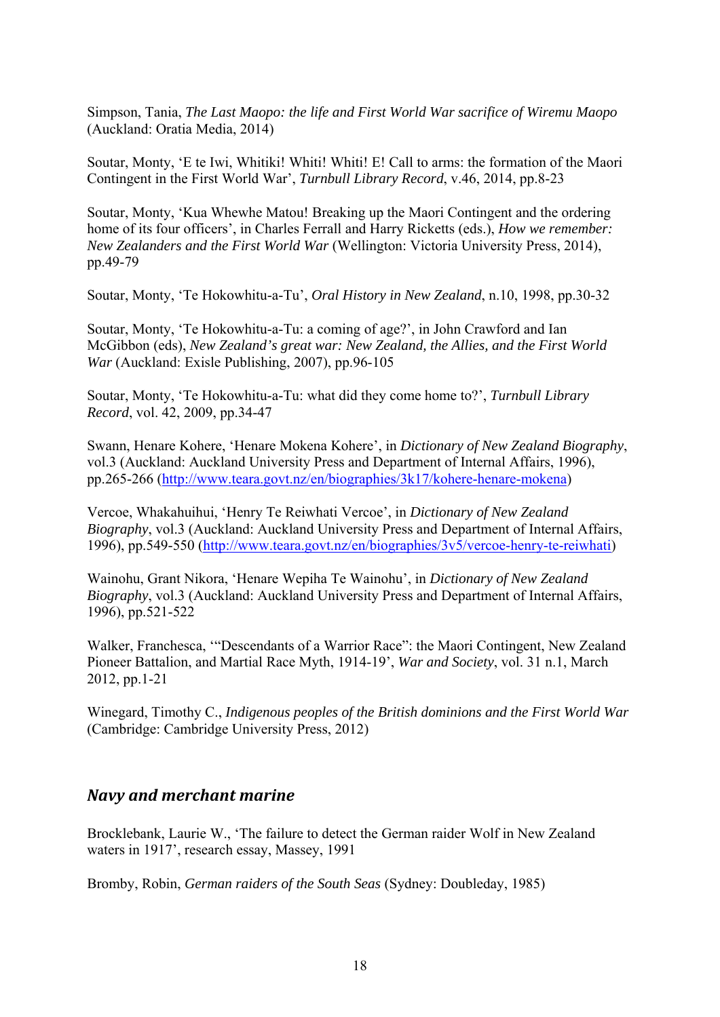Simpson, Tania, *The Last Maopo: the life and First World War sacrifice of Wiremu Maopo* (Auckland: Oratia Media, 2014)

Soutar, Monty, 'E te Iwi, Whitiki! Whiti! Whiti! E! Call to arms: the formation of the Maori Contingent in the First World War', *Turnbull Library Record*, v.46, 2014, pp.8-23

Soutar, Monty, 'Kua Whewhe Matou! Breaking up the Maori Contingent and the ordering home of its four officers', in Charles Ferrall and Harry Ricketts (eds.), *How we remember: New Zealanders and the First World War* (Wellington: Victoria University Press, 2014), pp.49-79

Soutar, Monty, 'Te Hokowhitu-a-Tu', *Oral History in New Zealand*, n.10, 1998, pp.30-32

Soutar, Monty, 'Te Hokowhitu-a-Tu: a coming of age?', in John Crawford and Ian McGibbon (eds), *New Zealand's great war: New Zealand, the Allies, and the First World War* (Auckland: Exisle Publishing, 2007), pp.96-105

Soutar, Monty, 'Te Hokowhitu-a-Tu: what did they come home to?', *Turnbull Library Record*, vol. 42, 2009, pp.34-47

Swann, Henare Kohere, 'Henare Mokena Kohere', in *Dictionary of New Zealand Biography*, vol.3 (Auckland: Auckland University Press and Department of Internal Affairs, 1996), pp.265-266 (http://www.teara.govt.nz/en/biographies/3k17/kohere-henare-mokena)

Vercoe, Whakahuihui, 'Henry Te Reiwhati Vercoe', in *Dictionary of New Zealand Biography*, vol.3 (Auckland: Auckland University Press and Department of Internal Affairs, 1996), pp.549-550 (http://www.teara.govt.nz/en/biographies/3v5/vercoe-henry-te-reiwhati)

Wainohu, Grant Nikora, 'Henare Wepiha Te Wainohu', in *Dictionary of New Zealand Biography*, vol.3 (Auckland: Auckland University Press and Department of Internal Affairs, 1996), pp.521-522

Walker, Franchesca, '"Descendants of a Warrior Race": the Maori Contingent, New Zealand Pioneer Battalion, and Martial Race Myth, 1914-19', *War and Society*, vol. 31 n.1, March 2012, pp.1-21

Winegard, Timothy C., *Indigenous peoples of the British dominions and the First World War* (Cambridge: Cambridge University Press, 2012)

#### *Navy and merchant marine*

Brocklebank, Laurie W., 'The failure to detect the German raider Wolf in New Zealand waters in 1917', research essay, Massey, 1991

Bromby, Robin, *German raiders of the South Seas* (Sydney: Doubleday, 1985)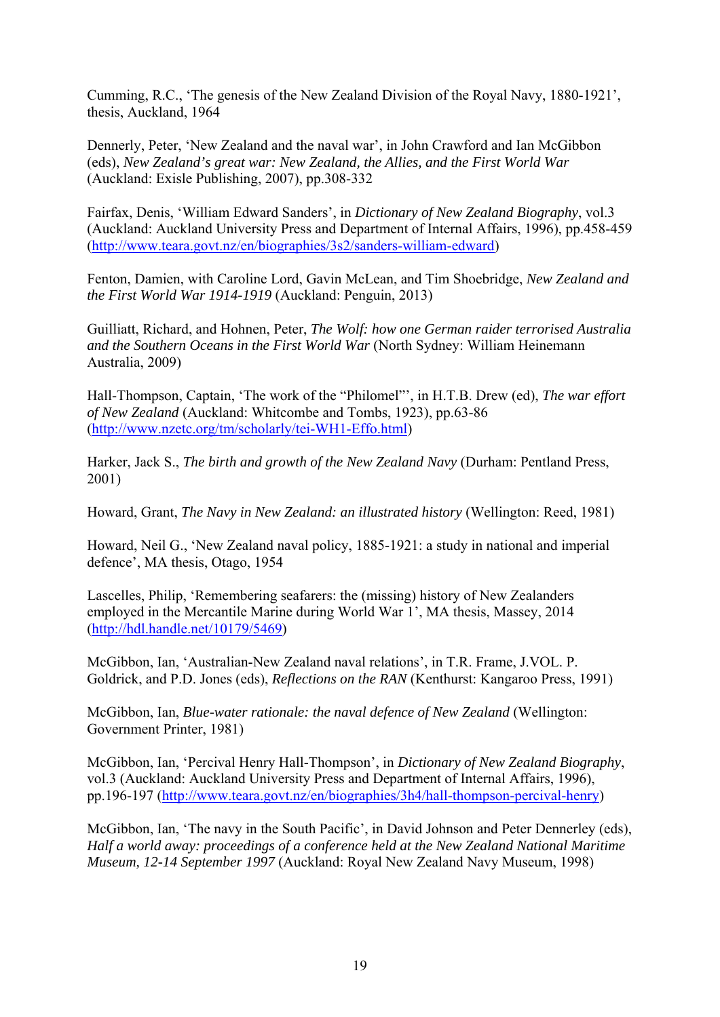Cumming, R.C., 'The genesis of the New Zealand Division of the Royal Navy, 1880-1921', thesis, Auckland, 1964

Dennerly, Peter, 'New Zealand and the naval war', in John Crawford and Ian McGibbon (eds), *New Zealand's great war: New Zealand, the Allies, and the First World War* (Auckland: Exisle Publishing, 2007), pp.308-332

Fairfax, Denis, 'William Edward Sanders', in *Dictionary of New Zealand Biography*, vol.3 (Auckland: Auckland University Press and Department of Internal Affairs, 1996), pp.458-459 (http://www.teara.govt.nz/en/biographies/3s2/sanders-william-edward)

Fenton, Damien, with Caroline Lord, Gavin McLean, and Tim Shoebridge, *New Zealand and the First World War 1914-1919* (Auckland: Penguin, 2013)

Guilliatt, Richard, and Hohnen, Peter, *The Wolf: how one German raider terrorised Australia and the Southern Oceans in the First World War* (North Sydney: William Heinemann Australia, 2009)

Hall-Thompson, Captain, 'The work of the "Philomel"', in H.T.B. Drew (ed), *The war effort of New Zealand* (Auckland: Whitcombe and Tombs, 1923), pp.63-86 (http://www.nzetc.org/tm/scholarly/tei-WH1-Effo.html)

Harker, Jack S., *The birth and growth of the New Zealand Navy* (Durham: Pentland Press, 2001)

Howard, Grant, *The Navy in New Zealand: an illustrated history* (Wellington: Reed, 1981)

Howard, Neil G., 'New Zealand naval policy, 1885-1921: a study in national and imperial defence', MA thesis, Otago, 1954

Lascelles, Philip, 'Remembering seafarers: the (missing) history of New Zealanders employed in the Mercantile Marine during World War 1', MA thesis, Massey, 2014 (http://hdl.handle.net/10179/5469)

McGibbon, Ian, 'Australian-New Zealand naval relations', in T.R. Frame, J.VOL. P. Goldrick, and P.D. Jones (eds), *Reflections on the RAN* (Kenthurst: Kangaroo Press, 1991)

McGibbon, Ian, *Blue-water rationale: the naval defence of New Zealand* (Wellington: Government Printer, 1981)

McGibbon, Ian, 'Percival Henry Hall-Thompson', in *Dictionary of New Zealand Biography*, vol.3 (Auckland: Auckland University Press and Department of Internal Affairs, 1996), pp.196-197 (http://www.teara.govt.nz/en/biographies/3h4/hall-thompson-percival-henry)

McGibbon, Ian, 'The navy in the South Pacific', in David Johnson and Peter Dennerley (eds), *Half a world away: proceedings of a conference held at the New Zealand National Maritime Museum, 12-14 September 1997* (Auckland: Royal New Zealand Navy Museum, 1998)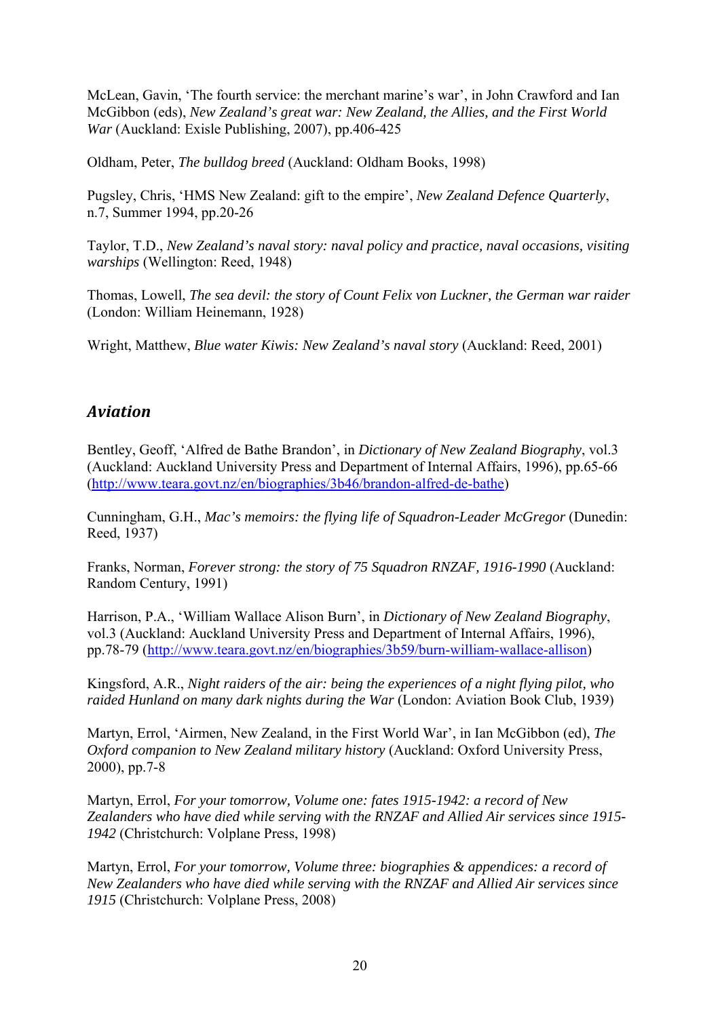McLean, Gavin, 'The fourth service: the merchant marine's war', in John Crawford and Ian McGibbon (eds), *New Zealand's great war: New Zealand, the Allies, and the First World War* (Auckland: Exisle Publishing, 2007), pp.406-425

Oldham, Peter, *The bulldog breed* (Auckland: Oldham Books, 1998)

Pugsley, Chris, 'HMS New Zealand: gift to the empire', *New Zealand Defence Quarterly*, n.7, Summer 1994, pp.20-26

Taylor, T.D., *New Zealand's naval story: naval policy and practice, naval occasions, visiting warships* (Wellington: Reed, 1948)

Thomas, Lowell, *The sea devil: the story of Count Felix von Luckner, the German war raider* (London: William Heinemann, 1928)

Wright, Matthew, *Blue water Kiwis: New Zealand's naval story* (Auckland: Reed, 2001)

#### *Aviation*

Bentley, Geoff, 'Alfred de Bathe Brandon', in *Dictionary of New Zealand Biography*, vol.3 (Auckland: Auckland University Press and Department of Internal Affairs, 1996), pp.65-66 (http://www.teara.govt.nz/en/biographies/3b46/brandon-alfred-de-bathe)

Cunningham, G.H., *Mac's memoirs: the flying life of Squadron-Leader McGregor* (Dunedin: Reed, 1937)

Franks, Norman, *Forever strong: the story of 75 Squadron RNZAF, 1916-1990* (Auckland: Random Century, 1991)

Harrison, P.A., 'William Wallace Alison Burn', in *Dictionary of New Zealand Biography*, vol.3 (Auckland: Auckland University Press and Department of Internal Affairs, 1996), pp.78-79 (http://www.teara.govt.nz/en/biographies/3b59/burn-william-wallace-allison)

Kingsford, A.R., *Night raiders of the air: being the experiences of a night flying pilot, who raided Hunland on many dark nights during the War* (London: Aviation Book Club, 1939)

Martyn, Errol, 'Airmen, New Zealand, in the First World War', in Ian McGibbon (ed), *The Oxford companion to New Zealand military history* (Auckland: Oxford University Press, 2000), pp.7-8

Martyn, Errol, *For your tomorrow, Volume one: fates 1915-1942: a record of New Zealanders who have died while serving with the RNZAF and Allied Air services since 1915- 1942* (Christchurch: Volplane Press, 1998)

Martyn, Errol, *For your tomorrow, Volume three: biographies & appendices: a record of New Zealanders who have died while serving with the RNZAF and Allied Air services since 1915* (Christchurch: Volplane Press, 2008)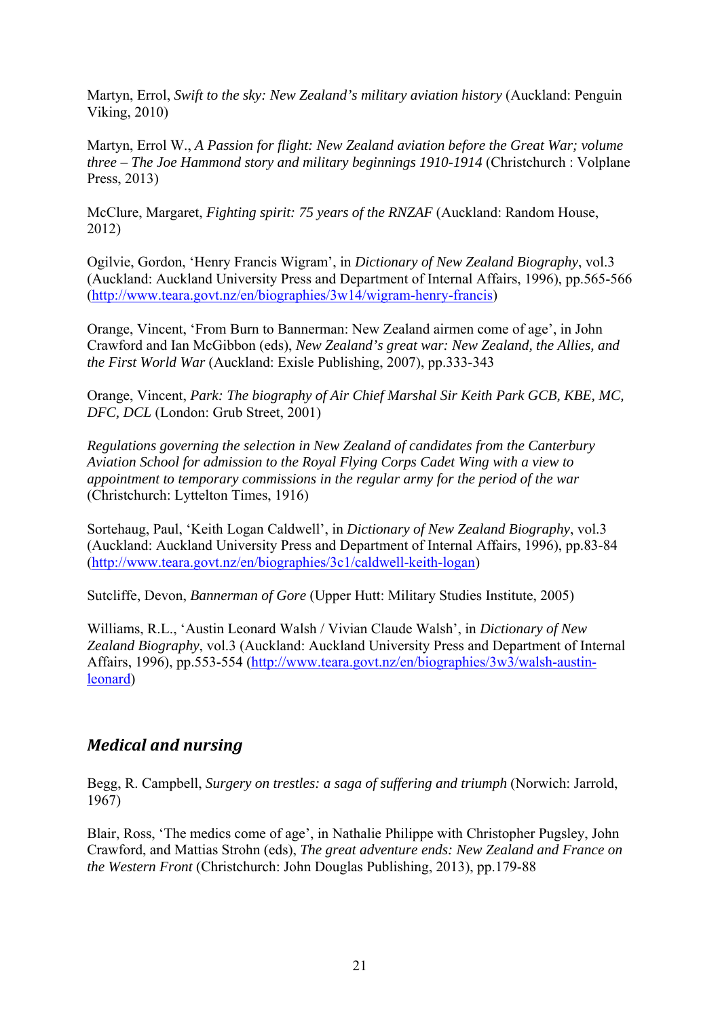Martyn, Errol, *Swift to the sky: New Zealand's military aviation history* (Auckland: Penguin Viking, 2010)

Martyn, Errol W., *A Passion for flight: New Zealand aviation before the Great War; volume three – The Joe Hammond story and military beginnings 1910-1914* (Christchurch : Volplane Press, 2013)

McClure, Margaret, *Fighting spirit: 75 years of the RNZAF* (Auckland: Random House, 2012)

Ogilvie, Gordon, 'Henry Francis Wigram', in *Dictionary of New Zealand Biography*, vol.3 (Auckland: Auckland University Press and Department of Internal Affairs, 1996), pp.565-566 (http://www.teara.govt.nz/en/biographies/3w14/wigram-henry-francis)

Orange, Vincent, 'From Burn to Bannerman: New Zealand airmen come of age', in John Crawford and Ian McGibbon (eds), *New Zealand's great war: New Zealand, the Allies, and the First World War* (Auckland: Exisle Publishing, 2007), pp.333-343

Orange, Vincent, *Park: The biography of Air Chief Marshal Sir Keith Park GCB, KBE, MC, DFC, DCL* (London: Grub Street, 2001)

*Regulations governing the selection in New Zealand of candidates from the Canterbury Aviation School for admission to the Royal Flying Corps Cadet Wing with a view to appointment to temporary commissions in the regular army for the period of the war* (Christchurch: Lyttelton Times, 1916)

Sortehaug, Paul, 'Keith Logan Caldwell', in *Dictionary of New Zealand Biography*, vol.3 (Auckland: Auckland University Press and Department of Internal Affairs, 1996), pp.83-84 (http://www.teara.govt.nz/en/biographies/3c1/caldwell-keith-logan)

Sutcliffe, Devon, *Bannerman of Gore* (Upper Hutt: Military Studies Institute, 2005)

Williams, R.L., 'Austin Leonard Walsh / Vivian Claude Walsh', in *Dictionary of New Zealand Biography*, vol.3 (Auckland: Auckland University Press and Department of Internal Affairs, 1996), pp.553-554 (http://www.teara.govt.nz/en/biographies/3w3/walsh-austinleonard)

## *Medical and nursing*

Begg, R. Campbell, *Surgery on trestles: a saga of suffering and triumph* (Norwich: Jarrold, 1967)

Blair, Ross, 'The medics come of age', in Nathalie Philippe with Christopher Pugsley, John Crawford, and Mattias Strohn (eds), *The great adventure ends: New Zealand and France on the Western Front* (Christchurch: John Douglas Publishing, 2013), pp.179-88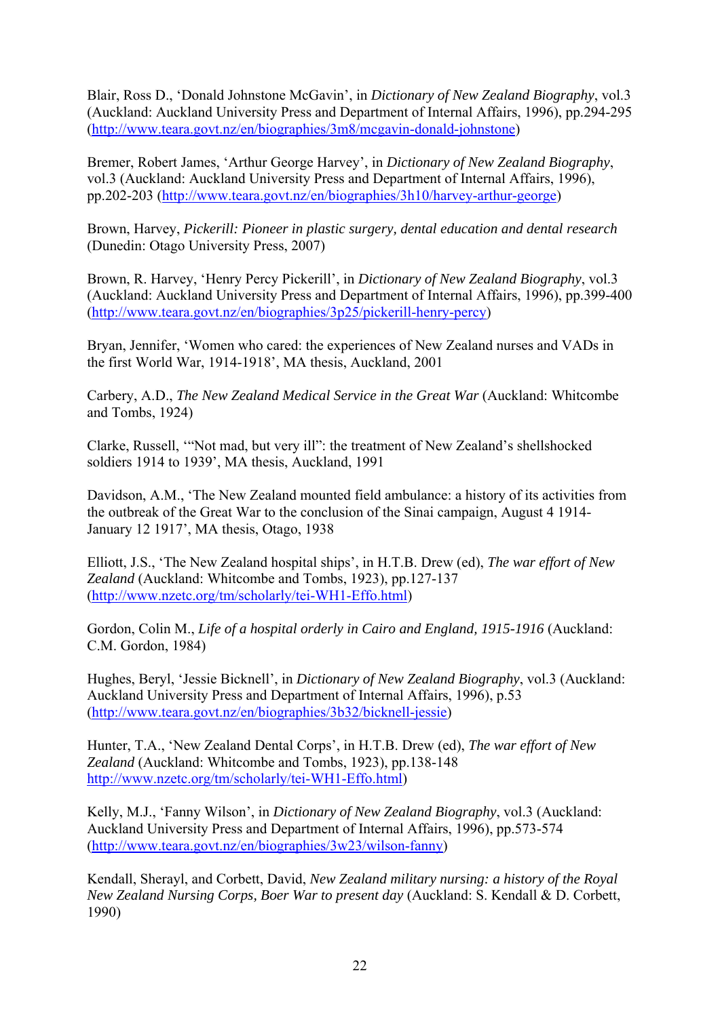Blair, Ross D., 'Donald Johnstone McGavin', in *Dictionary of New Zealand Biography*, vol.3 (Auckland: Auckland University Press and Department of Internal Affairs, 1996), pp.294-295 (http://www.teara.govt.nz/en/biographies/3m8/mcgavin-donald-johnstone)

Bremer, Robert James, 'Arthur George Harvey', in *Dictionary of New Zealand Biography*, vol.3 (Auckland: Auckland University Press and Department of Internal Affairs, 1996), pp.202-203 (http://www.teara.govt.nz/en/biographies/3h10/harvey-arthur-george)

Brown, Harvey, *Pickerill: Pioneer in plastic surgery, dental education and dental research* (Dunedin: Otago University Press, 2007)

Brown, R. Harvey, 'Henry Percy Pickerill', in *Dictionary of New Zealand Biography*, vol.3 (Auckland: Auckland University Press and Department of Internal Affairs, 1996), pp.399-400 (http://www.teara.govt.nz/en/biographies/3p25/pickerill-henry-percy)

Bryan, Jennifer, 'Women who cared: the experiences of New Zealand nurses and VADs in the first World War, 1914-1918', MA thesis, Auckland, 2001

Carbery, A.D., *The New Zealand Medical Service in the Great War* (Auckland: Whitcombe and Tombs, 1924)

Clarke, Russell, '"Not mad, but very ill": the treatment of New Zealand's shellshocked soldiers 1914 to 1939', MA thesis, Auckland, 1991

Davidson, A.M., 'The New Zealand mounted field ambulance: a history of its activities from the outbreak of the Great War to the conclusion of the Sinai campaign, August 4 1914- January 12 1917', MA thesis, Otago, 1938

Elliott, J.S., 'The New Zealand hospital ships', in H.T.B. Drew (ed), *The war effort of New Zealand* (Auckland: Whitcombe and Tombs, 1923), pp.127-137 (http://www.nzetc.org/tm/scholarly/tei-WH1-Effo.html)

Gordon, Colin M., *Life of a hospital orderly in Cairo and England, 1915-1916* (Auckland: C.M. Gordon, 1984)

Hughes, Beryl, 'Jessie Bicknell', in *Dictionary of New Zealand Biography*, vol.3 (Auckland: Auckland University Press and Department of Internal Affairs, 1996), p.53 (http://www.teara.govt.nz/en/biographies/3b32/bicknell-jessie)

Hunter, T.A., 'New Zealand Dental Corps', in H.T.B. Drew (ed), *The war effort of New Zealand* (Auckland: Whitcombe and Tombs, 1923), pp.138-148 http://www.nzetc.org/tm/scholarly/tei-WH1-Effo.html)

Kelly, M.J., 'Fanny Wilson', in *Dictionary of New Zealand Biography*, vol.3 (Auckland: Auckland University Press and Department of Internal Affairs, 1996), pp.573-574 (http://www.teara.govt.nz/en/biographies/3w23/wilson-fanny)

Kendall, Sherayl, and Corbett, David, *New Zealand military nursing: a history of the Royal New Zealand Nursing Corps, Boer War to present day* (Auckland: S. Kendall & D. Corbett, 1990)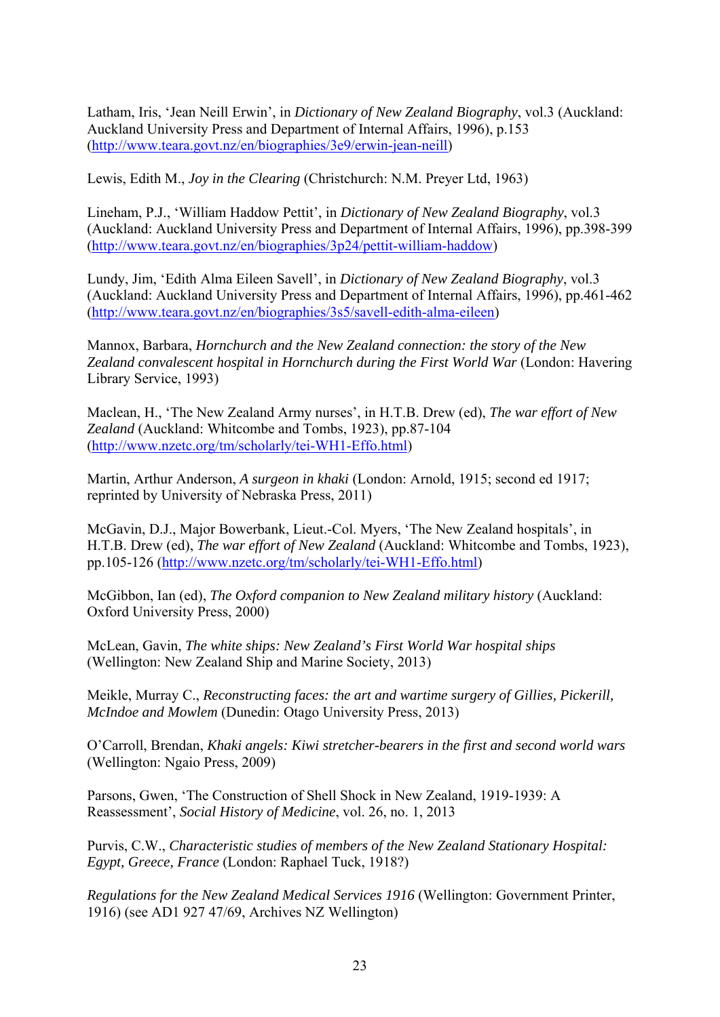Latham, Iris, 'Jean Neill Erwin', in *Dictionary of New Zealand Biography*, vol.3 (Auckland: Auckland University Press and Department of Internal Affairs, 1996), p.153 (http://www.teara.govt.nz/en/biographies/3e9/erwin-jean-neill)

Lewis, Edith M., *Joy in the Clearing* (Christchurch: N.M. Preyer Ltd, 1963)

Lineham, P.J., 'William Haddow Pettit', in *Dictionary of New Zealand Biography*, vol.3 (Auckland: Auckland University Press and Department of Internal Affairs, 1996), pp.398-399 (http://www.teara.govt.nz/en/biographies/3p24/pettit-william-haddow)

Lundy, Jim, 'Edith Alma Eileen Savell', in *Dictionary of New Zealand Biography*, vol.3 (Auckland: Auckland University Press and Department of Internal Affairs, 1996), pp.461-462 (http://www.teara.govt.nz/en/biographies/3s5/savell-edith-alma-eileen)

Mannox, Barbara, *Hornchurch and the New Zealand connection: the story of the New Zealand convalescent hospital in Hornchurch during the First World War* (London: Havering Library Service, 1993)

Maclean, H., 'The New Zealand Army nurses', in H.T.B. Drew (ed), *The war effort of New Zealand* (Auckland: Whitcombe and Tombs, 1923), pp.87-104 (http://www.nzetc.org/tm/scholarly/tei-WH1-Effo.html)

Martin, Arthur Anderson, *A surgeon in khaki* (London: Arnold, 1915; second ed 1917; reprinted by University of Nebraska Press, 2011)

McGavin, D.J., Major Bowerbank, Lieut.-Col. Myers, 'The New Zealand hospitals', in H.T.B. Drew (ed), *The war effort of New Zealand* (Auckland: Whitcombe and Tombs, 1923), pp.105-126 (http://www.nzetc.org/tm/scholarly/tei-WH1-Effo.html)

McGibbon, Ian (ed), *The Oxford companion to New Zealand military history* (Auckland: Oxford University Press, 2000)

McLean, Gavin, *The white ships: New Zealand's First World War hospital ships* (Wellington: New Zealand Ship and Marine Society, 2013)

Meikle, Murray C., *Reconstructing faces: the art and wartime surgery of Gillies, Pickerill, McIndoe and Mowlem* (Dunedin: Otago University Press, 2013)

O'Carroll, Brendan, *Khaki angels: Kiwi stretcher-bearers in the first and second world wars* (Wellington: Ngaio Press, 2009)

Parsons, Gwen, 'The Construction of Shell Shock in New Zealand, 1919-1939: A Reassessment', *Social History of Medicine*, vol. 26, no. 1, 2013

Purvis, C.W., *Characteristic studies of members of the New Zealand Stationary Hospital: Egypt, Greece, France* (London: Raphael Tuck, 1918?)

*Regulations for the New Zealand Medical Services 1916* (Wellington: Government Printer, 1916) (see AD1 927 47/69, Archives NZ Wellington)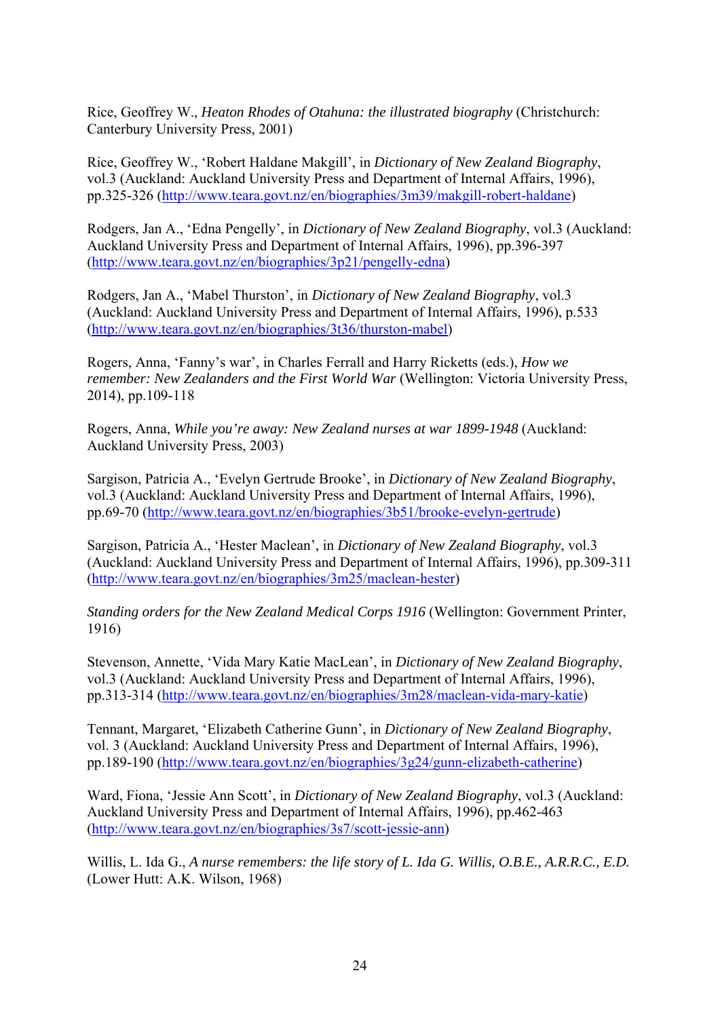Rice, Geoffrey W., *Heaton Rhodes of Otahuna: the illustrated biography* (Christchurch: Canterbury University Press, 2001)

Rice, Geoffrey W., 'Robert Haldane Makgill', in *Dictionary of New Zealand Biography*, vol.3 (Auckland: Auckland University Press and Department of Internal Affairs, 1996), pp.325-326 (http://www.teara.govt.nz/en/biographies/3m39/makgill-robert-haldane)

Rodgers, Jan A., 'Edna Pengelly', in *Dictionary of New Zealand Biography*, vol.3 (Auckland: Auckland University Press and Department of Internal Affairs, 1996), pp.396-397 (http://www.teara.govt.nz/en/biographies/3p21/pengelly-edna)

Rodgers, Jan A., 'Mabel Thurston', in *Dictionary of New Zealand Biography*, vol.3 (Auckland: Auckland University Press and Department of Internal Affairs, 1996), p.533 (http://www.teara.govt.nz/en/biographies/3t36/thurston-mabel)

Rogers, Anna, 'Fanny's war', in Charles Ferrall and Harry Ricketts (eds.), *How we remember: New Zealanders and the First World War* (Wellington: Victoria University Press, 2014), pp.109-118

Rogers, Anna, *While you're away: New Zealand nurses at war 1899-1948* (Auckland: Auckland University Press, 2003)

Sargison, Patricia A., 'Evelyn Gertrude Brooke', in *Dictionary of New Zealand Biography*, vol.3 (Auckland: Auckland University Press and Department of Internal Affairs, 1996), pp.69-70 (http://www.teara.govt.nz/en/biographies/3b51/brooke-evelyn-gertrude)

Sargison, Patricia A., 'Hester Maclean', in *Dictionary of New Zealand Biography*, vol.3 (Auckland: Auckland University Press and Department of Internal Affairs, 1996), pp.309-311 (http://www.teara.govt.nz/en/biographies/3m25/maclean-hester)

*Standing orders for the New Zealand Medical Corps 1916* (Wellington: Government Printer, 1916)

Stevenson, Annette, 'Vida Mary Katie MacLean', in *Dictionary of New Zealand Biography*, vol.3 (Auckland: Auckland University Press and Department of Internal Affairs, 1996), pp.313-314 (http://www.teara.govt.nz/en/biographies/3m28/maclean-vida-mary-katie)

Tennant, Margaret, 'Elizabeth Catherine Gunn', in *Dictionary of New Zealand Biography*, vol. 3 (Auckland: Auckland University Press and Department of Internal Affairs, 1996), pp.189-190 (http://www.teara.govt.nz/en/biographies/3g24/gunn-elizabeth-catherine)

Ward, Fiona, 'Jessie Ann Scott', in *Dictionary of New Zealand Biography*, vol.3 (Auckland: Auckland University Press and Department of Internal Affairs, 1996), pp.462-463 (http://www.teara.govt.nz/en/biographies/3s7/scott-jessie-ann)

Willis, L. Ida G., *A nurse remembers: the life story of L. Ida G. Willis, O.B.E., A.R.R.C., E.D.* (Lower Hutt: A.K. Wilson, 1968)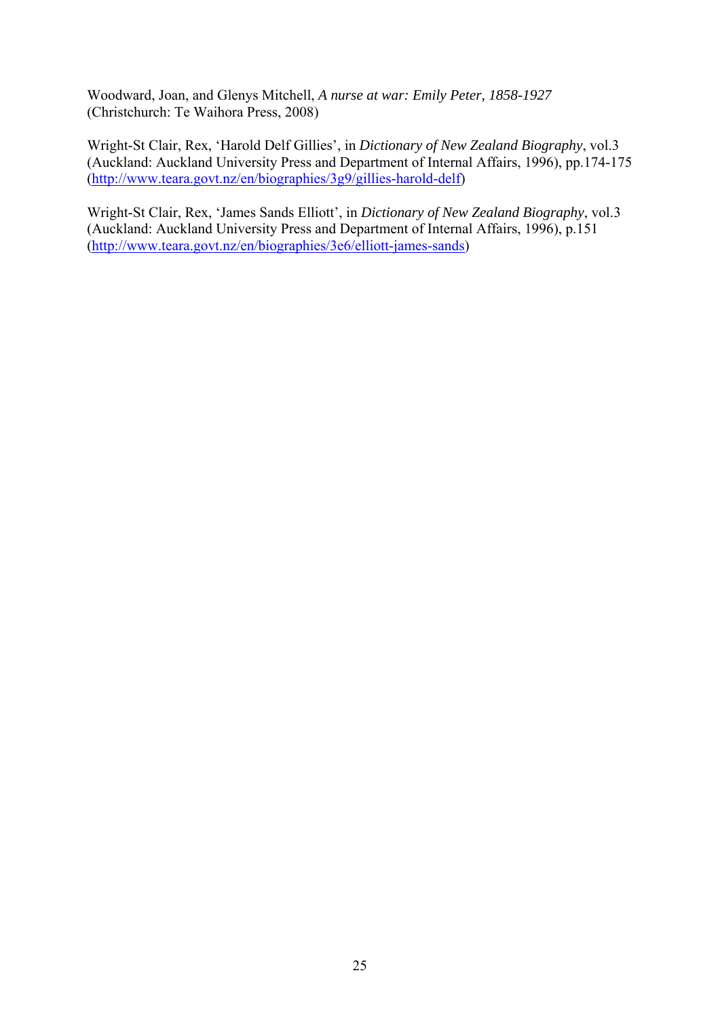Woodward, Joan, and Glenys Mitchell, *A nurse at war: Emily Peter, 1858-1927*  (Christchurch: Te Waihora Press, 2008)

Wright-St Clair, Rex, 'Harold Delf Gillies', in *Dictionary of New Zealand Biography*, vol.3 (Auckland: Auckland University Press and Department of Internal Affairs, 1996), pp.174-175 (http://www.teara.govt.nz/en/biographies/3g9/gillies-harold-delf)

Wright-St Clair, Rex, 'James Sands Elliott', in *Dictionary of New Zealand Biography*, vol.3 (Auckland: Auckland University Press and Department of Internal Affairs, 1996), p.151 (http://www.teara.govt.nz/en/biographies/3e6/elliott-james-sands)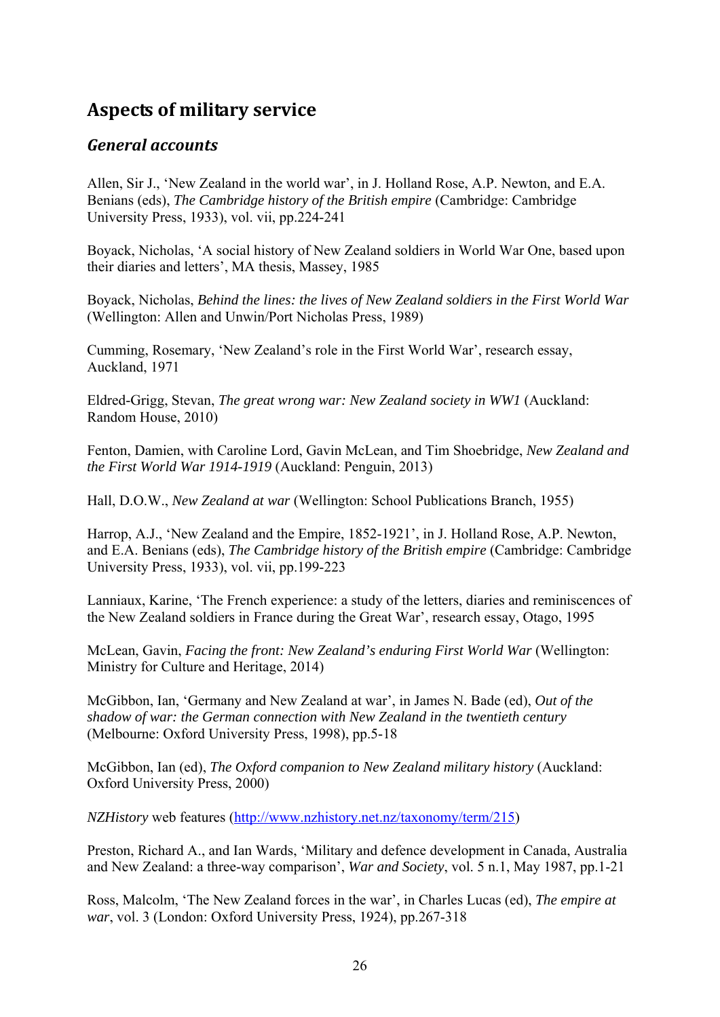# **Aspects of military service**

#### *General accounts*

Allen, Sir J., 'New Zealand in the world war', in J. Holland Rose, A.P. Newton, and E.A. Benians (eds), *The Cambridge history of the British empire* (Cambridge: Cambridge University Press, 1933), vol. vii, pp.224-241

Boyack, Nicholas, 'A social history of New Zealand soldiers in World War One, based upon their diaries and letters', MA thesis, Massey, 1985

Boyack, Nicholas, *Behind the lines: the lives of New Zealand soldiers in the First World War* (Wellington: Allen and Unwin/Port Nicholas Press, 1989)

Cumming, Rosemary, 'New Zealand's role in the First World War', research essay, Auckland, 1971

Eldred-Grigg, Stevan, *The great wrong war: New Zealand society in WW1* (Auckland: Random House, 2010)

Fenton, Damien, with Caroline Lord, Gavin McLean, and Tim Shoebridge, *New Zealand and the First World War 1914-1919* (Auckland: Penguin, 2013)

Hall, D.O.W., *New Zealand at war* (Wellington: School Publications Branch, 1955)

Harrop, A.J., 'New Zealand and the Empire, 1852-1921', in J. Holland Rose, A.P. Newton, and E.A. Benians (eds), *The Cambridge history of the British empire* (Cambridge: Cambridge University Press, 1933), vol. vii, pp.199-223

Lanniaux, Karine, 'The French experience: a study of the letters, diaries and reminiscences of the New Zealand soldiers in France during the Great War', research essay, Otago, 1995

McLean, Gavin, *Facing the front: New Zealand's enduring First World War* (Wellington: Ministry for Culture and Heritage, 2014)

McGibbon, Ian, 'Germany and New Zealand at war', in James N. Bade (ed), *Out of the shadow of war: the German connection with New Zealand in the twentieth century* (Melbourne: Oxford University Press, 1998), pp.5-18

McGibbon, Ian (ed), *The Oxford companion to New Zealand military history* (Auckland: Oxford University Press, 2000)

*NZHistory* web features (http://www.nzhistory.net.nz/taxonomy/term/215)

Preston, Richard A., and Ian Wards, 'Military and defence development in Canada, Australia and New Zealand: a three-way comparison', *War and Society*, vol. 5 n.1, May 1987, pp.1-21

Ross, Malcolm, 'The New Zealand forces in the war', in Charles Lucas (ed), *The empire at war*, vol. 3 (London: Oxford University Press, 1924), pp.267-318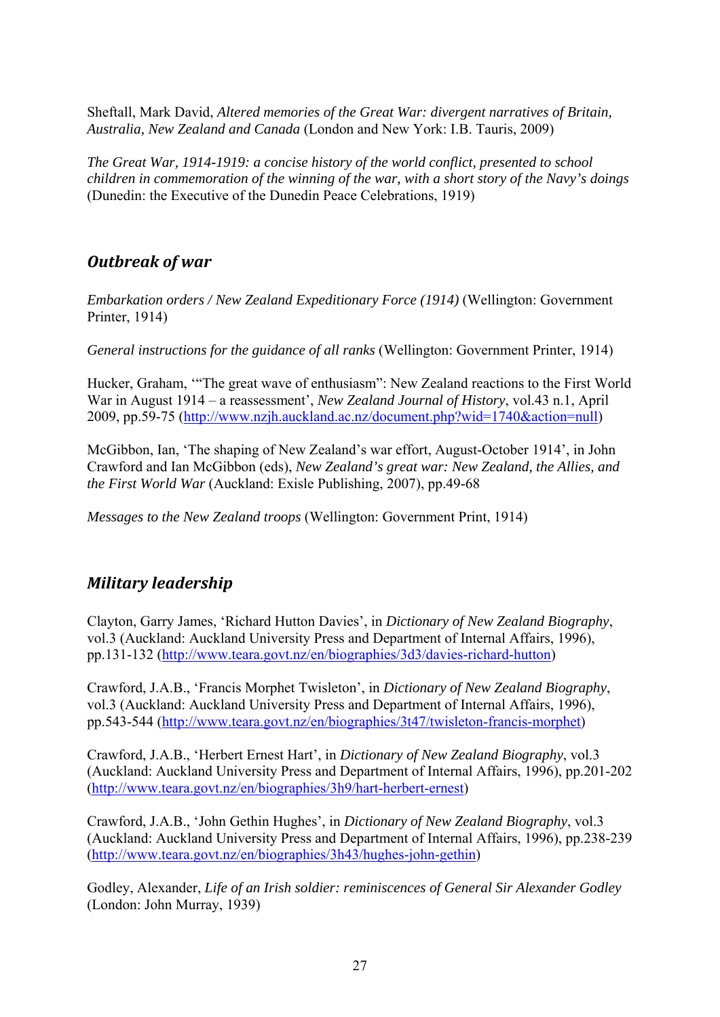Sheftall, Mark David, *Altered memories of the Great War: divergent narratives of Britain, Australia, New Zealand and Canada* (London and New York: I.B. Tauris, 2009)

*The Great War, 1914-1919: a concise history of the world conflict, presented to school children in commemoration of the winning of the war, with a short story of the Navy's doings* (Dunedin: the Executive of the Dunedin Peace Celebrations, 1919)

## *Outbreak of war*

*Embarkation orders / New Zealand Expeditionary Force (1914)* (Wellington: Government Printer, 1914)

*General instructions for the guidance of all ranks* (Wellington: Government Printer, 1914)

Hucker, Graham, '"The great wave of enthusiasm": New Zealand reactions to the First World War in August 1914 – a reassessment', *New Zealand Journal of History*, vol.43 n.1, April 2009, pp.59-75 (http://www.nzjh.auckland.ac.nz/document.php?wid=1740&action=null)

McGibbon, Ian, 'The shaping of New Zealand's war effort, August-October 1914', in John Crawford and Ian McGibbon (eds), *New Zealand's great war: New Zealand, the Allies, and the First World War* (Auckland: Exisle Publishing, 2007), pp.49-68

*Messages to the New Zealand troops* (Wellington: Government Print, 1914)

# *Military leadership*

Clayton, Garry James, 'Richard Hutton Davies', in *Dictionary of New Zealand Biography*, vol.3 (Auckland: Auckland University Press and Department of Internal Affairs, 1996), pp.131-132 (http://www.teara.govt.nz/en/biographies/3d3/davies-richard-hutton)

Crawford, J.A.B., 'Francis Morphet Twisleton', in *Dictionary of New Zealand Biography*, vol.3 (Auckland: Auckland University Press and Department of Internal Affairs, 1996), pp.543-544 (http://www.teara.govt.nz/en/biographies/3t47/twisleton-francis-morphet)

Crawford, J.A.B., 'Herbert Ernest Hart', in *Dictionary of New Zealand Biography*, vol.3 (Auckland: Auckland University Press and Department of Internal Affairs, 1996), pp.201-202 (http://www.teara.govt.nz/en/biographies/3h9/hart-herbert-ernest)

Crawford, J.A.B., 'John Gethin Hughes', in *Dictionary of New Zealand Biography*, vol.3 (Auckland: Auckland University Press and Department of Internal Affairs, 1996), pp.238-239 (http://www.teara.govt.nz/en/biographies/3h43/hughes-john-gethin)

Godley, Alexander, *Life of an Irish soldier: reminiscences of General Sir Alexander Godley* (London: John Murray, 1939)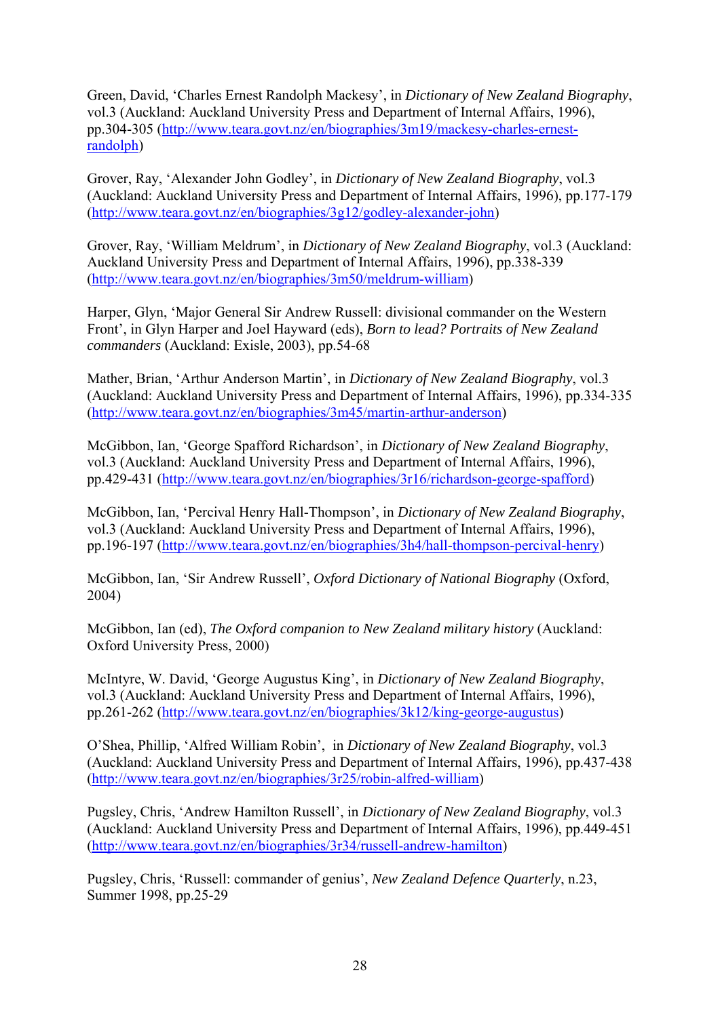Green, David, 'Charles Ernest Randolph Mackesy', in *Dictionary of New Zealand Biography*, vol.3 (Auckland: Auckland University Press and Department of Internal Affairs, 1996), pp.304-305 (http://www.teara.govt.nz/en/biographies/3m19/mackesy-charles-ernestrandolph)

Grover, Ray, 'Alexander John Godley', in *Dictionary of New Zealand Biography*, vol.3 (Auckland: Auckland University Press and Department of Internal Affairs, 1996), pp.177-179 (http://www.teara.govt.nz/en/biographies/3g12/godley-alexander-john)

Grover, Ray, 'William Meldrum', in *Dictionary of New Zealand Biography*, vol.3 (Auckland: Auckland University Press and Department of Internal Affairs, 1996), pp.338-339 (http://www.teara.govt.nz/en/biographies/3m50/meldrum-william)

Harper, Glyn, 'Major General Sir Andrew Russell: divisional commander on the Western Front', in Glyn Harper and Joel Hayward (eds), *Born to lead? Portraits of New Zealand commanders* (Auckland: Exisle, 2003), pp.54-68

Mather, Brian, 'Arthur Anderson Martin', in *Dictionary of New Zealand Biography*, vol.3 (Auckland: Auckland University Press and Department of Internal Affairs, 1996), pp.334-335 (http://www.teara.govt.nz/en/biographies/3m45/martin-arthur-anderson)

McGibbon, Ian, 'George Spafford Richardson', in *Dictionary of New Zealand Biography*, vol.3 (Auckland: Auckland University Press and Department of Internal Affairs, 1996), pp.429-431 (http://www.teara.govt.nz/en/biographies/3r16/richardson-george-spafford)

McGibbon, Ian, 'Percival Henry Hall-Thompson', in *Dictionary of New Zealand Biography*, vol.3 (Auckland: Auckland University Press and Department of Internal Affairs, 1996), pp.196-197 (http://www.teara.govt.nz/en/biographies/3h4/hall-thompson-percival-henry)

McGibbon, Ian, 'Sir Andrew Russell', *Oxford Dictionary of National Biography* (Oxford, 2004)

McGibbon, Ian (ed), *The Oxford companion to New Zealand military history* (Auckland: Oxford University Press, 2000)

McIntyre, W. David, 'George Augustus King', in *Dictionary of New Zealand Biography*, vol.3 (Auckland: Auckland University Press and Department of Internal Affairs, 1996), pp.261-262 (http://www.teara.govt.nz/en/biographies/3k12/king-george-augustus)

O'Shea, Phillip, 'Alfred William Robin', in *Dictionary of New Zealand Biography*, vol.3 (Auckland: Auckland University Press and Department of Internal Affairs, 1996), pp.437-438 (http://www.teara.govt.nz/en/biographies/3r25/robin-alfred-william)

Pugsley, Chris, 'Andrew Hamilton Russell', in *Dictionary of New Zealand Biography*, vol.3 (Auckland: Auckland University Press and Department of Internal Affairs, 1996), pp.449-451 (http://www.teara.govt.nz/en/biographies/3r34/russell-andrew-hamilton)

Pugsley, Chris, 'Russell: commander of genius', *New Zealand Defence Quarterly*, n.23, Summer 1998, pp.25-29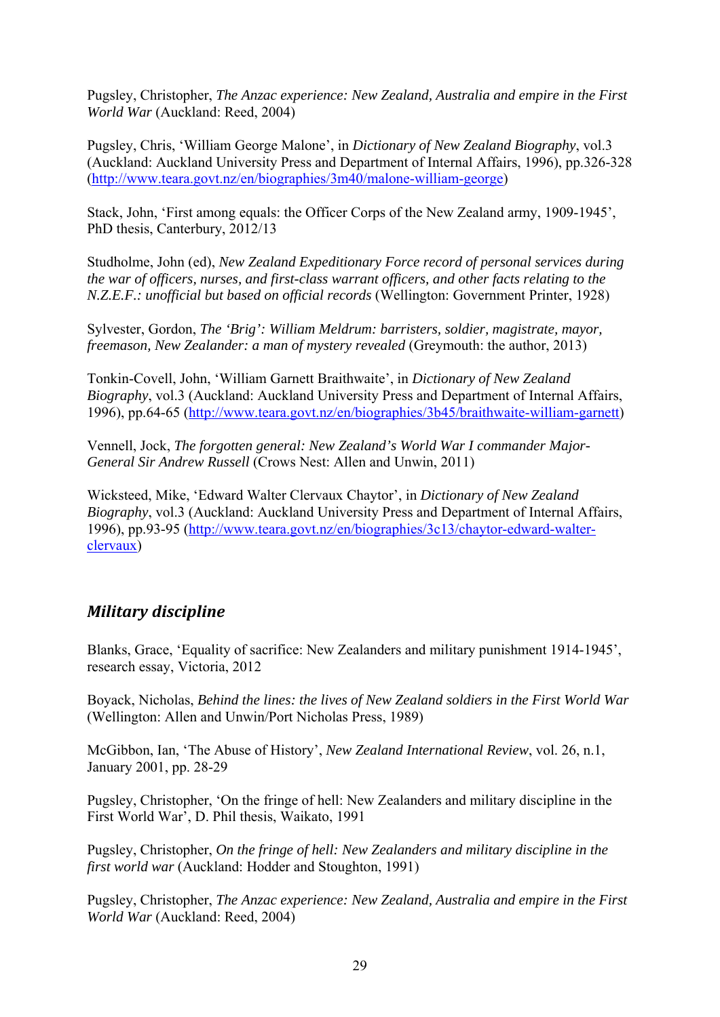Pugsley, Christopher, *The Anzac experience: New Zealand, Australia and empire in the First World War* (Auckland: Reed, 2004)

Pugsley, Chris, 'William George Malone', in *Dictionary of New Zealand Biography*, vol.3 (Auckland: Auckland University Press and Department of Internal Affairs, 1996), pp.326-328 (http://www.teara.govt.nz/en/biographies/3m40/malone-william-george)

Stack, John, 'First among equals: the Officer Corps of the New Zealand army, 1909-1945', PhD thesis, Canterbury, 2012/13

Studholme, John (ed), *New Zealand Expeditionary Force record of personal services during the war of officers, nurses, and first-class warrant officers, and other facts relating to the N.Z.E.F.: unofficial but based on official records* (Wellington: Government Printer, 1928)

Sylvester, Gordon, *The 'Brig': William Meldrum: barristers, soldier, magistrate, mayor, freemason, New Zealander: a man of mystery revealed* (Greymouth: the author, 2013)

Tonkin-Covell, John, 'William Garnett Braithwaite', in *Dictionary of New Zealand Biography*, vol.3 (Auckland: Auckland University Press and Department of Internal Affairs, 1996), pp.64-65 (http://www.teara.govt.nz/en/biographies/3b45/braithwaite-william-garnett)

Vennell, Jock, *The forgotten general: New Zealand's World War I commander Major-General Sir Andrew Russell* (Crows Nest: Allen and Unwin, 2011)

Wicksteed, Mike, 'Edward Walter Clervaux Chaytor', in *Dictionary of New Zealand Biography*, vol.3 (Auckland: Auckland University Press and Department of Internal Affairs, 1996), pp.93-95 (http://www.teara.govt.nz/en/biographies/3c13/chaytor-edward-walterclervaux)

## *Military discipline*

Blanks, Grace, 'Equality of sacrifice: New Zealanders and military punishment 1914-1945', research essay, Victoria, 2012

Boyack, Nicholas, *Behind the lines: the lives of New Zealand soldiers in the First World War* (Wellington: Allen and Unwin/Port Nicholas Press, 1989)

McGibbon, Ian, 'The Abuse of History', *New Zealand International Review*, vol. 26, n.1, January 2001, pp. 28-29

Pugsley, Christopher, 'On the fringe of hell: New Zealanders and military discipline in the First World War', D. Phil thesis, Waikato, 1991

Pugsley, Christopher, *On the fringe of hell: New Zealanders and military discipline in the first world war* (Auckland: Hodder and Stoughton, 1991)

Pugsley, Christopher, *The Anzac experience: New Zealand, Australia and empire in the First World War* (Auckland: Reed, 2004)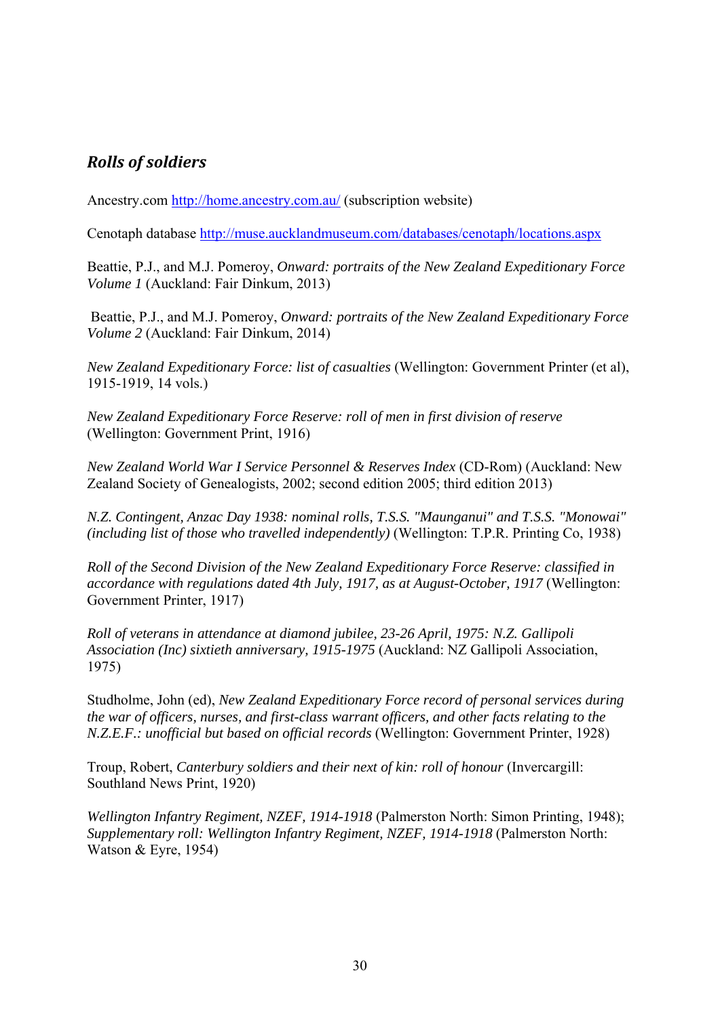# *Rolls of soldiers*

Ancestry.com http://home.ancestry.com.au/ (subscription website)

Cenotaph database http://muse.aucklandmuseum.com/databases/cenotaph/locations.aspx

Beattie, P.J., and M.J. Pomeroy, *Onward: portraits of the New Zealand Expeditionary Force Volume 1* (Auckland: Fair Dinkum, 2013)

 Beattie, P.J., and M.J. Pomeroy, *Onward: portraits of the New Zealand Expeditionary Force Volume 2* (Auckland: Fair Dinkum, 2014)

*New Zealand Expeditionary Force: list of casualties* (Wellington: Government Printer (et al), 1915-1919, 14 vols.)

*New Zealand Expeditionary Force Reserve: roll of men in first division of reserve* (Wellington: Government Print, 1916)

*New Zealand World War I Service Personnel & Reserves Index* (CD-Rom) (Auckland: New Zealand Society of Genealogists, 2002; second edition 2005; third edition 2013)

*N.Z. Contingent, Anzac Day 1938: nominal rolls, T.S.S. "Maunganui" and T.S.S. "Monowai" (including list of those who travelled independently)* (Wellington: T.P.R. Printing Co, 1938)

*Roll of the Second Division of the New Zealand Expeditionary Force Reserve: classified in accordance with regulations dated 4th July, 1917, as at August-October, 1917* (Wellington: Government Printer, 1917)

*Roll of veterans in attendance at diamond jubilee, 23-26 April, 1975: N.Z. Gallipoli Association (Inc) sixtieth anniversary, 1915-1975* (Auckland: NZ Gallipoli Association, 1975)

Studholme, John (ed), *New Zealand Expeditionary Force record of personal services during the war of officers, nurses, and first-class warrant officers, and other facts relating to the N.Z.E.F.: unofficial but based on official records* (Wellington: Government Printer, 1928)

Troup, Robert, *Canterbury soldiers and their next of kin: roll of honour* (Invercargill: Southland News Print, 1920)

*Wellington Infantry Regiment, NZEF, 1914-1918* (Palmerston North: Simon Printing, 1948); *Supplementary roll: Wellington Infantry Regiment, NZEF, 1914-1918* (Palmerston North: Watson & Eyre, 1954)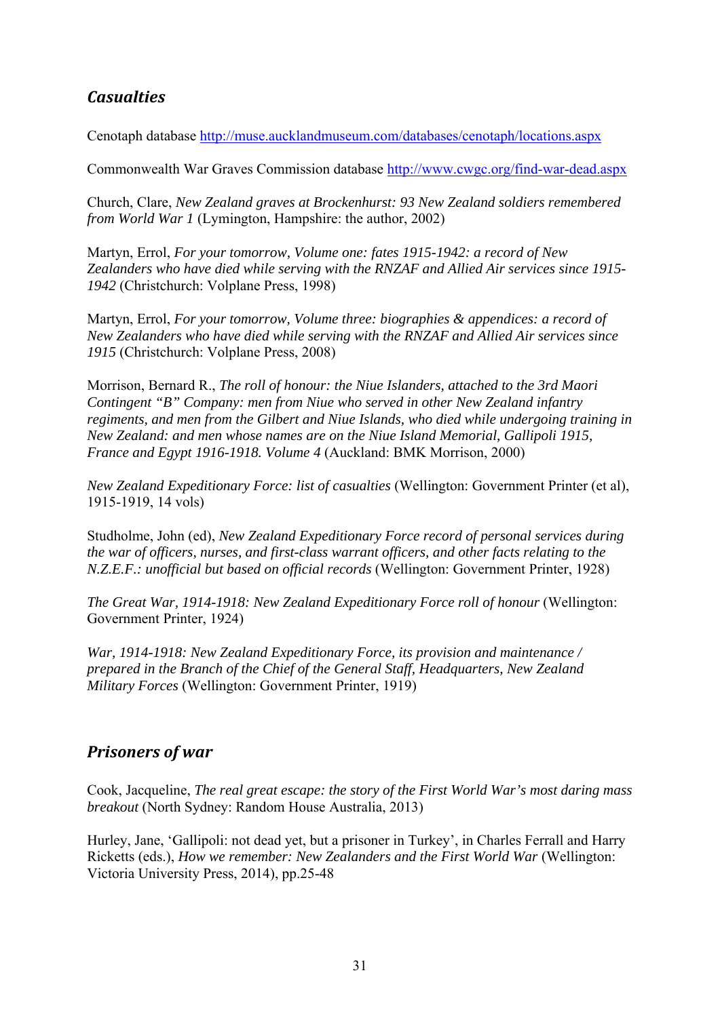# *Casualties*

Cenotaph database http://muse.aucklandmuseum.com/databases/cenotaph/locations.aspx

Commonwealth War Graves Commission database http://www.cwgc.org/find-war-dead.aspx

Church, Clare, *New Zealand graves at Brockenhurst: 93 New Zealand soldiers remembered from World War 1* (Lymington, Hampshire: the author, 2002)

Martyn, Errol, *For your tomorrow, Volume one: fates 1915-1942: a record of New Zealanders who have died while serving with the RNZAF and Allied Air services since 1915- 1942* (Christchurch: Volplane Press, 1998)

Martyn, Errol, *For your tomorrow, Volume three: biographies & appendices: a record of New Zealanders who have died while serving with the RNZAF and Allied Air services since 1915* (Christchurch: Volplane Press, 2008)

Morrison, Bernard R., *The roll of honour: the Niue Islanders, attached to the 3rd Maori Contingent "B" Company: men from Niue who served in other New Zealand infantry regiments, and men from the Gilbert and Niue Islands, who died while undergoing training in New Zealand: and men whose names are on the Niue Island Memorial, Gallipoli 1915, France and Egypt 1916-1918. Volume 4* (Auckland: BMK Morrison, 2000)

*New Zealand Expeditionary Force: list of casualties* (Wellington: Government Printer (et al), 1915-1919, 14 vols)

Studholme, John (ed), *New Zealand Expeditionary Force record of personal services during the war of officers, nurses, and first-class warrant officers, and other facts relating to the N.Z.E.F.: unofficial but based on official records* (Wellington: Government Printer, 1928)

*The Great War, 1914-1918: New Zealand Expeditionary Force roll of honour (Wellington:* Government Printer, 1924)

*War, 1914-1918: New Zealand Expeditionary Force, its provision and maintenance / prepared in the Branch of the Chief of the General Staff, Headquarters, New Zealand Military Forces* (Wellington: Government Printer, 1919)

## *Prisoners of war*

Cook, Jacqueline, *The real great escape: the story of the First World War's most daring mass breakout* (North Sydney: Random House Australia, 2013)

Hurley, Jane, 'Gallipoli: not dead yet, but a prisoner in Turkey', in Charles Ferrall and Harry Ricketts (eds.), *How we remember: New Zealanders and the First World War* (Wellington: Victoria University Press, 2014), pp.25-48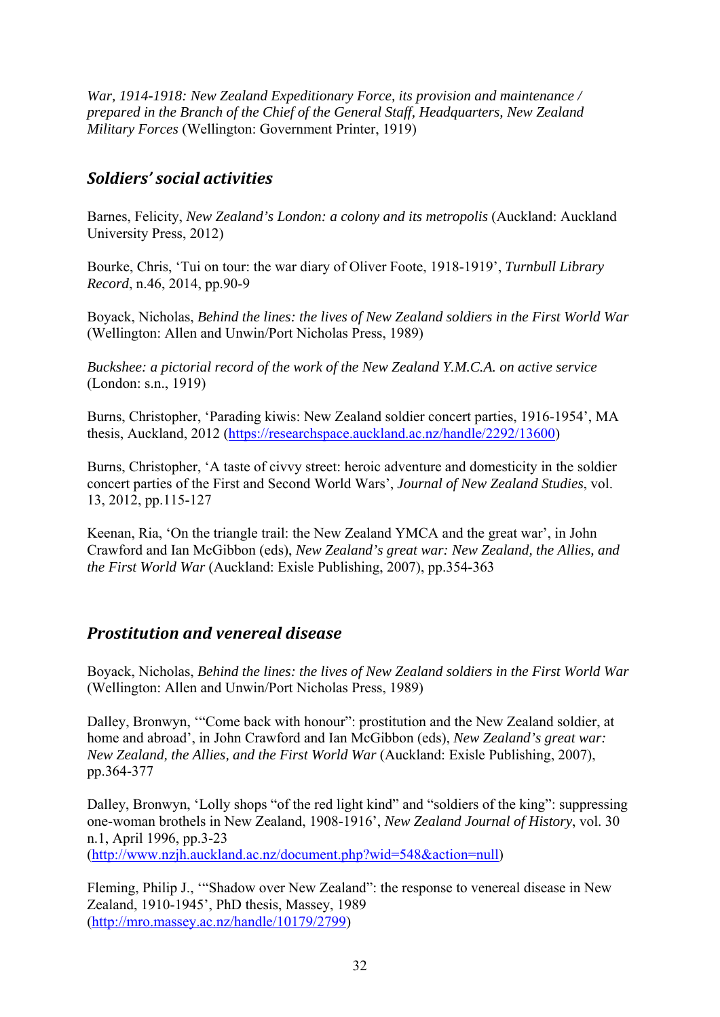*War, 1914-1918: New Zealand Expeditionary Force, its provision and maintenance / prepared in the Branch of the Chief of the General Staff, Headquarters, New Zealand Military Forces* (Wellington: Government Printer, 1919)

## *Soldiers' social activities*

Barnes, Felicity, *New Zealand's London: a colony and its metropolis* (Auckland: Auckland University Press, 2012)

Bourke, Chris, 'Tui on tour: the war diary of Oliver Foote, 1918-1919', *Turnbull Library Record*, n.46, 2014, pp.90-9

Boyack, Nicholas, *Behind the lines: the lives of New Zealand soldiers in the First World War* (Wellington: Allen and Unwin/Port Nicholas Press, 1989)

*Buckshee: a pictorial record of the work of the New Zealand Y.M.C.A. on active service* (London: s.n., 1919)

Burns, Christopher, 'Parading kiwis: New Zealand soldier concert parties, 1916-1954', MA thesis, Auckland, 2012 (https://researchspace.auckland.ac.nz/handle/2292/13600)

Burns, Christopher, 'A taste of civvy street: heroic adventure and domesticity in the soldier concert parties of the First and Second World Wars', *Journal of New Zealand Studies*, vol. 13, 2012, pp.115-127

Keenan, Ria, 'On the triangle trail: the New Zealand YMCA and the great war', in John Crawford and Ian McGibbon (eds), *New Zealand's great war: New Zealand, the Allies, and the First World War* (Auckland: Exisle Publishing, 2007), pp.354-363

## *Prostitution and venereal disease*

Boyack, Nicholas, *Behind the lines: the lives of New Zealand soldiers in the First World War* (Wellington: Allen and Unwin/Port Nicholas Press, 1989)

Dalley, Bronwyn, '"Come back with honour": prostitution and the New Zealand soldier, at home and abroad', in John Crawford and Ian McGibbon (eds), *New Zealand's great war: New Zealand, the Allies, and the First World War* (Auckland: Exisle Publishing, 2007), pp.364-377

Dalley, Bronwyn, 'Lolly shops "of the red light kind" and "soldiers of the king": suppressing one-woman brothels in New Zealand, 1908-1916', *New Zealand Journal of History*, vol. 30 n.1, April 1996, pp.3-23

(http://www.nzjh.auckland.ac.nz/document.php?wid=548&action=null)

Fleming, Philip J., '"Shadow over New Zealand": the response to venereal disease in New Zealand, 1910-1945', PhD thesis, Massey, 1989 (http://mro.massey.ac.nz/handle/10179/2799)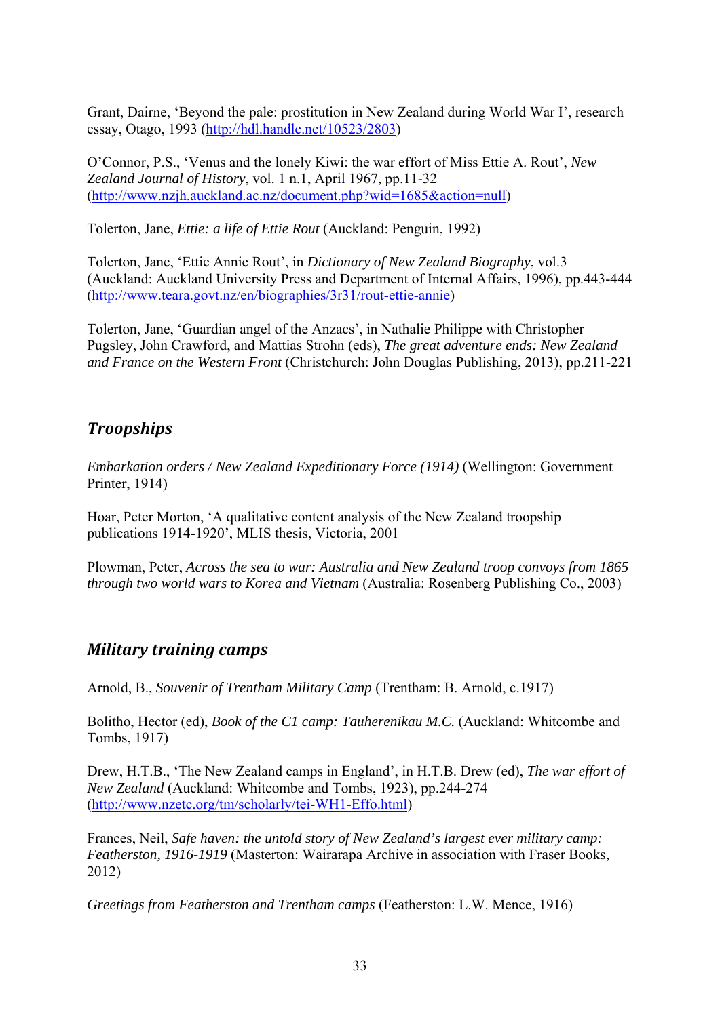Grant, Dairne, 'Beyond the pale: prostitution in New Zealand during World War I', research essay, Otago, 1993 (http://hdl.handle.net/10523/2803)

O'Connor, P.S., 'Venus and the lonely Kiwi: the war effort of Miss Ettie A. Rout', *New Zealand Journal of History*, vol. 1 n.1, April 1967, pp.11-32 (http://www.nzjh.auckland.ac.nz/document.php?wid=1685&action=null)

Tolerton, Jane, *Ettie: a life of Ettie Rout* (Auckland: Penguin, 1992)

Tolerton, Jane, 'Ettie Annie Rout', in *Dictionary of New Zealand Biography*, vol.3 (Auckland: Auckland University Press and Department of Internal Affairs, 1996), pp.443-444 (http://www.teara.govt.nz/en/biographies/3r31/rout-ettie-annie)

Tolerton, Jane, 'Guardian angel of the Anzacs', in Nathalie Philippe with Christopher Pugsley, John Crawford, and Mattias Strohn (eds), *The great adventure ends: New Zealand and France on the Western Front* (Christchurch: John Douglas Publishing, 2013), pp.211-221

# *Troopships*

*Embarkation orders / New Zealand Expeditionary Force (1914)* (Wellington: Government Printer, 1914)

Hoar, Peter Morton, 'A qualitative content analysis of the New Zealand troopship publications 1914-1920', MLIS thesis, Victoria, 2001

Plowman, Peter, *Across the sea to war: Australia and New Zealand troop convoys from 1865 through two world wars to Korea and Vietnam* (Australia: Rosenberg Publishing Co., 2003)

## *Military training camps*

Arnold, B., *Souvenir of Trentham Military Camp* (Trentham: B. Arnold, c.1917)

Bolitho, Hector (ed), *Book of the C1 camp: Tauherenikau M.C.* (Auckland: Whitcombe and Tombs, 1917)

Drew, H.T.B., 'The New Zealand camps in England', in H.T.B. Drew (ed), *The war effort of New Zealand* (Auckland: Whitcombe and Tombs, 1923), pp.244-274 (http://www.nzetc.org/tm/scholarly/tei-WH1-Effo.html)

Frances, Neil, *Safe haven: the untold story of New Zealand's largest ever military camp: Featherston, 1916-1919* (Masterton: Wairarapa Archive in association with Fraser Books, 2012)

*Greetings from Featherston and Trentham camps* (Featherston: L.W. Mence, 1916)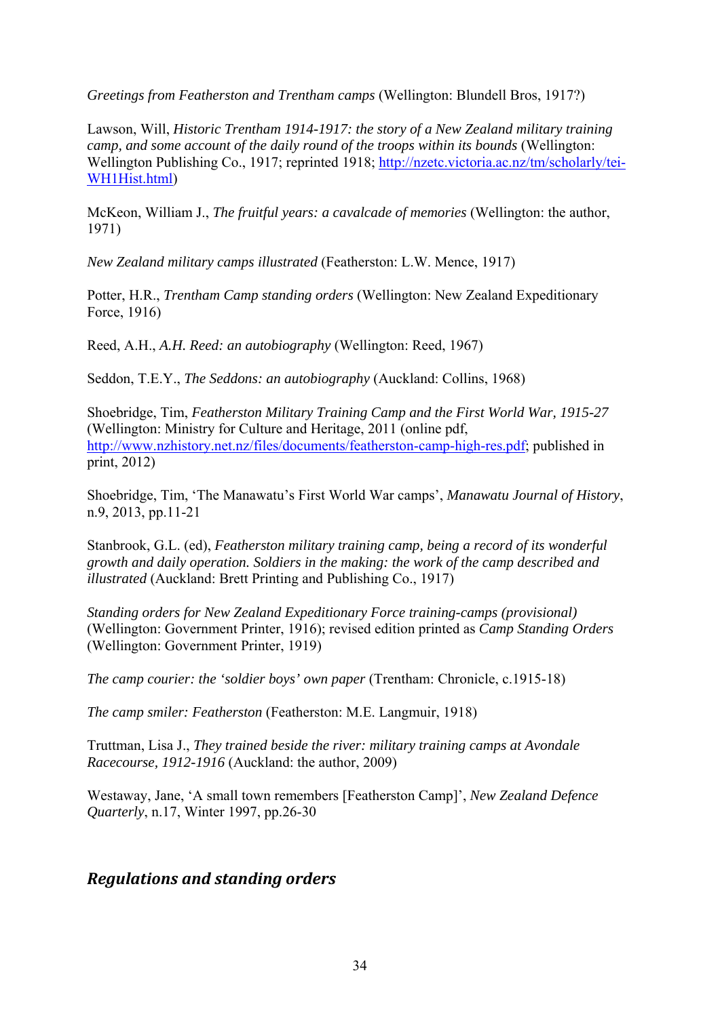*Greetings from Featherston and Trentham camps* (Wellington: Blundell Bros, 1917?)

Lawson, Will, *Historic Trentham 1914-1917: the story of a New Zealand military training camp, and some account of the daily round of the troops within its bounds* (Wellington: Wellington Publishing Co., 1917; reprinted 1918; http://nzetc.victoria.ac.nz/tm/scholarly/tei-WH1Hist.html)

McKeon, William J., *The fruitful years: a cavalcade of memories* (Wellington: the author, 1971)

*New Zealand military camps illustrated* (Featherston: L.W. Mence, 1917)

Potter, H.R., *Trentham Camp standing orders* (Wellington: New Zealand Expeditionary Force, 1916)

Reed, A.H., *A.H. Reed: an autobiography* (Wellington: Reed, 1967)

Seddon, T.E.Y., *The Seddons: an autobiography* (Auckland: Collins, 1968)

Shoebridge, Tim, *Featherston Military Training Camp and the First World War, 1915-27* (Wellington: Ministry for Culture and Heritage, 2011 (online pdf, http://www.nzhistory.net.nz/files/documents/featherston-camp-high-res.pdf; published in print, 2012)

Shoebridge, Tim, 'The Manawatu's First World War camps', *Manawatu Journal of History*, n.9, 2013, pp.11-21

Stanbrook, G.L. (ed), *Featherston military training camp, being a record of its wonderful growth and daily operation. Soldiers in the making: the work of the camp described and illustrated* (Auckland: Brett Printing and Publishing Co., 1917)

*Standing orders for New Zealand Expeditionary Force training-camps (provisional)* (Wellington: Government Printer, 1916); revised edition printed as *Camp Standing Orders* (Wellington: Government Printer, 1919)

*The camp courier: the 'soldier boys' own paper* (Trentham: Chronicle, c.1915-18)

*The camp smiler: Featherston* (Featherston: M.E. Langmuir, 1918)

Truttman, Lisa J., *They trained beside the river: military training camps at Avondale Racecourse, 1912-1916* (Auckland: the author, 2009)

Westaway, Jane, 'A small town remembers [Featherston Camp]', *New Zealand Defence Quarterly*, n.17, Winter 1997, pp.26-30

#### *Regulations and standing orders*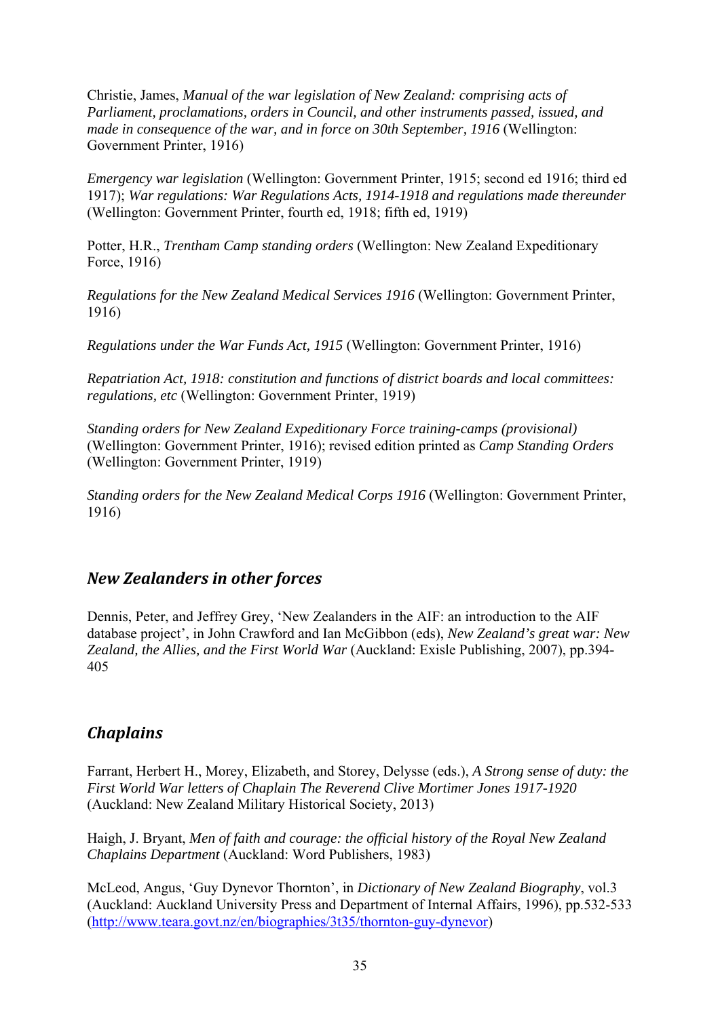Christie, James, *Manual of the war legislation of New Zealand: comprising acts of Parliament, proclamations, orders in Council, and other instruments passed, issued, and made in consequence of the war, and in force on 30th September, 1916* (Wellington: Government Printer, 1916)

*Emergency war legislation* (Wellington: Government Printer, 1915; second ed 1916; third ed 1917); *War regulations: War Regulations Acts, 1914-1918 and regulations made thereunder* (Wellington: Government Printer, fourth ed, 1918; fifth ed, 1919)

Potter, H.R., *Trentham Camp standing orders* (Wellington: New Zealand Expeditionary Force, 1916)

*Regulations for the New Zealand Medical Services 1916* (Wellington: Government Printer, 1916)

*Regulations under the War Funds Act, 1915* (Wellington: Government Printer, 1916)

*Repatriation Act, 1918: constitution and functions of district boards and local committees: regulations, etc* (Wellington: Government Printer, 1919)

*Standing orders for New Zealand Expeditionary Force training-camps (provisional)* (Wellington: Government Printer, 1916); revised edition printed as *Camp Standing Orders* (Wellington: Government Printer, 1919)

*Standing orders for the New Zealand Medical Corps 1916* (Wellington: Government Printer, 1916)

#### *New Zealanders in other forces*

Dennis, Peter, and Jeffrey Grey, 'New Zealanders in the AIF: an introduction to the AIF database project', in John Crawford and Ian McGibbon (eds), *New Zealand's great war: New Zealand, the Allies, and the First World War* (Auckland: Exisle Publishing, 2007), pp.394- 405

#### *Chaplains*

Farrant, Herbert H., Morey, Elizabeth, and Storey, Delysse (eds.), *A Strong sense of duty: the First World War letters of Chaplain The Reverend Clive Mortimer Jones 1917-1920*  (Auckland: New Zealand Military Historical Society, 2013)

Haigh, J. Bryant, *Men of faith and courage: the official history of the Royal New Zealand Chaplains Department* (Auckland: Word Publishers, 1983)

McLeod, Angus, 'Guy Dynevor Thornton', in *Dictionary of New Zealand Biography*, vol.3 (Auckland: Auckland University Press and Department of Internal Affairs, 1996), pp.532-533 (http://www.teara.govt.nz/en/biographies/3t35/thornton-guy-dynevor)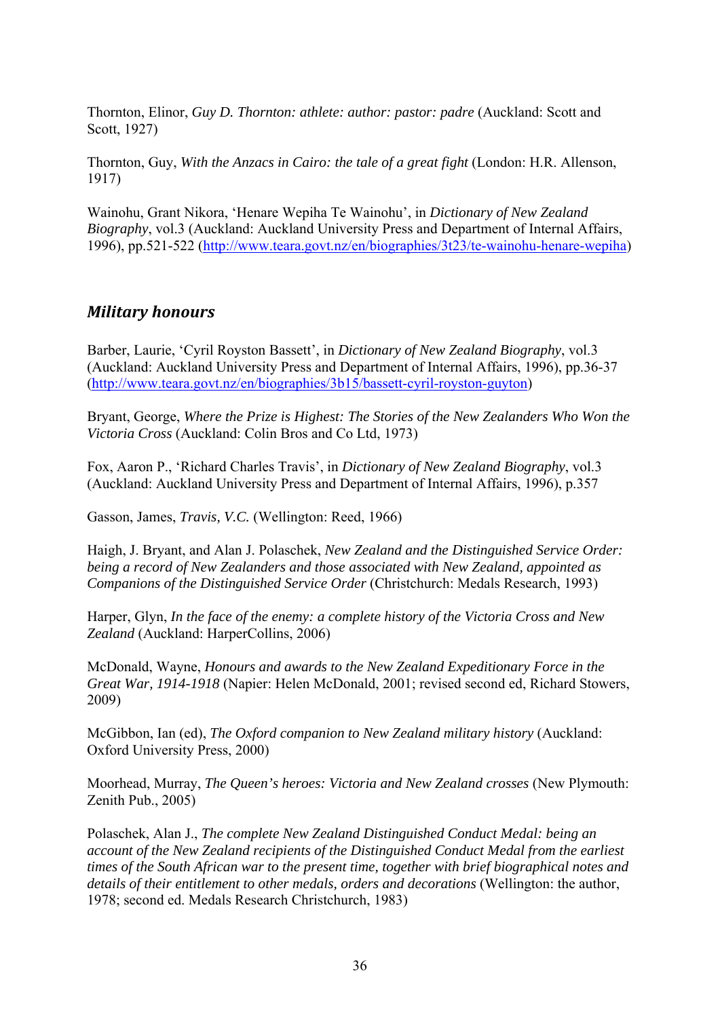Thornton, Elinor, *Guy D. Thornton: athlete: author: pastor: padre* (Auckland: Scott and Scott, 1927)

Thornton, Guy, *With the Anzacs in Cairo: the tale of a great fight* (London: H.R. Allenson, 1917)

Wainohu, Grant Nikora, 'Henare Wepiha Te Wainohu', in *Dictionary of New Zealand Biography*, vol.3 (Auckland: Auckland University Press and Department of Internal Affairs, 1996), pp.521-522 (http://www.teara.govt.nz/en/biographies/3t23/te-wainohu-henare-wepiha)

#### *Military honours*

Barber, Laurie, 'Cyril Royston Bassett', in *Dictionary of New Zealand Biography*, vol.3 (Auckland: Auckland University Press and Department of Internal Affairs, 1996), pp.36-37 (http://www.teara.govt.nz/en/biographies/3b15/bassett-cyril-royston-guyton)

Bryant, George, *Where the Prize is Highest: The Stories of the New Zealanders Who Won the Victoria Cross* (Auckland: Colin Bros and Co Ltd, 1973)

Fox, Aaron P., 'Richard Charles Travis', in *Dictionary of New Zealand Biography*, vol.3 (Auckland: Auckland University Press and Department of Internal Affairs, 1996), p.357

Gasson, James, *Travis, V.C.* (Wellington: Reed, 1966)

Haigh, J. Bryant, and Alan J. Polaschek, *New Zealand and the Distinguished Service Order: being a record of New Zealanders and those associated with New Zealand, appointed as Companions of the Distinguished Service Order* (Christchurch: Medals Research, 1993)

Harper, Glyn, *In the face of the enemy: a complete history of the Victoria Cross and New Zealand* (Auckland: HarperCollins, 2006)

McDonald, Wayne, *Honours and awards to the New Zealand Expeditionary Force in the Great War, 1914-1918* (Napier: Helen McDonald, 2001; revised second ed, Richard Stowers, 2009)

McGibbon, Ian (ed), *The Oxford companion to New Zealand military history* (Auckland: Oxford University Press, 2000)

Moorhead, Murray, *The Queen's heroes: Victoria and New Zealand crosses* (New Plymouth: Zenith Pub., 2005)

Polaschek, Alan J., *The complete New Zealand Distinguished Conduct Medal: being an account of the New Zealand recipients of the Distinguished Conduct Medal from the earliest times of the South African war to the present time, together with brief biographical notes and*  details of their entitlement to other medals, orders and decorations *(Wellington: the author,* 1978; second ed. Medals Research Christchurch, 1983)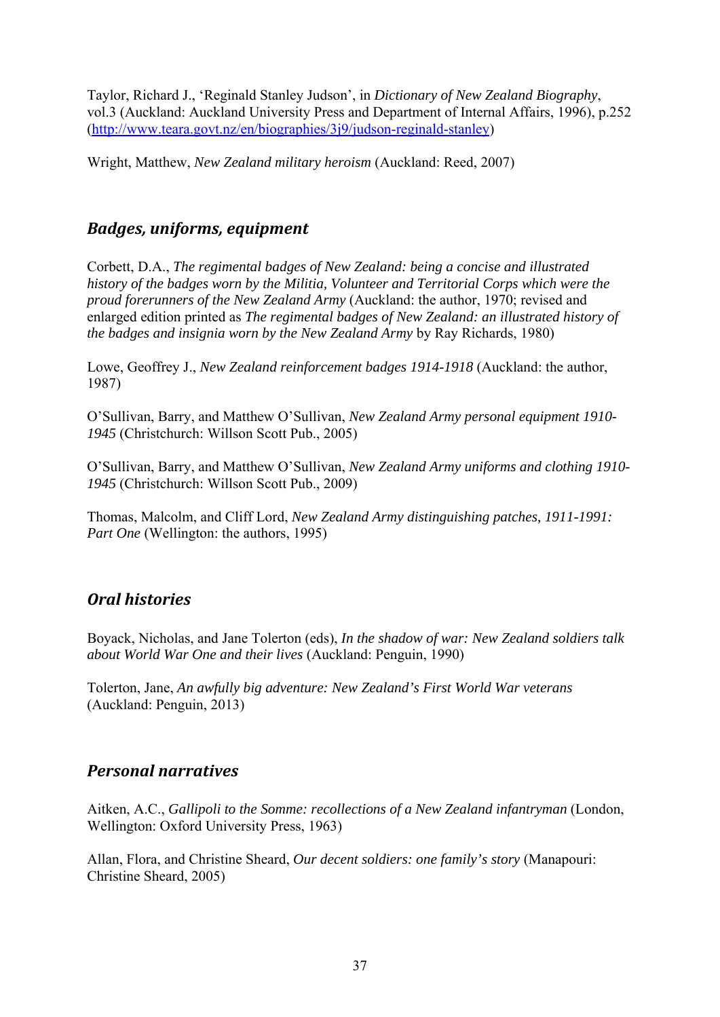Taylor, Richard J., 'Reginald Stanley Judson', in *Dictionary of New Zealand Biography*, vol.3 (Auckland: Auckland University Press and Department of Internal Affairs, 1996), p.252 (http://www.teara.govt.nz/en/biographies/3j9/judson-reginald-stanley)

Wright, Matthew, *New Zealand military heroism* (Auckland: Reed, 2007)

#### *Badges, uniforms, equipment*

Corbett, D.A., *The regimental badges of New Zealand: being a concise and illustrated history of the badges worn by the Militia, Volunteer and Territorial Corps which were the proud forerunners of the New Zealand Army* (Auckland: the author, 1970; revised and enlarged edition printed as *The regimental badges of New Zealand: an illustrated history of the badges and insignia worn by the New Zealand Army* by Ray Richards, 1980)

Lowe, Geoffrey J., *New Zealand reinforcement badges 1914-1918* (Auckland: the author, 1987)

O'Sullivan, Barry, and Matthew O'Sullivan, *New Zealand Army personal equipment 1910- 1945* (Christchurch: Willson Scott Pub., 2005)

O'Sullivan, Barry, and Matthew O'Sullivan, *New Zealand Army uniforms and clothing 1910- 1945* (Christchurch: Willson Scott Pub., 2009)

Thomas, Malcolm, and Cliff Lord, *New Zealand Army distinguishing patches, 1911-1991: Part One* (Wellington: the authors, 1995)

## *Oral histories*

Boyack, Nicholas, and Jane Tolerton (eds), *In the shadow of war: New Zealand soldiers talk about World War One and their lives* (Auckland: Penguin, 1990)

Tolerton, Jane, *An awfully big adventure: New Zealand's First World War veterans* (Auckland: Penguin, 2013)

## *Personal narratives*

Aitken, A.C., *Gallipoli to the Somme: recollections of a New Zealand infantryman* (London, Wellington: Oxford University Press, 1963)

Allan, Flora, and Christine Sheard, *Our decent soldiers: one family's story* (Manapouri: Christine Sheard, 2005)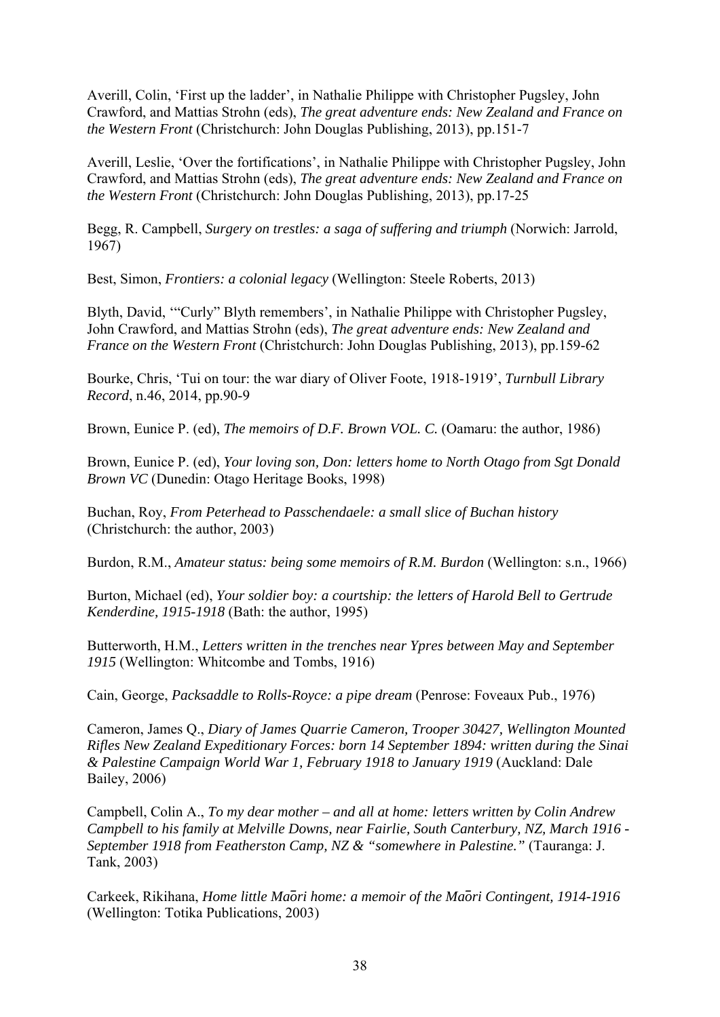Averill, Colin, 'First up the ladder', in Nathalie Philippe with Christopher Pugsley, John Crawford, and Mattias Strohn (eds), *The great adventure ends: New Zealand and France on the Western Front* (Christchurch: John Douglas Publishing, 2013), pp.151-7

Averill, Leslie, 'Over the fortifications', in Nathalie Philippe with Christopher Pugsley, John Crawford, and Mattias Strohn (eds), *The great adventure ends: New Zealand and France on the Western Front* (Christchurch: John Douglas Publishing, 2013), pp.17-25

Begg, R. Campbell, *Surgery on trestles: a saga of suffering and triumph* (Norwich: Jarrold, 1967)

Best, Simon, *Frontiers: a colonial legacy* (Wellington: Steele Roberts, 2013)

Blyth, David, '"Curly" Blyth remembers', in Nathalie Philippe with Christopher Pugsley, John Crawford, and Mattias Strohn (eds), *The great adventure ends: New Zealand and France on the Western Front* (Christchurch: John Douglas Publishing, 2013), pp.159-62

Bourke, Chris, 'Tui on tour: the war diary of Oliver Foote, 1918-1919', *Turnbull Library Record*, n.46, 2014, pp.90-9

Brown, Eunice P. (ed), *The memoirs of D.F. Brown VOL. C.* (Oamaru: the author, 1986)

Brown, Eunice P. (ed), *Your loving son, Don: letters home to North Otago from Sgt Donald Brown VC* (Dunedin: Otago Heritage Books, 1998)

Buchan, Roy, *From Peterhead to Passchendaele: a small slice of Buchan history* (Christchurch: the author, 2003)

Burdon, R.M., *Amateur status: being some memoirs of R.M. Burdon* (Wellington: s.n., 1966)

Burton, Michael (ed), *Your soldier boy: a courtship: the letters of Harold Bell to Gertrude Kenderdine, 1915-1918* (Bath: the author, 1995)

Butterworth, H.M., *Letters written in the trenches near Ypres between May and September 1915* (Wellington: Whitcombe and Tombs, 1916)

Cain, George, *Packsaddle to Rolls-Royce: a pipe dream* (Penrose: Foveaux Pub., 1976)

Cameron, James Q., *Diary of James Quarrie Cameron, Trooper 30427, Wellington Mounted Rifles New Zealand Expeditionary Forces: born 14 September 1894: written during the Sinai & Palestine Campaign World War 1, February 1918 to January 1919* (Auckland: Dale Bailey, 2006)

Campbell, Colin A., *To my dear mother – and all at home: letters written by Colin Andrew Campbell to his family at Melville Downs, near Fairlie, South Canterbury, NZ, March 1916 - September 1918 from Featherston Camp, NZ & "somewhere in Palestine."* (Tauranga: J. Tank, 2003)

Carkeek, Rikihana, *Home little Ma*̄*ori home: a memoir of the Ma*̄*ori Contingent, 1914-1916* (Wellington: Totika Publications, 2003)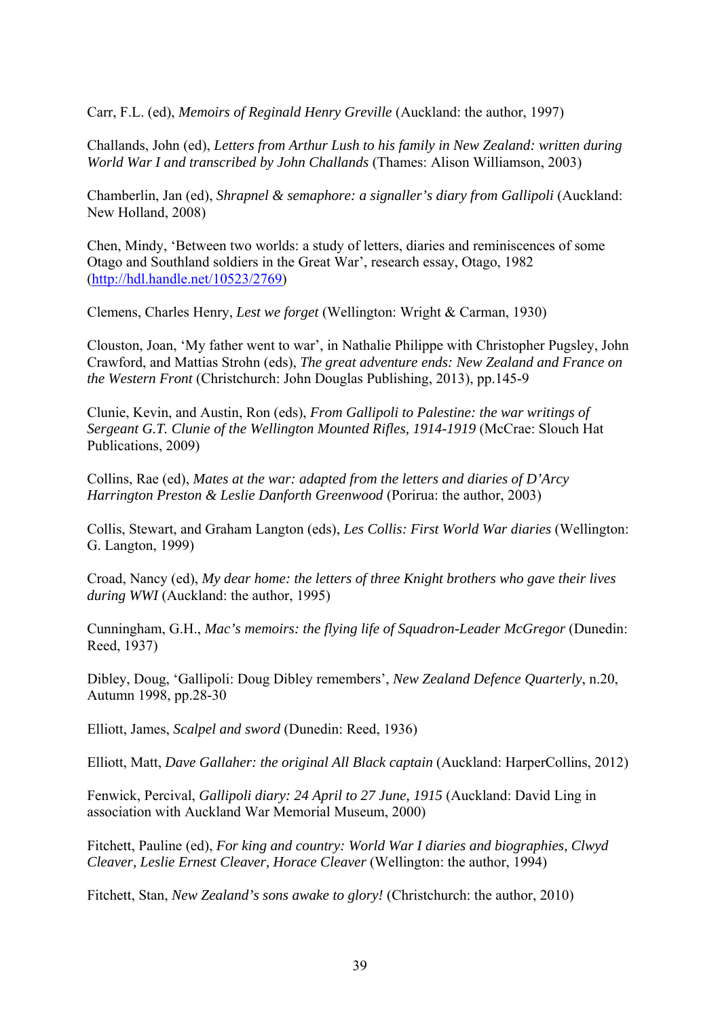Carr, F.L. (ed), *Memoirs of Reginald Henry Greville* (Auckland: the author, 1997)

Challands, John (ed), *Letters from Arthur Lush to his family in New Zealand: written during World War I and transcribed by John Challands* (Thames: Alison Williamson, 2003)

Chamberlin, Jan (ed), *Shrapnel & semaphore: a signaller's diary from Gallipoli* (Auckland: New Holland, 2008)

Chen, Mindy, 'Between two worlds: a study of letters, diaries and reminiscences of some Otago and Southland soldiers in the Great War', research essay, Otago, 1982 (http://hdl.handle.net/10523/2769)

Clemens, Charles Henry, *Lest we forget* (Wellington: Wright & Carman, 1930)

Clouston, Joan, 'My father went to war', in Nathalie Philippe with Christopher Pugsley, John Crawford, and Mattias Strohn (eds), *The great adventure ends: New Zealand and France on the Western Front* (Christchurch: John Douglas Publishing, 2013), pp.145-9

Clunie, Kevin, and Austin, Ron (eds), *From Gallipoli to Palestine: the war writings of Sergeant G.T. Clunie of the Wellington Mounted Rifles, 1914-1919* (McCrae: Slouch Hat Publications, 2009)

Collins, Rae (ed), *Mates at the war: adapted from the letters and diaries of D'Arcy Harrington Preston & Leslie Danforth Greenwood* (Porirua: the author, 2003)

Collis, Stewart, and Graham Langton (eds), *Les Collis: First World War diaries* (Wellington: G. Langton, 1999)

Croad, Nancy (ed), *My dear home: the letters of three Knight brothers who gave their lives during WWI* (Auckland: the author, 1995)

Cunningham, G.H., *Mac's memoirs: the flying life of Squadron-Leader McGregor* (Dunedin: Reed, 1937)

Dibley, Doug, 'Gallipoli: Doug Dibley remembers', *New Zealand Defence Quarterly*, n.20, Autumn 1998, pp.28-30

Elliott, James, *Scalpel and sword* (Dunedin: Reed, 1936)

Elliott, Matt, *Dave Gallaher: the original All Black captain* (Auckland: HarperCollins, 2012)

Fenwick, Percival, *Gallipoli diary: 24 April to 27 June, 1915* (Auckland: David Ling in association with Auckland War Memorial Museum, 2000)

Fitchett, Pauline (ed), *For king and country: World War I diaries and biographies, Clwyd Cleaver, Leslie Ernest Cleaver, Horace Cleaver* (Wellington: the author, 1994)

Fitchett, Stan, *New Zealand's sons awake to glory!* (Christchurch: the author, 2010)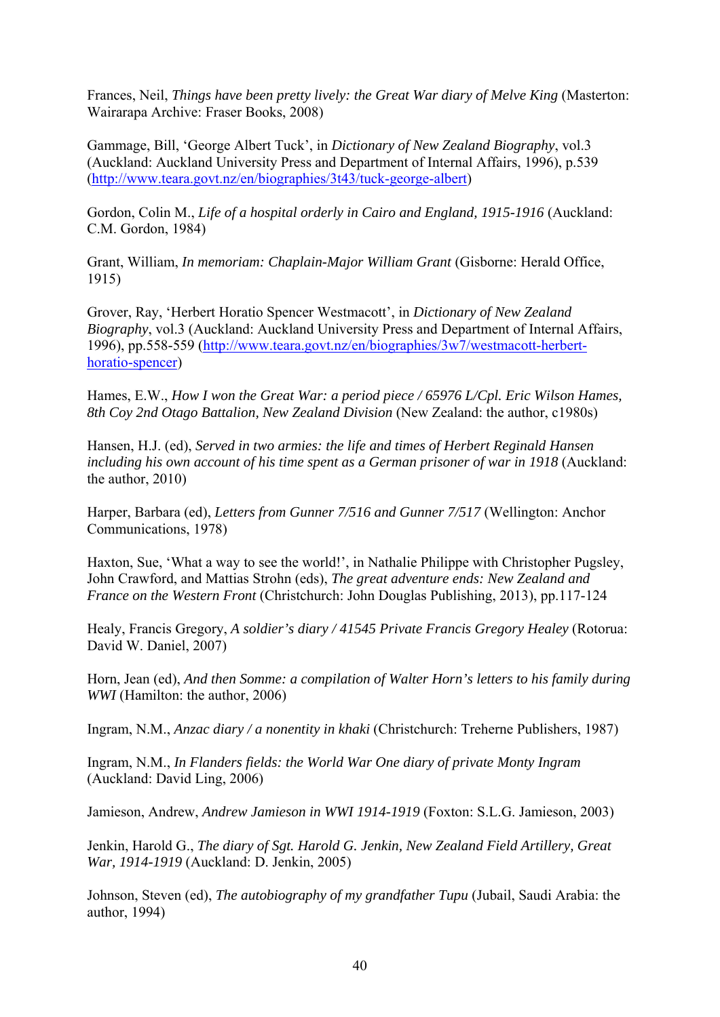Frances, Neil, *Things have been pretty lively: the Great War diary of Melve King* (Masterton: Wairarapa Archive: Fraser Books, 2008)

Gammage, Bill, 'George Albert Tuck', in *Dictionary of New Zealand Biography*, vol.3 (Auckland: Auckland University Press and Department of Internal Affairs, 1996), p.539 (http://www.teara.govt.nz/en/biographies/3t43/tuck-george-albert)

Gordon, Colin M., *Life of a hospital orderly in Cairo and England, 1915-1916* (Auckland: C.M. Gordon, 1984)

Grant, William, *In memoriam: Chaplain-Major William Grant* (Gisborne: Herald Office, 1915)

Grover, Ray, 'Herbert Horatio Spencer Westmacott', in *Dictionary of New Zealand Biography*, vol.3 (Auckland: Auckland University Press and Department of Internal Affairs, 1996), pp.558-559 (http://www.teara.govt.nz/en/biographies/3w7/westmacott-herberthoratio-spencer)

Hames, E.W., *How I won the Great War: a period piece / 65976 L/Cpl. Eric Wilson Hames, 8th Coy 2nd Otago Battalion, New Zealand Division* (New Zealand: the author, c1980s)

Hansen, H.J. (ed), *Served in two armies: the life and times of Herbert Reginald Hansen including his own account of his time spent as a German prisoner of war in 1918* (Auckland: the author, 2010)

Harper, Barbara (ed), *Letters from Gunner 7/516 and Gunner 7/517* (Wellington: Anchor Communications, 1978)

Haxton, Sue, 'What a way to see the world!', in Nathalie Philippe with Christopher Pugsley, John Crawford, and Mattias Strohn (eds), *The great adventure ends: New Zealand and France on the Western Front* (Christchurch: John Douglas Publishing, 2013), pp.117-124

Healy, Francis Gregory, *A soldier's diary / 41545 Private Francis Gregory Healey* (Rotorua: David W. Daniel, 2007)

Horn, Jean (ed), *And then Somme: a compilation of Walter Horn's letters to his family during WWI* (Hamilton: the author, 2006)

Ingram, N.M., *Anzac diary / a nonentity in khaki* (Christchurch: Treherne Publishers, 1987)

Ingram, N.M., *In Flanders fields: the World War One diary of private Monty Ingram* (Auckland: David Ling, 2006)

Jamieson, Andrew, *Andrew Jamieson in WWI 1914-1919* (Foxton: S.L.G. Jamieson, 2003)

Jenkin, Harold G., *The diary of Sgt. Harold G. Jenkin, New Zealand Field Artillery, Great War, 1914-1919* (Auckland: D. Jenkin, 2005)

Johnson, Steven (ed), *The autobiography of my grandfather Tupu* (Jubail, Saudi Arabia: the author, 1994)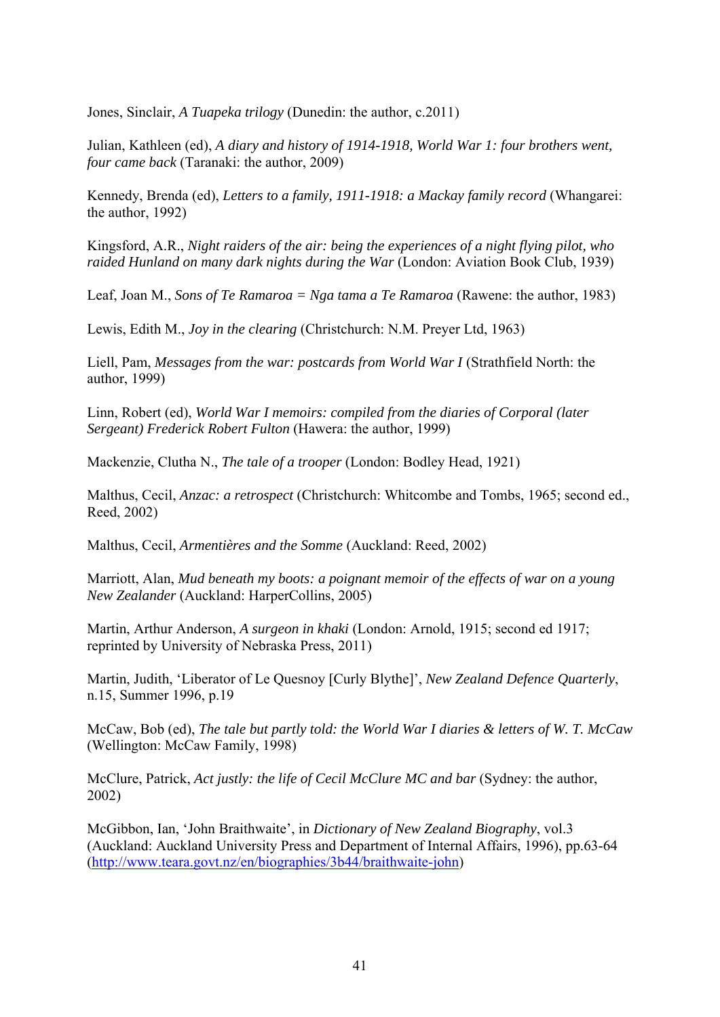Jones, Sinclair, *A Tuapeka trilogy* (Dunedin: the author, c.2011)

Julian, Kathleen (ed), *A diary and history of 1914-1918, World War 1: four brothers went, four came back* (Taranaki: the author, 2009)

Kennedy, Brenda (ed), *Letters to a family, 1911-1918: a Mackay family record* (Whangarei: the author, 1992)

Kingsford, A.R., *Night raiders of the air: being the experiences of a night flying pilot, who raided Hunland on many dark nights during the War* (London: Aviation Book Club, 1939)

Leaf, Joan M., *Sons of Te Ramaroa = Nga tama a Te Ramaroa* (Rawene: the author, 1983)

Lewis, Edith M., *Joy in the clearing* (Christchurch: N.M. Preyer Ltd, 1963)

Liell, Pam, *Messages from the war: postcards from World War I* (Strathfield North: the author, 1999)

Linn, Robert (ed), *World War I memoirs: compiled from the diaries of Corporal (later Sergeant) Frederick Robert Fulton* (Hawera: the author, 1999)

Mackenzie, Clutha N., *The tale of a trooper* (London: Bodley Head, 1921)

Malthus, Cecil, *Anzac: a retrospect* (Christchurch: Whitcombe and Tombs, 1965; second ed., Reed, 2002)

Malthus, Cecil, *Armentières and the Somme* (Auckland: Reed, 2002)

Marriott, Alan, *Mud beneath my boots: a poignant memoir of the effects of war on a young New Zealander* (Auckland: HarperCollins, 2005)

Martin, Arthur Anderson, *A surgeon in khaki* (London: Arnold, 1915; second ed 1917; reprinted by University of Nebraska Press, 2011)

Martin, Judith, 'Liberator of Le Quesnoy [Curly Blythe]', *New Zealand Defence Quarterly*, n.15, Summer 1996, p.19

McCaw, Bob (ed), *The tale but partly told: the World War I diaries & letters of W. T. McCaw* (Wellington: McCaw Family, 1998)

McClure, Patrick, *Act justly: the life of Cecil McClure MC and bar* (Sydney: the author, 2002)

McGibbon, Ian, 'John Braithwaite', in *Dictionary of New Zealand Biography*, vol.3 (Auckland: Auckland University Press and Department of Internal Affairs, 1996), pp.63-64 (http://www.teara.govt.nz/en/biographies/3b44/braithwaite-john)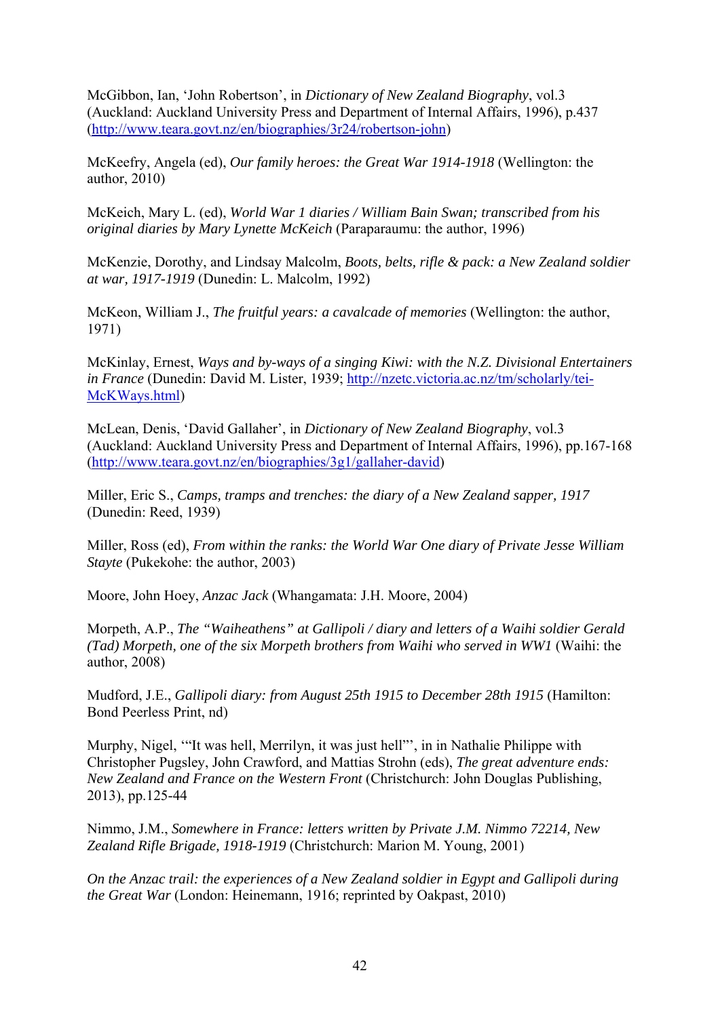McGibbon, Ian, 'John Robertson', in *Dictionary of New Zealand Biography*, vol.3 (Auckland: Auckland University Press and Department of Internal Affairs, 1996), p.437 (http://www.teara.govt.nz/en/biographies/3r24/robertson-john)

McKeefry, Angela (ed), *Our family heroes: the Great War 1914-1918* (Wellington: the author, 2010)

McKeich, Mary L. (ed), *World War 1 diaries / William Bain Swan; transcribed from his original diaries by Mary Lynette McKeich* (Paraparaumu: the author, 1996)

McKenzie, Dorothy, and Lindsay Malcolm, *Boots, belts, rifle & pack: a New Zealand soldier at war, 1917-1919* (Dunedin: L. Malcolm, 1992)

McKeon, William J., *The fruitful years: a cavalcade of memories* (Wellington: the author, 1971)

McKinlay, Ernest, *Ways and by-ways of a singing Kiwi: with the N.Z. Divisional Entertainers in France* (Dunedin: David M. Lister, 1939; http://nzetc.victoria.ac.nz/tm/scholarly/tei-McKWays.html)

McLean, Denis, 'David Gallaher', in *Dictionary of New Zealand Biography*, vol.3 (Auckland: Auckland University Press and Department of Internal Affairs, 1996), pp.167-168 (http://www.teara.govt.nz/en/biographies/3g1/gallaher-david)

Miller, Eric S., *Camps, tramps and trenches: the diary of a New Zealand sapper, 1917* (Dunedin: Reed, 1939)

Miller, Ross (ed), *From within the ranks: the World War One diary of Private Jesse William Stayte* (Pukekohe: the author, 2003)

Moore, John Hoey, *Anzac Jack* (Whangamata: J.H. Moore, 2004)

Morpeth, A.P., *The "Waiheathens" at Gallipoli / diary and letters of a Waihi soldier Gerald (Tad) Morpeth, one of the six Morpeth brothers from Waihi who served in WW1 (Waihi: the* author, 2008)

Mudford, J.E., *Gallipoli diary: from August 25th 1915 to December 28th 1915* (Hamilton: Bond Peerless Print, nd)

Murphy, Nigel, '"It was hell, Merrilyn, it was just hell"', in in Nathalie Philippe with Christopher Pugsley, John Crawford, and Mattias Strohn (eds), *The great adventure ends: New Zealand and France on the Western Front* (Christchurch: John Douglas Publishing, 2013), pp.125-44

Nimmo, J.M., *Somewhere in France: letters written by Private J.M. Nimmo 72214, New Zealand Rifle Brigade, 1918-1919* (Christchurch: Marion M. Young, 2001)

*On the Anzac trail: the experiences of a New Zealand soldier in Egypt and Gallipoli during the Great War* (London: Heinemann, 1916; reprinted by Oakpast, 2010)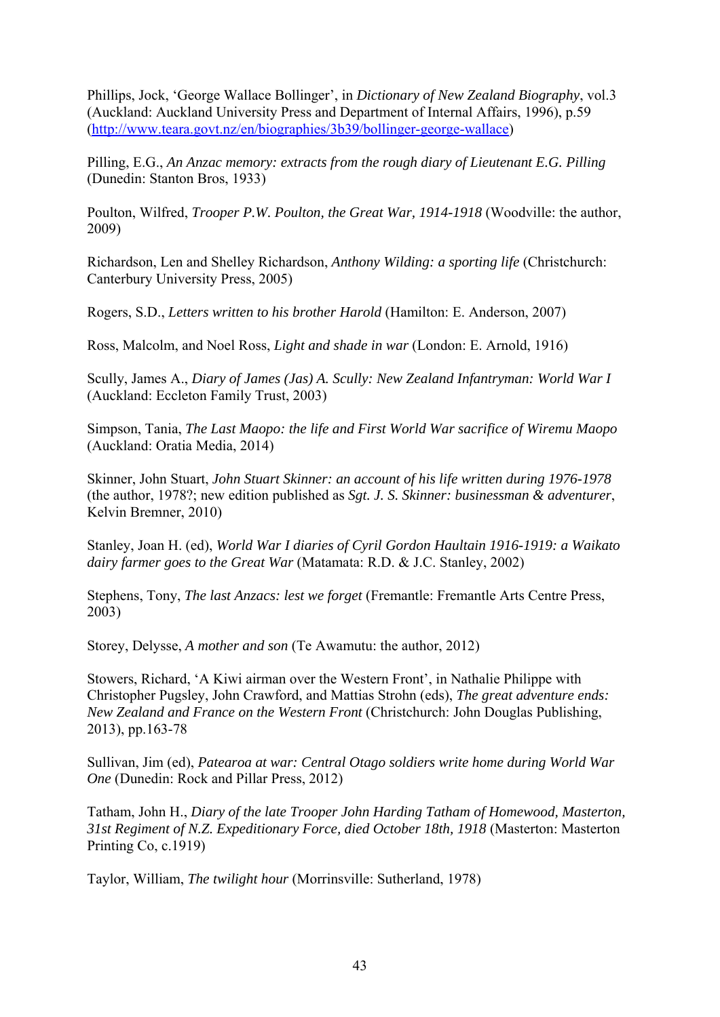Phillips, Jock, 'George Wallace Bollinger', in *Dictionary of New Zealand Biography*, vol.3 (Auckland: Auckland University Press and Department of Internal Affairs, 1996), p.59 (http://www.teara.govt.nz/en/biographies/3b39/bollinger-george-wallace)

Pilling, E.G., *An Anzac memory: extracts from the rough diary of Lieutenant E.G. Pilling* (Dunedin: Stanton Bros, 1933)

Poulton, Wilfred, *Trooper P.W. Poulton, the Great War, 1914-1918* (Woodville: the author, 2009)

Richardson, Len and Shelley Richardson, *Anthony Wilding: a sporting life* (Christchurch: Canterbury University Press, 2005)

Rogers, S.D., *Letters written to his brother Harold* (Hamilton: E. Anderson, 2007)

Ross, Malcolm, and Noel Ross, *Light and shade in war* (London: E. Arnold, 1916)

Scully, James A., *Diary of James (Jas) A. Scully: New Zealand Infantryman: World War I* (Auckland: Eccleton Family Trust, 2003)

Simpson, Tania, *The Last Maopo: the life and First World War sacrifice of Wiremu Maopo* (Auckland: Oratia Media, 2014)

Skinner, John Stuart, *John Stuart Skinner: an account of his life written during 1976-1978* (the author, 1978?; new edition published as *Sgt. J. S. Skinner: businessman & adventurer*, Kelvin Bremner, 2010)

Stanley, Joan H. (ed), *World War I diaries of Cyril Gordon Haultain 1916-1919: a Waikato dairy farmer goes to the Great War* (Matamata: R.D. & J.C. Stanley, 2002)

Stephens, Tony, *The last Anzacs: lest we forget* (Fremantle: Fremantle Arts Centre Press, 2003)

Storey, Delysse, *A mother and son* (Te Awamutu: the author, 2012)

Stowers, Richard, 'A Kiwi airman over the Western Front', in Nathalie Philippe with Christopher Pugsley, John Crawford, and Mattias Strohn (eds), *The great adventure ends: New Zealand and France on the Western Front* (Christchurch: John Douglas Publishing, 2013), pp.163-78

Sullivan, Jim (ed), *Patearoa at war: Central Otago soldiers write home during World War One* (Dunedin: Rock and Pillar Press, 2012)

Tatham, John H., *Diary of the late Trooper John Harding Tatham of Homewood, Masterton, 31st Regiment of N.Z. Expeditionary Force, died October 18th, 1918* (Masterton: Masterton Printing Co, c.1919)

Taylor, William, *The twilight hour* (Morrinsville: Sutherland, 1978)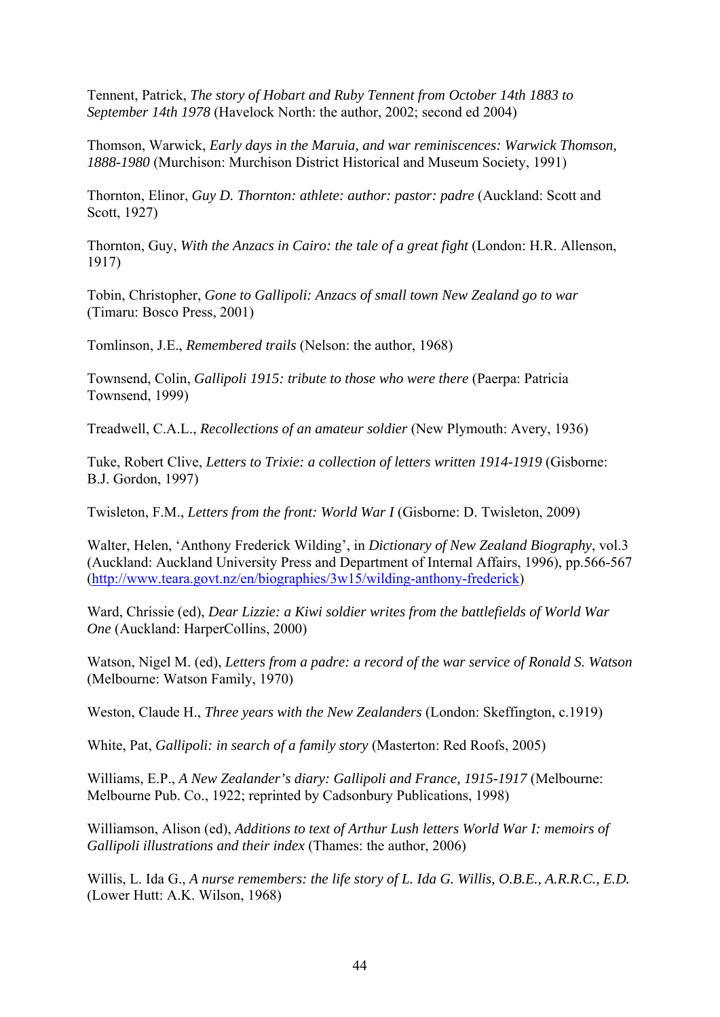Tennent, Patrick, *The story of Hobart and Ruby Tennent from October 14th 1883 to September 14th 1978* (Havelock North: the author, 2002; second ed 2004)

Thomson, Warwick, *Early days in the Maruia, and war reminiscences: Warwick Thomson, 1888-1980* (Murchison: Murchison District Historical and Museum Society, 1991)

Thornton, Elinor, *Guy D. Thornton: athlete: author: pastor: padre* (Auckland: Scott and Scott, 1927)

Thornton, Guy, *With the Anzacs in Cairo: the tale of a great fight* (London: H.R. Allenson, 1917)

Tobin, Christopher, *Gone to Gallipoli: Anzacs of small town New Zealand go to war* (Timaru: Bosco Press, 2001)

Tomlinson, J.E., *Remembered trails* (Nelson: the author, 1968)

Townsend, Colin, *Gallipoli 1915: tribute to those who were there* (Paerpa: Patricia Townsend, 1999)

Treadwell, C.A.L., *Recollections of an amateur soldier* (New Plymouth: Avery, 1936)

Tuke, Robert Clive, *Letters to Trixie: a collection of letters written 1914-1919* (Gisborne: B.J. Gordon, 1997)

Twisleton, F.M., *Letters from the front: World War I* (Gisborne: D. Twisleton, 2009)

Walter, Helen, 'Anthony Frederick Wilding', in *Dictionary of New Zealand Biography*, vol.3 (Auckland: Auckland University Press and Department of Internal Affairs, 1996), pp.566-567 (http://www.teara.govt.nz/en/biographies/3w15/wilding-anthony-frederick)

Ward, Chrissie (ed), *Dear Lizzie: a Kiwi soldier writes from the battlefields of World War One* (Auckland: HarperCollins, 2000)

Watson, Nigel M. (ed), *Letters from a padre: a record of the war service of Ronald S. Watson* (Melbourne: Watson Family, 1970)

Weston, Claude H., *Three years with the New Zealanders* (London: Skeffington, c.1919)

White, Pat, *Gallipoli: in search of a family story* (Masterton: Red Roofs, 2005)

Williams, E.P., *A New Zealander's diary: Gallipoli and France, 1915-1917* (Melbourne: Melbourne Pub. Co., 1922; reprinted by Cadsonbury Publications, 1998)

Williamson, Alison (ed), *Additions to text of Arthur Lush letters World War I: memoirs of Gallipoli illustrations and their index* (Thames: the author, 2006)

Willis, L. Ida G., *A nurse remembers: the life story of L. Ida G. Willis, O.B.E., A.R.R.C., E.D.*  (Lower Hutt: A.K. Wilson, 1968)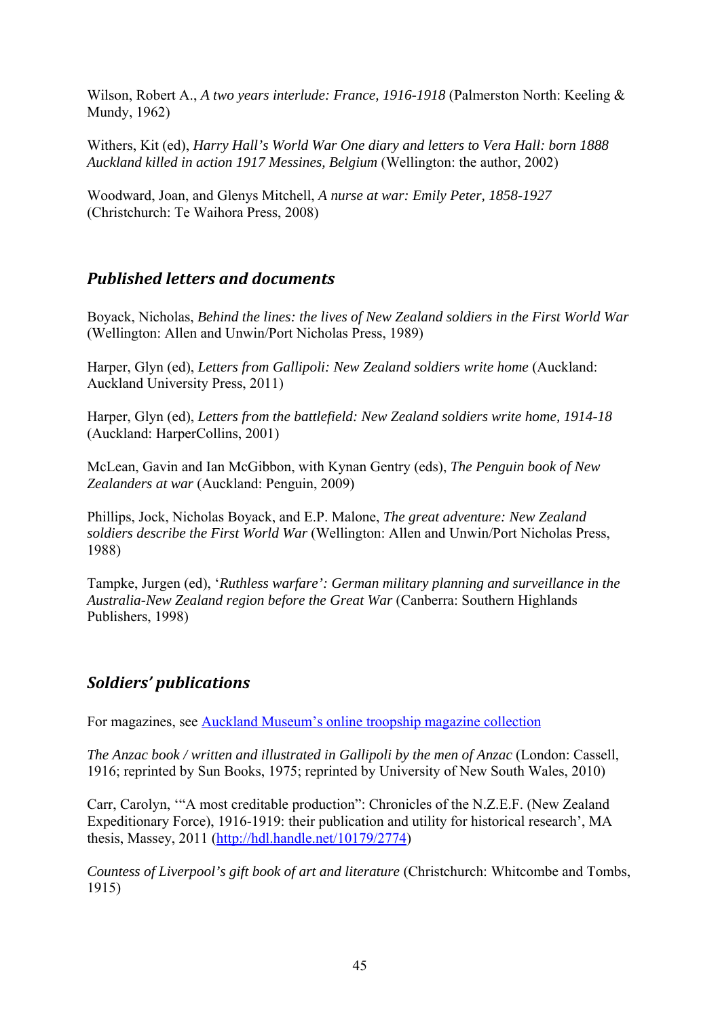Wilson, Robert A., *A two years interlude: France, 1916-1918* (Palmerston North: Keeling & Mundy, 1962)

Withers, Kit (ed), *Harry Hall's World War One diary and letters to Vera Hall: born 1888 Auckland killed in action 1917 Messines, Belgium* (Wellington: the author, 2002)

Woodward, Joan, and Glenys Mitchell, *A nurse at war: Emily Peter, 1858-1927*  (Christchurch: Te Waihora Press, 2008)

## *Published letters and documents*

Boyack, Nicholas, *Behind the lines: the lives of New Zealand soldiers in the First World War* (Wellington: Allen and Unwin/Port Nicholas Press, 1989)

Harper, Glyn (ed), *Letters from Gallipoli: New Zealand soldiers write home* (Auckland: Auckland University Press, 2011)

Harper, Glyn (ed), *Letters from the battlefield: New Zealand soldiers write home, 1914-18* (Auckland: HarperCollins, 2001)

McLean, Gavin and Ian McGibbon, with Kynan Gentry (eds), *The Penguin book of New Zealanders at war* (Auckland: Penguin, 2009)

Phillips, Jock, Nicholas Boyack, and E.P. Malone, *The great adventure: New Zealand soldiers describe the First World War* (Wellington: Allen and Unwin/Port Nicholas Press, 1988)

Tampke, Jurgen (ed), '*Ruthless warfare': German military planning and surveillance in the Australia-New Zealand region before the Great War* (Canberra: Southern Highlands Publishers, 1998)

# *Soldiers' publications*

For magazines, see Auckland Museum's online troopship magazine collection

*The Anzac book / written and illustrated in Gallipoli by the men of Anzac* (London: Cassell, 1916; reprinted by Sun Books, 1975; reprinted by University of New South Wales, 2010)

Carr, Carolyn, '"A most creditable production": Chronicles of the N.Z.E.F. (New Zealand Expeditionary Force), 1916-1919: their publication and utility for historical research', MA thesis, Massey, 2011 (http://hdl.handle.net/10179/2774)

*Countess of Liverpool's gift book of art and literature* (Christchurch: Whitcombe and Tombs, 1915)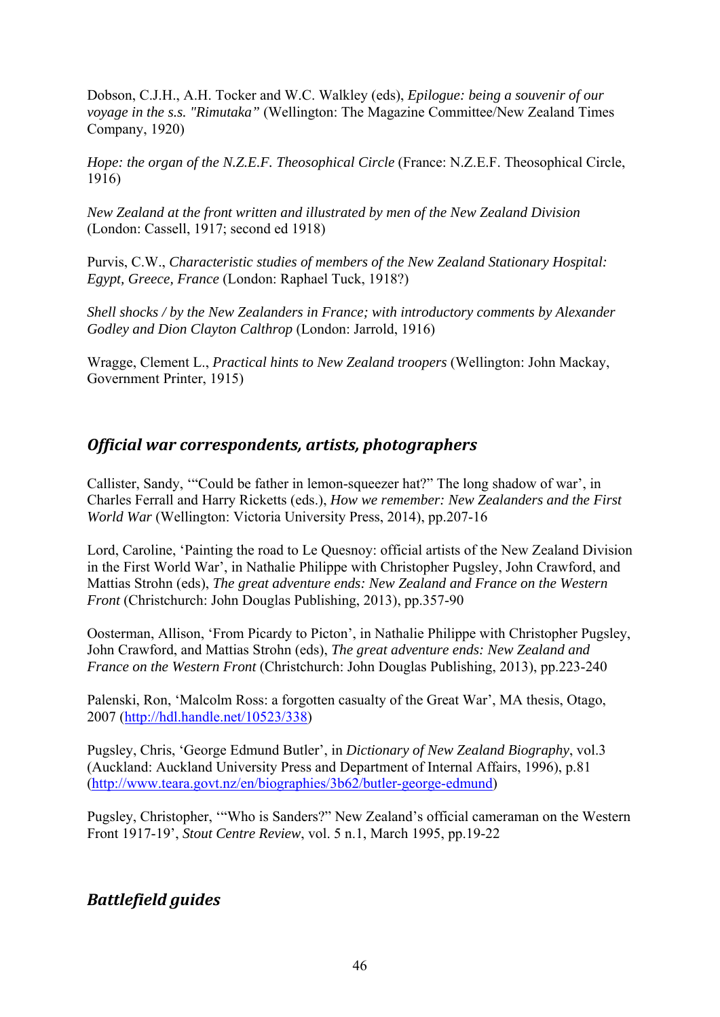Dobson, C.J.H., A.H. Tocker and W.C. Walkley (eds), *Epilogue: being a souvenir of our voyage in the s.s. "Rimutaka"* (Wellington: The Magazine Committee/New Zealand Times Company, 1920)

*Hope: the organ of the N.Z.E.F. Theosophical Circle* (France: N.Z.E.F. Theosophical Circle, 1916)

*New Zealand at the front written and illustrated by men of the New Zealand Division* (London: Cassell, 1917; second ed 1918)

Purvis, C.W., *Characteristic studies of members of the New Zealand Stationary Hospital: Egypt, Greece, France* (London: Raphael Tuck, 1918?)

*Shell shocks / by the New Zealanders in France; with introductory comments by Alexander Godley and Dion Clayton Calthrop* (London: Jarrold, 1916)

Wragge, Clement L., *Practical hints to New Zealand troopers* (Wellington: John Mackay, Government Printer, 1915)

## *Official war correspondents, artists, photographers*

Callister, Sandy, '"Could be father in lemon-squeezer hat?" The long shadow of war', in Charles Ferrall and Harry Ricketts (eds.), *How we remember: New Zealanders and the First World War* (Wellington: Victoria University Press, 2014), pp.207-16

Lord, Caroline, 'Painting the road to Le Quesnoy: official artists of the New Zealand Division in the First World War', in Nathalie Philippe with Christopher Pugsley, John Crawford, and Mattias Strohn (eds), *The great adventure ends: New Zealand and France on the Western Front* (Christchurch: John Douglas Publishing, 2013), pp.357-90

Oosterman, Allison, 'From Picardy to Picton', in Nathalie Philippe with Christopher Pugsley, John Crawford, and Mattias Strohn (eds), *The great adventure ends: New Zealand and France on the Western Front* (Christchurch: John Douglas Publishing, 2013), pp.223-240

Palenski, Ron, 'Malcolm Ross: a forgotten casualty of the Great War', MA thesis, Otago, 2007 (http://hdl.handle.net/10523/338)

Pugsley, Chris, 'George Edmund Butler', in *Dictionary of New Zealand Biography*, vol.3 (Auckland: Auckland University Press and Department of Internal Affairs, 1996), p.81 (http://www.teara.govt.nz/en/biographies/3b62/butler-george-edmund)

Pugsley, Christopher, '"Who is Sanders?" New Zealand's official cameraman on the Western Front 1917-19', *Stout Centre Review*, vol. 5 n.1, March 1995, pp.19-22

# *Battlefield guides*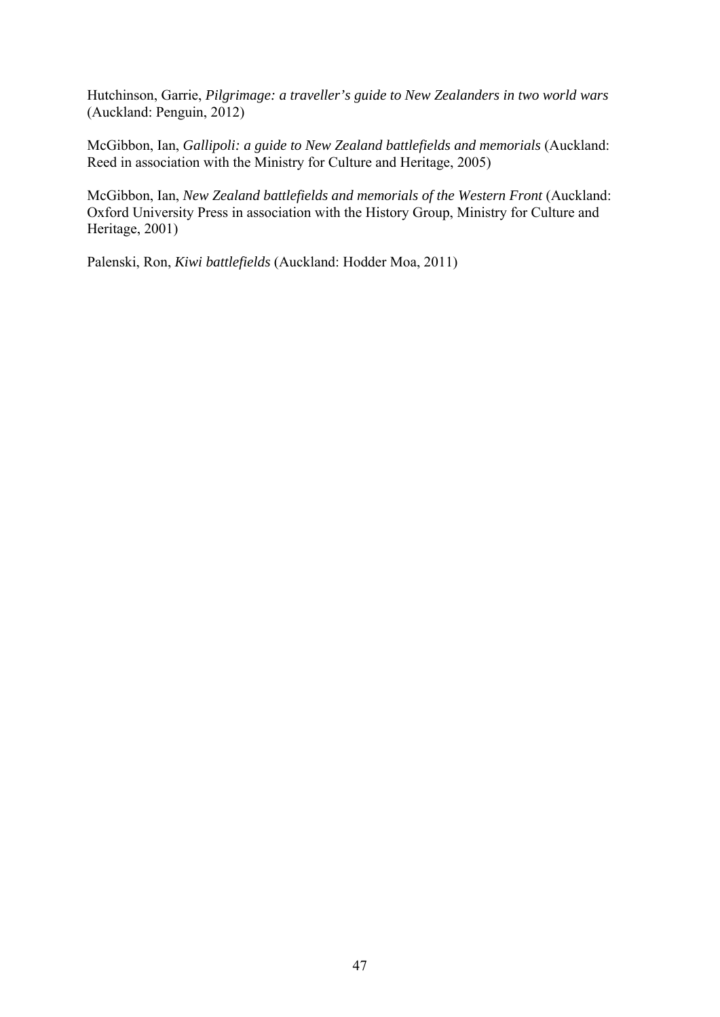Hutchinson, Garrie, *Pilgrimage: a traveller's guide to New Zealanders in two world wars* (Auckland: Penguin, 2012)

McGibbon, Ian, *Gallipoli: a guide to New Zealand battlefields and memorials* (Auckland: Reed in association with the Ministry for Culture and Heritage, 2005)

McGibbon, Ian, *New Zealand battlefields and memorials of the Western Front* (Auckland: Oxford University Press in association with the History Group, Ministry for Culture and Heritage, 2001)

Palenski, Ron, *Kiwi battlefields* (Auckland: Hodder Moa, 2011)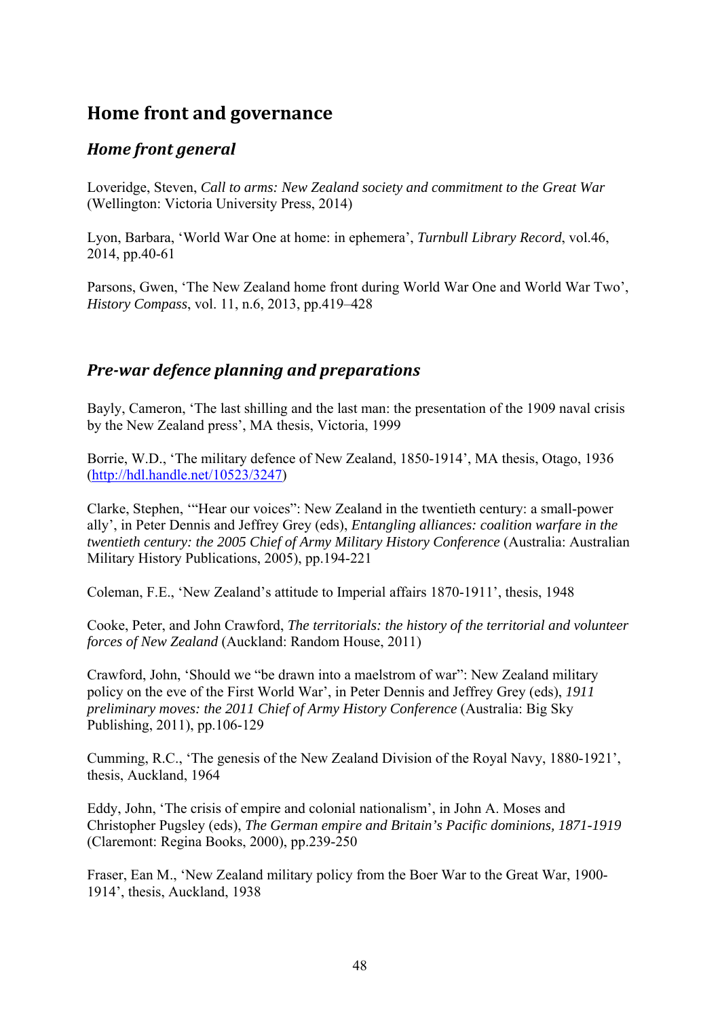# **Home front and governance**

## *Home front general*

Loveridge, Steven, *Call to arms: New Zealand society and commitment to the Great War* (Wellington: Victoria University Press, 2014)

Lyon, Barbara, 'World War One at home: in ephemera', *Turnbull Library Record*, vol.46, 2014, pp.40-61

Parsons, Gwen, 'The New Zealand home front during World War One and World War Two', *History Compass*, vol. 11, n.6, 2013, pp.419–428

## *Pre‐war defence planning and preparations*

Bayly, Cameron, 'The last shilling and the last man: the presentation of the 1909 naval crisis by the New Zealand press', MA thesis, Victoria, 1999

Borrie, W.D., 'The military defence of New Zealand, 1850-1914', MA thesis, Otago, 1936 (http://hdl.handle.net/10523/3247)

Clarke, Stephen, '"Hear our voices": New Zealand in the twentieth century: a small-power ally', in Peter Dennis and Jeffrey Grey (eds), *Entangling alliances: coalition warfare in the twentieth century: the 2005 Chief of Army Military History Conference* (Australia: Australian Military History Publications, 2005), pp.194-221

Coleman, F.E., 'New Zealand's attitude to Imperial affairs 1870-1911', thesis, 1948

Cooke, Peter, and John Crawford, *The territorials: the history of the territorial and volunteer forces of New Zealand* (Auckland: Random House, 2011)

Crawford, John, 'Should we "be drawn into a maelstrom of war": New Zealand military policy on the eve of the First World War', in Peter Dennis and Jeffrey Grey (eds), *1911 preliminary moves: the 2011 Chief of Army History Conference* (Australia: Big Sky Publishing, 2011), pp.106-129

Cumming, R.C., 'The genesis of the New Zealand Division of the Royal Navy, 1880-1921', thesis, Auckland, 1964

Eddy, John, 'The crisis of empire and colonial nationalism', in John A. Moses and Christopher Pugsley (eds), *The German empire and Britain's Pacific dominions, 1871-1919* (Claremont: Regina Books, 2000), pp.239-250

Fraser, Ean M., 'New Zealand military policy from the Boer War to the Great War, 1900- 1914', thesis, Auckland, 1938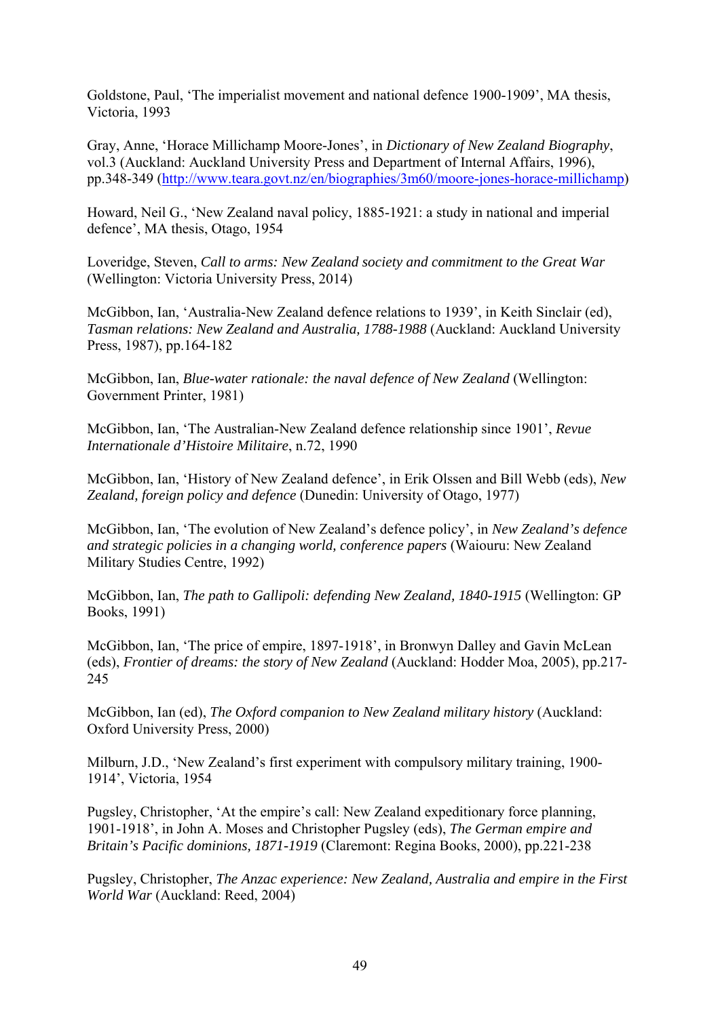Goldstone, Paul, 'The imperialist movement and national defence 1900-1909', MA thesis, Victoria, 1993

Gray, Anne, 'Horace Millichamp Moore-Jones', in *Dictionary of New Zealand Biography*, vol.3 (Auckland: Auckland University Press and Department of Internal Affairs, 1996), pp.348-349 (http://www.teara.govt.nz/en/biographies/3m60/moore-jones-horace-millichamp)

Howard, Neil G., 'New Zealand naval policy, 1885-1921: a study in national and imperial defence', MA thesis, Otago, 1954

Loveridge, Steven, *Call to arms: New Zealand society and commitment to the Great War* (Wellington: Victoria University Press, 2014)

McGibbon, Ian, 'Australia-New Zealand defence relations to 1939', in Keith Sinclair (ed), *Tasman relations: New Zealand and Australia, 1788-1988* (Auckland: Auckland University Press, 1987), pp.164-182

McGibbon, Ian, *Blue-water rationale: the naval defence of New Zealand* (Wellington: Government Printer, 1981)

McGibbon, Ian, 'The Australian-New Zealand defence relationship since 1901', *Revue Internationale d'Histoire Militaire*, n.72, 1990

McGibbon, Ian, 'History of New Zealand defence', in Erik Olssen and Bill Webb (eds), *New Zealand, foreign policy and defence* (Dunedin: University of Otago, 1977)

McGibbon, Ian, 'The evolution of New Zealand's defence policy', in *New Zealand's defence and strategic policies in a changing world, conference papers* (Waiouru: New Zealand Military Studies Centre, 1992)

McGibbon, Ian, *The path to Gallipoli: defending New Zealand, 1840-1915* (Wellington: GP Books, 1991)

McGibbon, Ian, 'The price of empire, 1897-1918', in Bronwyn Dalley and Gavin McLean (eds), *Frontier of dreams: the story of New Zealand* (Auckland: Hodder Moa, 2005), pp.217- 245

McGibbon, Ian (ed), *The Oxford companion to New Zealand military history* (Auckland: Oxford University Press, 2000)

Milburn, J.D., 'New Zealand's first experiment with compulsory military training, 1900- 1914', Victoria, 1954

Pugsley, Christopher, 'At the empire's call: New Zealand expeditionary force planning, 1901-1918', in John A. Moses and Christopher Pugsley (eds), *The German empire and Britain's Pacific dominions, 1871-1919* (Claremont: Regina Books, 2000), pp.221-238

Pugsley, Christopher, *The Anzac experience: New Zealand, Australia and empire in the First World War* (Auckland: Reed, 2004)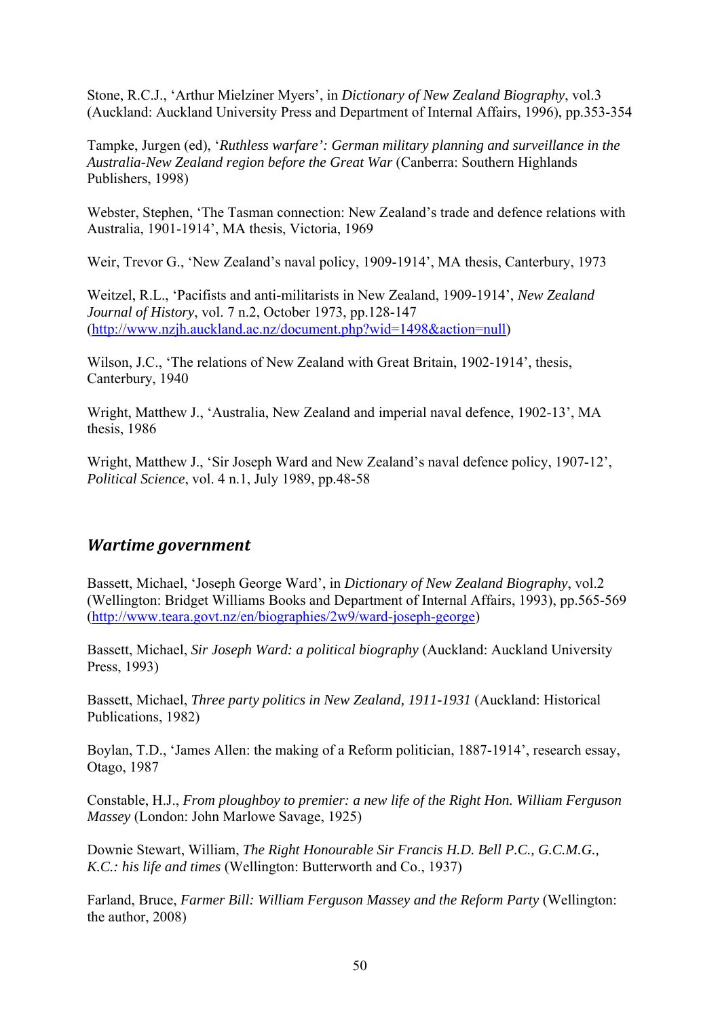Stone, R.C.J., 'Arthur Mielziner Myers', in *Dictionary of New Zealand Biography*, vol.3 (Auckland: Auckland University Press and Department of Internal Affairs, 1996), pp.353-354

Tampke, Jurgen (ed), '*Ruthless warfare': German military planning and surveillance in the Australia-New Zealand region before the Great War* (Canberra: Southern Highlands Publishers, 1998)

Webster, Stephen, 'The Tasman connection: New Zealand's trade and defence relations with Australia, 1901-1914', MA thesis, Victoria, 1969

Weir, Trevor G., 'New Zealand's naval policy, 1909-1914', MA thesis, Canterbury, 1973

Weitzel, R.L., 'Pacifists and anti-militarists in New Zealand, 1909-1914', *New Zealand Journal of History*, vol. 7 n.2, October 1973, pp.128-147 (http://www.nzjh.auckland.ac.nz/document.php?wid=1498&action=null)

Wilson, J.C., 'The relations of New Zealand with Great Britain, 1902-1914', thesis, Canterbury, 1940

Wright, Matthew J., 'Australia, New Zealand and imperial naval defence, 1902-13', MA thesis, 1986

Wright, Matthew J., 'Sir Joseph Ward and New Zealand's naval defence policy, 1907-12', *Political Science*, vol. 4 n.1, July 1989, pp.48-58

## *Wartime government*

Bassett, Michael, 'Joseph George Ward', in *Dictionary of New Zealand Biography*, vol.2 (Wellington: Bridget Williams Books and Department of Internal Affairs, 1993), pp.565-569 (http://www.teara.govt.nz/en/biographies/2w9/ward-joseph-george)

Bassett, Michael, *Sir Joseph Ward: a political biography* (Auckland: Auckland University Press, 1993)

Bassett, Michael, *Three party politics in New Zealand, 1911-1931* (Auckland: Historical Publications, 1982)

Boylan, T.D., 'James Allen: the making of a Reform politician, 1887-1914', research essay, Otago, 1987

Constable, H.J., *From ploughboy to premier: a new life of the Right Hon. William Ferguson Massey* (London: John Marlowe Savage, 1925)

Downie Stewart, William, *The Right Honourable Sir Francis H.D. Bell P.C., G.C.M.G., K.C.: his life and times* (Wellington: Butterworth and Co., 1937)

Farland, Bruce, *Farmer Bill: William Ferguson Massey and the Reform Party* (Wellington: the author, 2008)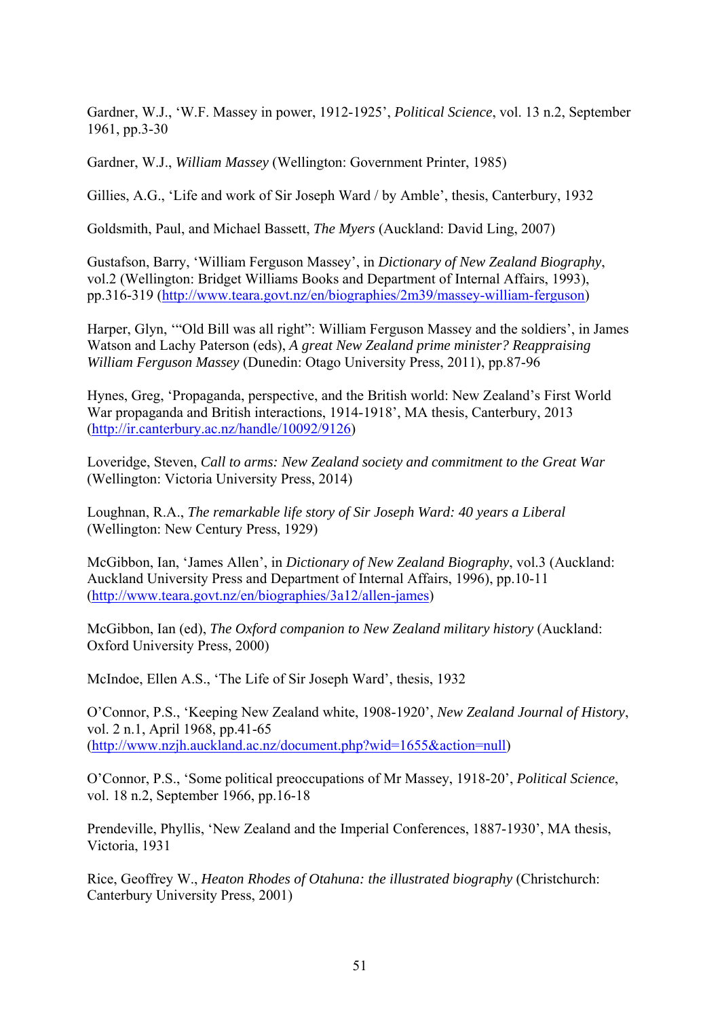Gardner, W.J., 'W.F. Massey in power, 1912-1925', *Political Science*, vol. 13 n.2, September 1961, pp.3-30

Gardner, W.J., *William Massey* (Wellington: Government Printer, 1985)

Gillies, A.G., 'Life and work of Sir Joseph Ward / by Amble', thesis, Canterbury, 1932

Goldsmith, Paul, and Michael Bassett, *The Myers* (Auckland: David Ling, 2007)

Gustafson, Barry, 'William Ferguson Massey', in *Dictionary of New Zealand Biography*, vol.2 (Wellington: Bridget Williams Books and Department of Internal Affairs, 1993), pp.316-319 (http://www.teara.govt.nz/en/biographies/2m39/massey-william-ferguson)

Harper, Glyn, '"Old Bill was all right": William Ferguson Massey and the soldiers', in James Watson and Lachy Paterson (eds), *A great New Zealand prime minister? Reappraising William Ferguson Massey* (Dunedin: Otago University Press, 2011), pp.87-96

Hynes, Greg, 'Propaganda, perspective, and the British world: New Zealand's First World War propaganda and British interactions, 1914-1918', MA thesis, Canterbury, 2013 (http://ir.canterbury.ac.nz/handle/10092/9126)

Loveridge, Steven, *Call to arms: New Zealand society and commitment to the Great War* (Wellington: Victoria University Press, 2014)

Loughnan, R.A., *The remarkable life story of Sir Joseph Ward: 40 years a Liberal* (Wellington: New Century Press, 1929)

McGibbon, Ian, 'James Allen', in *Dictionary of New Zealand Biography*, vol.3 (Auckland: Auckland University Press and Department of Internal Affairs, 1996), pp.10-11 (http://www.teara.govt.nz/en/biographies/3a12/allen-james)

McGibbon, Ian (ed), *The Oxford companion to New Zealand military history* (Auckland: Oxford University Press, 2000)

McIndoe, Ellen A.S., 'The Life of Sir Joseph Ward', thesis, 1932

O'Connor, P.S., 'Keeping New Zealand white, 1908-1920', *New Zealand Journal of History*, vol. 2 n.1, April 1968, pp.41-65 (http://www.nzjh.auckland.ac.nz/document.php?wid=1655&action=null)

O'Connor, P.S., 'Some political preoccupations of Mr Massey, 1918-20', *Political Science*, vol. 18 n.2, September 1966, pp.16-18

Prendeville, Phyllis, 'New Zealand and the Imperial Conferences, 1887-1930', MA thesis, Victoria, 1931

Rice, Geoffrey W., *Heaton Rhodes of Otahuna: the illustrated biography* (Christchurch: Canterbury University Press, 2001)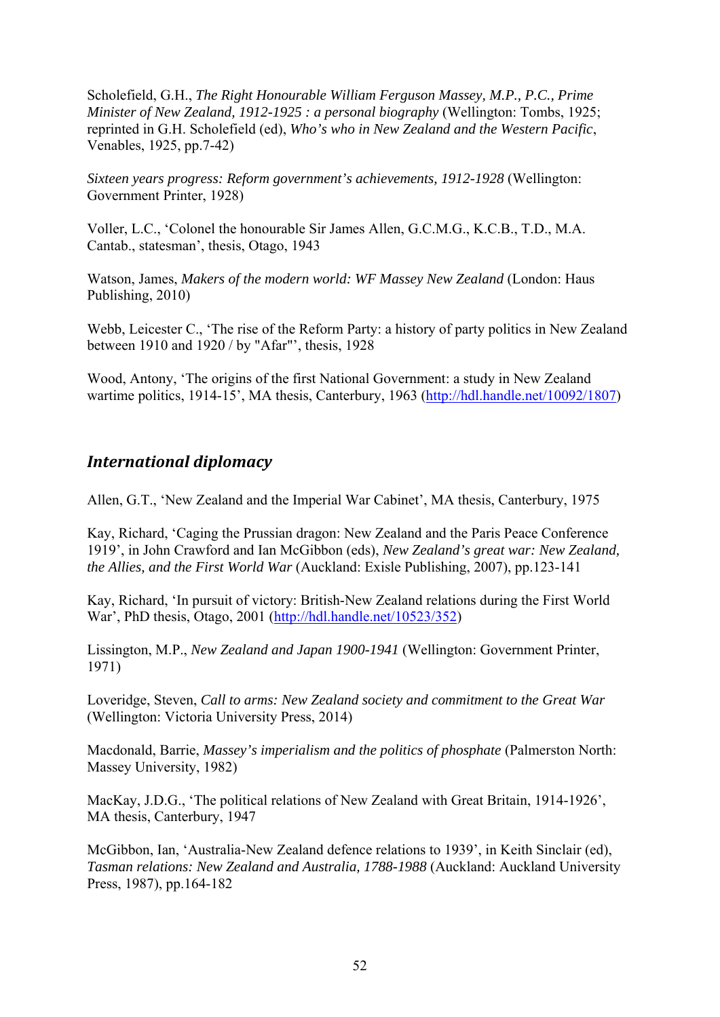Scholefield, G.H., *The Right Honourable William Ferguson Massey, M.P., P.C., Prime Minister of New Zealand, 1912-1925 : a personal biography* (Wellington: Tombs, 1925; reprinted in G.H. Scholefield (ed), *Who's who in New Zealand and the Western Pacific*, Venables, 1925, pp.7-42)

*Sixteen years progress: Reform government's achievements, 1912-1928* (Wellington: Government Printer, 1928)

Voller, L.C., 'Colonel the honourable Sir James Allen, G.C.M.G., K.C.B., T.D., M.A. Cantab., statesman', thesis, Otago, 1943

Watson, James, *Makers of the modern world: WF Massey New Zealand* (London: Haus Publishing, 2010)

Webb, Leicester C., 'The rise of the Reform Party: a history of party politics in New Zealand between 1910 and 1920 / by "Afar"', thesis, 1928

Wood, Antony, 'The origins of the first National Government: a study in New Zealand wartime politics, 1914-15', MA thesis, Canterbury, 1963 (http://hdl.handle.net/10092/1807)

#### *International diplomacy*

Allen, G.T., 'New Zealand and the Imperial War Cabinet', MA thesis, Canterbury, 1975

Kay, Richard, 'Caging the Prussian dragon: New Zealand and the Paris Peace Conference 1919', in John Crawford and Ian McGibbon (eds), *New Zealand's great war: New Zealand, the Allies, and the First World War* (Auckland: Exisle Publishing, 2007), pp.123-141

Kay, Richard, 'In pursuit of victory: British-New Zealand relations during the First World War', PhD thesis, Otago, 2001 (http://hdl.handle.net/10523/352)

Lissington, M.P., *New Zealand and Japan 1900-1941* (Wellington: Government Printer, 1971)

Loveridge, Steven, *Call to arms: New Zealand society and commitment to the Great War* (Wellington: Victoria University Press, 2014)

Macdonald, Barrie, *Massey's imperialism and the politics of phosphate* (Palmerston North: Massey University, 1982)

MacKay, J.D.G., 'The political relations of New Zealand with Great Britain, 1914-1926', MA thesis, Canterbury, 1947

McGibbon, Ian, 'Australia-New Zealand defence relations to 1939', in Keith Sinclair (ed), *Tasman relations: New Zealand and Australia, 1788-1988* (Auckland: Auckland University Press, 1987), pp.164-182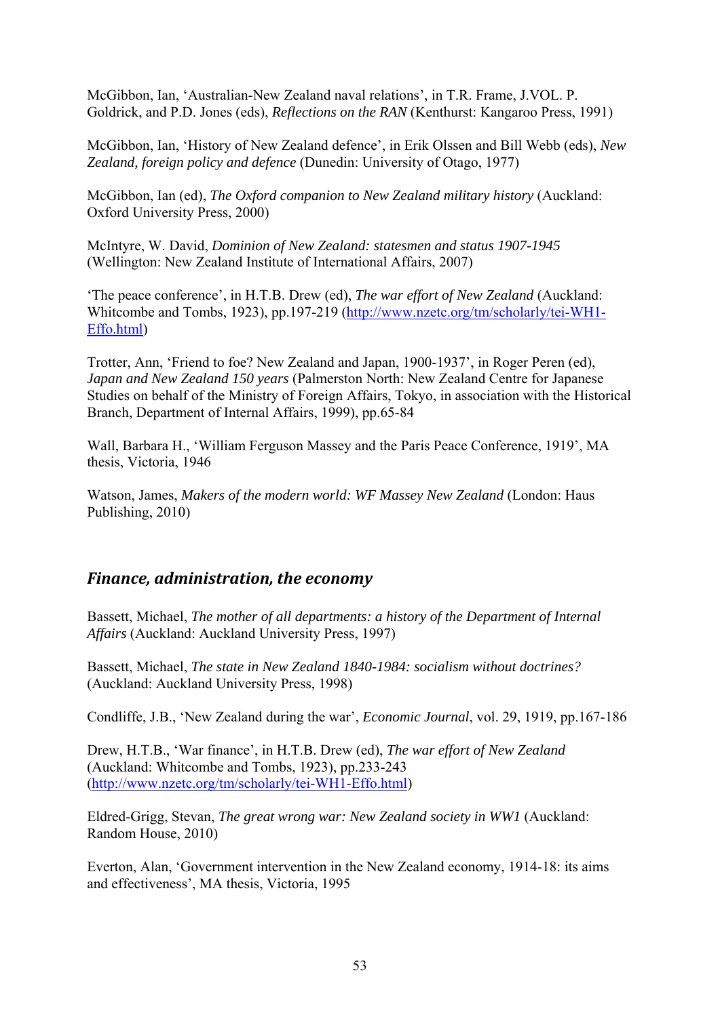McGibbon, Ian, 'Australian-New Zealand naval relations', in T.R. Frame, J.VOL. P. Goldrick, and P.D. Jones (eds), *Reflections on the RAN* (Kenthurst: Kangaroo Press, 1991)

McGibbon, Ian, 'History of New Zealand defence', in Erik Olssen and Bill Webb (eds), *New Zealand, foreign policy and defence* (Dunedin: University of Otago, 1977)

McGibbon, Ian (ed), *The Oxford companion to New Zealand military history* (Auckland: Oxford University Press, 2000)

McIntyre, W. David, *Dominion of New Zealand: statesmen and status 1907-1945* (Wellington: New Zealand Institute of International Affairs, 2007)

'The peace conference', in H.T.B. Drew (ed), *The war effort of New Zealand* (Auckland: Whitcombe and Tombs, 1923), pp.197-219 (http://www.nzetc.org/tm/scholarly/tei-WH1- Effo.html)

Trotter, Ann, 'Friend to foe? New Zealand and Japan, 1900-1937', in Roger Peren (ed), *Japan and New Zealand 150 years* (Palmerston North: New Zealand Centre for Japanese Studies on behalf of the Ministry of Foreign Affairs, Tokyo, in association with the Historical Branch, Department of Internal Affairs, 1999), pp.65-84

Wall, Barbara H., 'William Ferguson Massey and the Paris Peace Conference, 1919', MA thesis, Victoria, 1946

Watson, James, *Makers of the modern world: WF Massey New Zealand* (London: Haus Publishing, 2010)

#### *Finance, administration, the economy*

Bassett, Michael, *The mother of all departments: a history of the Department of Internal Affairs* (Auckland: Auckland University Press, 1997)

Bassett, Michael, *The state in New Zealand 1840-1984: socialism without doctrines?* (Auckland: Auckland University Press, 1998)

Condliffe, J.B., 'New Zealand during the war', *Economic Journal*, vol. 29, 1919, pp.167-186

Drew, H.T.B., 'War finance', in H.T.B. Drew (ed), *The war effort of New Zealand* (Auckland: Whitcombe and Tombs, 1923), pp.233-243 (http://www.nzetc.org/tm/scholarly/tei-WH1-Effo.html)

Eldred-Grigg, Stevan, *The great wrong war: New Zealand society in WW1* (Auckland: Random House, 2010)

Everton, Alan, 'Government intervention in the New Zealand economy, 1914-18: its aims and effectiveness', MA thesis, Victoria, 1995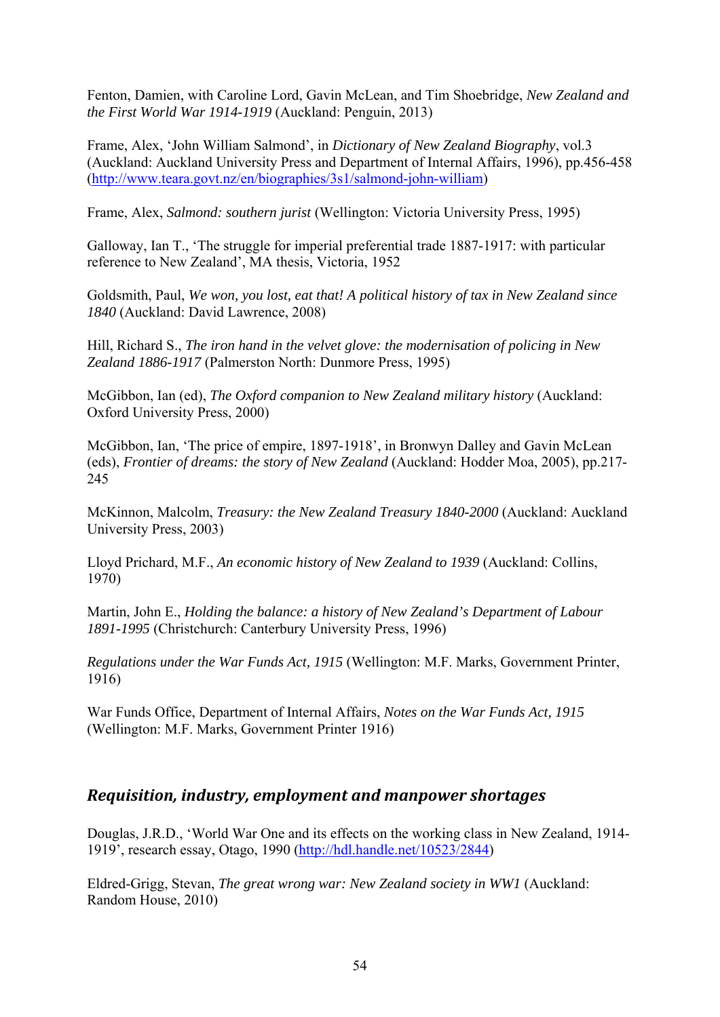Fenton, Damien, with Caroline Lord, Gavin McLean, and Tim Shoebridge, *New Zealand and the First World War 1914-1919* (Auckland: Penguin, 2013)

Frame, Alex, 'John William Salmond', in *Dictionary of New Zealand Biography*, vol.3 (Auckland: Auckland University Press and Department of Internal Affairs, 1996), pp.456-458 (http://www.teara.govt.nz/en/biographies/3s1/salmond-john-william)

Frame, Alex, *Salmond: southern jurist* (Wellington: Victoria University Press, 1995)

Galloway, Ian T., 'The struggle for imperial preferential trade 1887-1917: with particular reference to New Zealand', MA thesis, Victoria, 1952

Goldsmith, Paul, *We won, you lost, eat that! A political history of tax in New Zealand since 1840* (Auckland: David Lawrence, 2008)

Hill, Richard S., *The iron hand in the velvet glove: the modernisation of policing in New Zealand 1886-1917* (Palmerston North: Dunmore Press, 1995)

McGibbon, Ian (ed), *The Oxford companion to New Zealand military history* (Auckland: Oxford University Press, 2000)

McGibbon, Ian, 'The price of empire, 1897-1918', in Bronwyn Dalley and Gavin McLean (eds), *Frontier of dreams: the story of New Zealand* (Auckland: Hodder Moa, 2005), pp.217- 245

McKinnon, Malcolm, *Treasury: the New Zealand Treasury 1840-2000* (Auckland: Auckland University Press, 2003)

Lloyd Prichard, M.F., *An economic history of New Zealand to 1939* (Auckland: Collins, 1970)

Martin, John E., *Holding the balance: a history of New Zealand's Department of Labour 1891-1995* (Christchurch: Canterbury University Press, 1996)

*Regulations under the War Funds Act, 1915* (Wellington: M.F. Marks, Government Printer, 1916)

War Funds Office, Department of Internal Affairs, *Notes on the War Funds Act, 1915* (Wellington: M.F. Marks, Government Printer 1916)

#### *Requisition, industry, employment and manpower shortages*

Douglas, J.R.D., 'World War One and its effects on the working class in New Zealand, 1914- 1919', research essay, Otago, 1990 (http://hdl.handle.net/10523/2844)

Eldred-Grigg, Stevan, *The great wrong war: New Zealand society in WW1* (Auckland: Random House, 2010)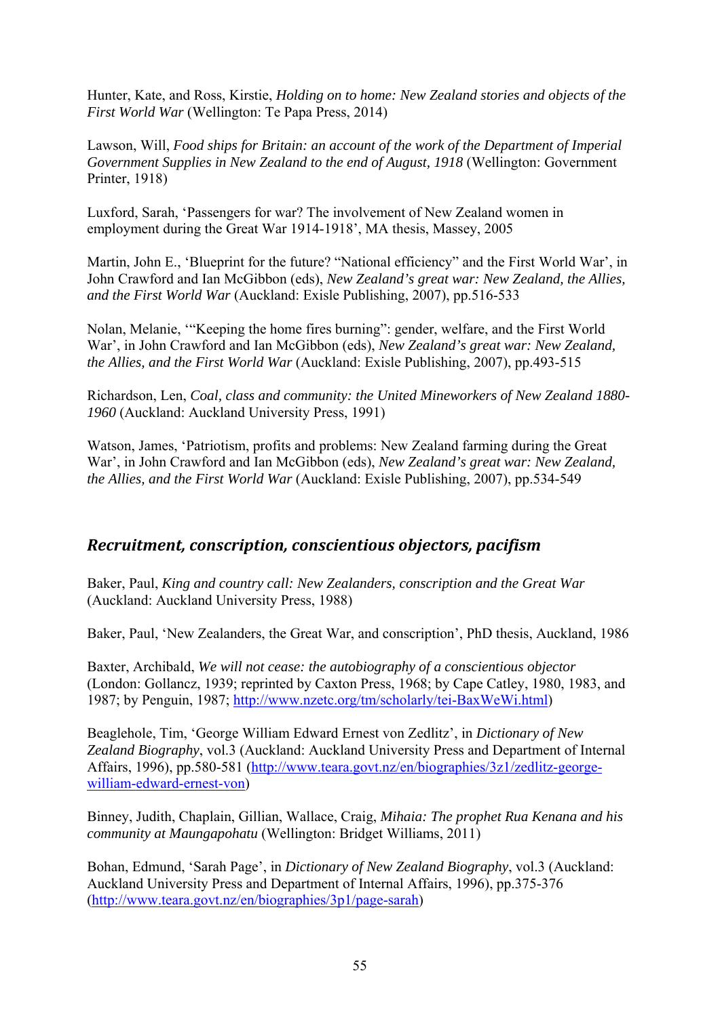Hunter, Kate, and Ross, Kirstie, *Holding on to home: New Zealand stories and objects of the First World War* (Wellington: Te Papa Press, 2014)

Lawson, Will, *Food ships for Britain: an account of the work of the Department of Imperial Government Supplies in New Zealand to the end of August, 1918* (Wellington: Government Printer, 1918)

Luxford, Sarah, 'Passengers for war? The involvement of New Zealand women in employment during the Great War 1914-1918', MA thesis, Massey, 2005

Martin, John E., 'Blueprint for the future? "National efficiency" and the First World War', in John Crawford and Ian McGibbon (eds), *New Zealand's great war: New Zealand, the Allies, and the First World War* (Auckland: Exisle Publishing, 2007), pp.516-533

Nolan, Melanie, '"Keeping the home fires burning": gender, welfare, and the First World War', in John Crawford and Ian McGibbon (eds), *New Zealand's great war: New Zealand, the Allies, and the First World War* (Auckland: Exisle Publishing, 2007), pp.493-515

Richardson, Len, *Coal, class and community: the United Mineworkers of New Zealand 1880- 1960* (Auckland: Auckland University Press, 1991)

Watson, James, 'Patriotism, profits and problems: New Zealand farming during the Great War', in John Crawford and Ian McGibbon (eds), *New Zealand's great war: New Zealand, the Allies, and the First World War* (Auckland: Exisle Publishing, 2007), pp.534-549

#### *Recruitment, conscription, conscientious objectors, pacifism*

Baker, Paul, *King and country call: New Zealanders, conscription and the Great War* (Auckland: Auckland University Press, 1988)

Baker, Paul, 'New Zealanders, the Great War, and conscription', PhD thesis, Auckland, 1986

Baxter, Archibald, *We will not cease: the autobiography of a conscientious objector* (London: Gollancz, 1939; reprinted by Caxton Press, 1968; by Cape Catley, 1980, 1983, and 1987; by Penguin, 1987; http://www.nzetc.org/tm/scholarly/tei-BaxWeWi.html)

Beaglehole, Tim, 'George William Edward Ernest von Zedlitz', in *Dictionary of New Zealand Biography*, vol.3 (Auckland: Auckland University Press and Department of Internal Affairs, 1996), pp.580-581 (http://www.teara.govt.nz/en/biographies/3z1/zedlitz-georgewilliam-edward-ernest-von)

Binney, Judith, Chaplain, Gillian, Wallace, Craig, *Mihaia: The prophet Rua Kenana and his community at Maungapohatu* (Wellington: Bridget Williams, 2011)

Bohan, Edmund, 'Sarah Page', in *Dictionary of New Zealand Biography*, vol.3 (Auckland: Auckland University Press and Department of Internal Affairs, 1996), pp.375-376 (http://www.teara.govt.nz/en/biographies/3p1/page-sarah)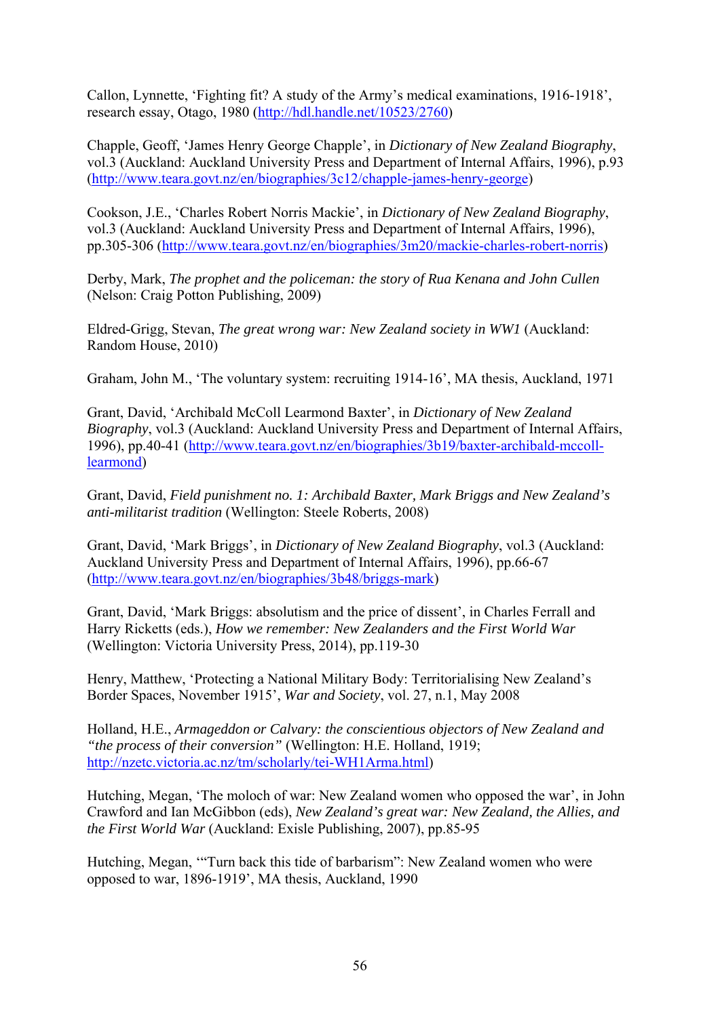Callon, Lynnette, 'Fighting fit? A study of the Army's medical examinations, 1916-1918', research essay, Otago, 1980 (http://hdl.handle.net/10523/2760)

Chapple, Geoff, 'James Henry George Chapple', in *Dictionary of New Zealand Biography*, vol.3 (Auckland: Auckland University Press and Department of Internal Affairs, 1996), p.93 (http://www.teara.govt.nz/en/biographies/3c12/chapple-james-henry-george)

Cookson, J.E., 'Charles Robert Norris Mackie', in *Dictionary of New Zealand Biography*, vol.3 (Auckland: Auckland University Press and Department of Internal Affairs, 1996), pp.305-306 (http://www.teara.govt.nz/en/biographies/3m20/mackie-charles-robert-norris)

Derby, Mark, *The prophet and the policeman: the story of Rua Kenana and John Cullen* (Nelson: Craig Potton Publishing, 2009)

Eldred-Grigg, Stevan, *The great wrong war: New Zealand society in WW1* (Auckland: Random House, 2010)

Graham, John M., 'The voluntary system: recruiting 1914-16', MA thesis, Auckland, 1971

Grant, David, 'Archibald McColl Learmond Baxter', in *Dictionary of New Zealand Biography*, vol.3 (Auckland: Auckland University Press and Department of Internal Affairs, 1996), pp.40-41 (http://www.teara.govt.nz/en/biographies/3b19/baxter-archibald-mccolllearmond)

Grant, David, *Field punishment no. 1: Archibald Baxter, Mark Briggs and New Zealand's anti-militarist tradition* (Wellington: Steele Roberts, 2008)

Grant, David, 'Mark Briggs', in *Dictionary of New Zealand Biography*, vol.3 (Auckland: Auckland University Press and Department of Internal Affairs, 1996), pp.66-67 (http://www.teara.govt.nz/en/biographies/3b48/briggs-mark)

Grant, David, 'Mark Briggs: absolutism and the price of dissent', in Charles Ferrall and Harry Ricketts (eds.), *How we remember: New Zealanders and the First World War* (Wellington: Victoria University Press, 2014), pp.119-30

Henry, Matthew, 'Protecting a National Military Body: Territorialising New Zealand's Border Spaces, November 1915', *War and Society*, vol. 27, n.1, May 2008

Holland, H.E., *Armageddon or Calvary: the conscientious objectors of New Zealand and "the process of their conversion"* (Wellington: H.E. Holland, 1919; http://nzetc.victoria.ac.nz/tm/scholarly/tei-WH1Arma.html)

Hutching, Megan, 'The moloch of war: New Zealand women who opposed the war', in John Crawford and Ian McGibbon (eds), *New Zealand's great war: New Zealand, the Allies, and the First World War* (Auckland: Exisle Publishing, 2007), pp.85-95

Hutching, Megan, '"Turn back this tide of barbarism": New Zealand women who were opposed to war, 1896-1919', MA thesis, Auckland, 1990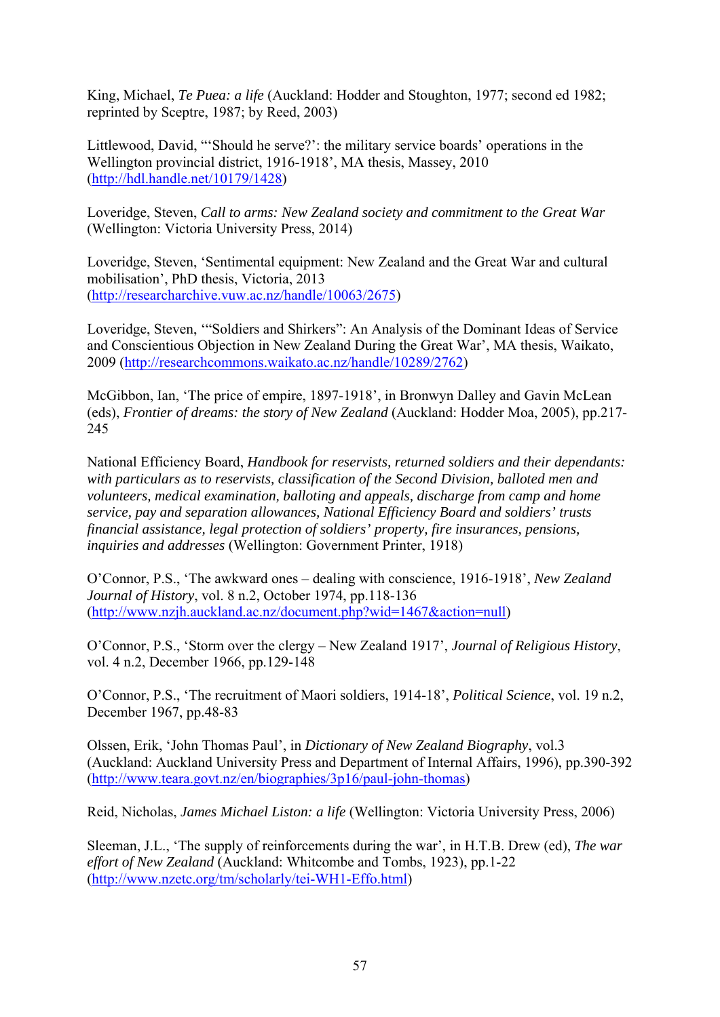King, Michael, *Te Puea: a life* (Auckland: Hodder and Stoughton, 1977; second ed 1982; reprinted by Sceptre, 1987; by Reed, 2003)

Littlewood, David, "'Should he serve?': the military service boards' operations in the Wellington provincial district, 1916-1918', MA thesis, Massey, 2010 (http://hdl.handle.net/10179/1428)

Loveridge, Steven, *Call to arms: New Zealand society and commitment to the Great War* (Wellington: Victoria University Press, 2014)

Loveridge, Steven, 'Sentimental equipment: New Zealand and the Great War and cultural mobilisation', PhD thesis, Victoria, 2013 (http://researcharchive.vuw.ac.nz/handle/10063/2675)

Loveridge, Steven, '"Soldiers and Shirkers": An Analysis of the Dominant Ideas of Service and Conscientious Objection in New Zealand During the Great War', MA thesis, Waikato, 2009 (http://researchcommons.waikato.ac.nz/handle/10289/2762)

McGibbon, Ian, 'The price of empire, 1897-1918', in Bronwyn Dalley and Gavin McLean (eds), *Frontier of dreams: the story of New Zealand* (Auckland: Hodder Moa, 2005), pp.217- 245

National Efficiency Board, *Handbook for reservists, returned soldiers and their dependants: with particulars as to reservists, classification of the Second Division, balloted men and volunteers, medical examination, balloting and appeals, discharge from camp and home service, pay and separation allowances, National Efficiency Board and soldiers' trusts financial assistance, legal protection of soldiers' property, fire insurances, pensions, inquiries and addresses* (Wellington: Government Printer, 1918)

O'Connor, P.S., 'The awkward ones – dealing with conscience, 1916-1918', *New Zealand Journal of History*, vol. 8 n.2, October 1974, pp.118-136 (http://www.nzjh.auckland.ac.nz/document.php?wid=1467&action=null)

O'Connor, P.S., 'Storm over the clergy – New Zealand 1917', *Journal of Religious History*, vol. 4 n.2, December 1966, pp.129-148

O'Connor, P.S., 'The recruitment of Maori soldiers, 1914-18', *Political Science*, vol. 19 n.2, December 1967, pp.48-83

Olssen, Erik, 'John Thomas Paul', in *Dictionary of New Zealand Biography*, vol.3 (Auckland: Auckland University Press and Department of Internal Affairs, 1996), pp.390-392 (http://www.teara.govt.nz/en/biographies/3p16/paul-john-thomas)

Reid, Nicholas, *James Michael Liston: a life* (Wellington: Victoria University Press, 2006)

Sleeman, J.L., 'The supply of reinforcements during the war', in H.T.B. Drew (ed), *The war effort of New Zealand* (Auckland: Whitcombe and Tombs, 1923), pp.1-22 (http://www.nzetc.org/tm/scholarly/tei-WH1-Effo.html)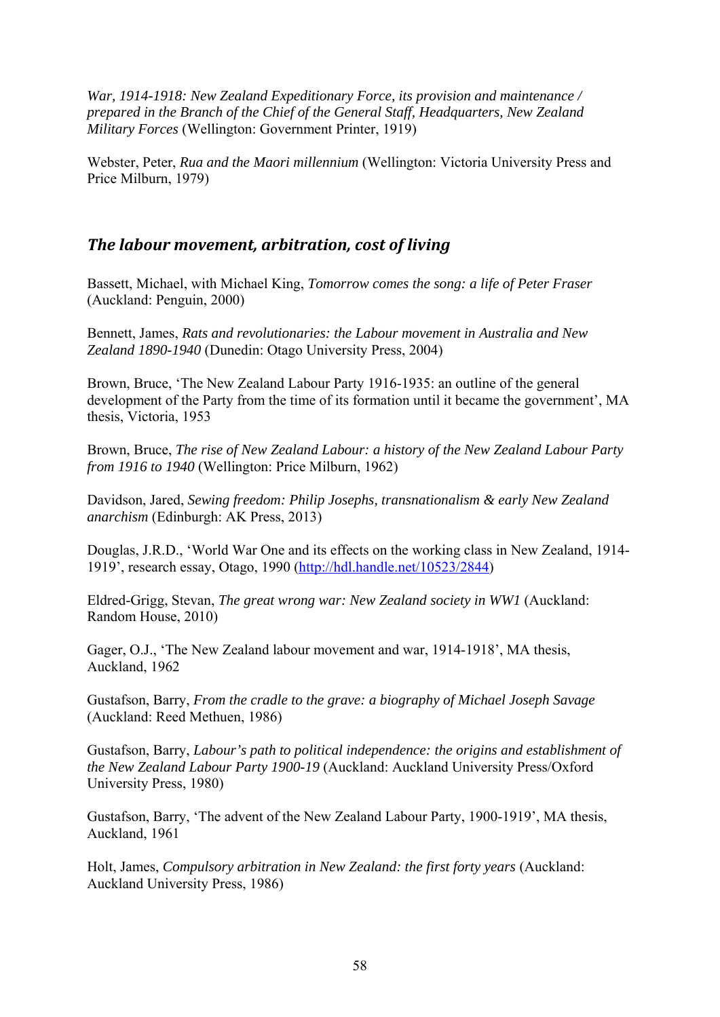*War, 1914-1918: New Zealand Expeditionary Force, its provision and maintenance / prepared in the Branch of the Chief of the General Staff, Headquarters, New Zealand Military Forces* (Wellington: Government Printer, 1919)

Webster, Peter, *Rua and the Maori millennium* (Wellington: Victoria University Press and Price Milburn, 1979)

#### *The labour movement, arbitration, cost of living*

Bassett, Michael, with Michael King, *Tomorrow comes the song: a life of Peter Fraser* (Auckland: Penguin, 2000)

Bennett, James, *Rats and revolutionaries: the Labour movement in Australia and New Zealand 1890-1940* (Dunedin: Otago University Press, 2004)

Brown, Bruce, 'The New Zealand Labour Party 1916-1935: an outline of the general development of the Party from the time of its formation until it became the government', MA thesis, Victoria, 1953

Brown, Bruce, *The rise of New Zealand Labour: a history of the New Zealand Labour Party from 1916 to 1940* (Wellington: Price Milburn, 1962)

Davidson, Jared, *Sewing freedom: Philip Josephs, transnationalism & early New Zealand anarchism* (Edinburgh: AK Press, 2013)

Douglas, J.R.D., 'World War One and its effects on the working class in New Zealand, 1914- 1919', research essay, Otago, 1990 (http://hdl.handle.net/10523/2844)

Eldred-Grigg, Stevan, *The great wrong war: New Zealand society in WW1* (Auckland: Random House, 2010)

Gager, O.J., 'The New Zealand labour movement and war, 1914-1918', MA thesis, Auckland, 1962

Gustafson, Barry, *From the cradle to the grave: a biography of Michael Joseph Savage* (Auckland: Reed Methuen, 1986)

Gustafson, Barry, *Labour's path to political independence: the origins and establishment of the New Zealand Labour Party 1900-19* (Auckland: Auckland University Press/Oxford University Press, 1980)

Gustafson, Barry, 'The advent of the New Zealand Labour Party, 1900-1919', MA thesis, Auckland, 1961

Holt, James, *Compulsory arbitration in New Zealand: the first forty years* (Auckland: Auckland University Press, 1986)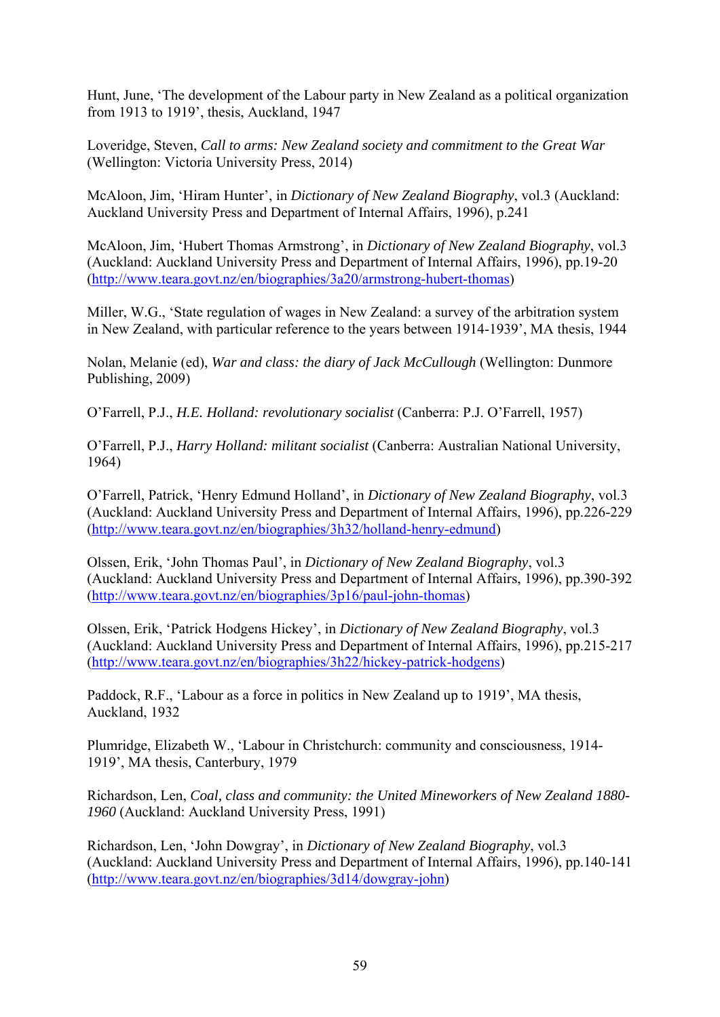Hunt, June, 'The development of the Labour party in New Zealand as a political organization from 1913 to 1919', thesis, Auckland, 1947

Loveridge, Steven, *Call to arms: New Zealand society and commitment to the Great War* (Wellington: Victoria University Press, 2014)

McAloon, Jim, 'Hiram Hunter', in *Dictionary of New Zealand Biography*, vol.3 (Auckland: Auckland University Press and Department of Internal Affairs, 1996), p.241

McAloon, Jim, 'Hubert Thomas Armstrong', in *Dictionary of New Zealand Biography*, vol.3 (Auckland: Auckland University Press and Department of Internal Affairs, 1996), pp.19-20 (http://www.teara.govt.nz/en/biographies/3a20/armstrong-hubert-thomas)

Miller, W.G., 'State regulation of wages in New Zealand: a survey of the arbitration system in New Zealand, with particular reference to the years between 1914-1939', MA thesis, 1944

Nolan, Melanie (ed), *War and class: the diary of Jack McCullough* (Wellington: Dunmore Publishing, 2009)

O'Farrell, P.J., *H.E. Holland: revolutionary socialist* (Canberra: P.J. O'Farrell, 1957)

O'Farrell, P.J., *Harry Holland: militant socialist* (Canberra: Australian National University, 1964)

O'Farrell, Patrick, 'Henry Edmund Holland', in *Dictionary of New Zealand Biography*, vol.3 (Auckland: Auckland University Press and Department of Internal Affairs, 1996), pp.226-229 (http://www.teara.govt.nz/en/biographies/3h32/holland-henry-edmund)

Olssen, Erik, 'John Thomas Paul', in *Dictionary of New Zealand Biography*, vol.3 (Auckland: Auckland University Press and Department of Internal Affairs, 1996), pp.390-392 (http://www.teara.govt.nz/en/biographies/3p16/paul-john-thomas)

Olssen, Erik, 'Patrick Hodgens Hickey', in *Dictionary of New Zealand Biography*, vol.3 (Auckland: Auckland University Press and Department of Internal Affairs, 1996), pp.215-217 (http://www.teara.govt.nz/en/biographies/3h22/hickey-patrick-hodgens)

Paddock, R.F., 'Labour as a force in politics in New Zealand up to 1919', MA thesis, Auckland, 1932

Plumridge, Elizabeth W., 'Labour in Christchurch: community and consciousness, 1914- 1919', MA thesis, Canterbury, 1979

Richardson, Len, *Coal, class and community: the United Mineworkers of New Zealand 1880- 1960* (Auckland: Auckland University Press, 1991)

Richardson, Len, 'John Dowgray', in *Dictionary of New Zealand Biography*, vol.3 (Auckland: Auckland University Press and Department of Internal Affairs, 1996), pp.140-141 (http://www.teara.govt.nz/en/biographies/3d14/dowgray-john)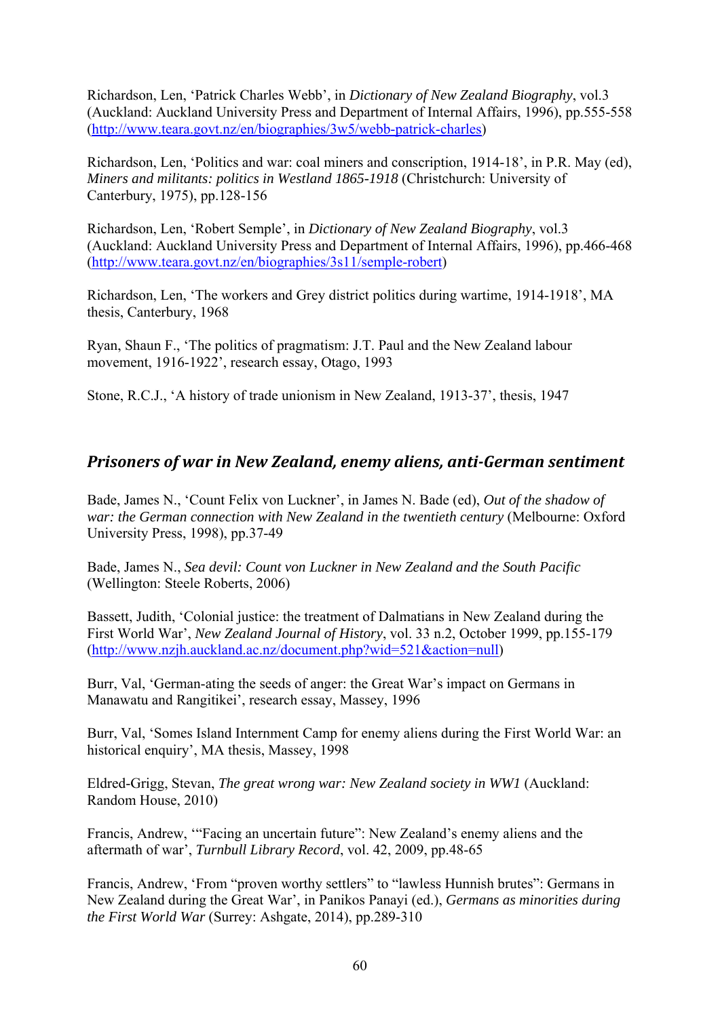Richardson, Len, 'Patrick Charles Webb', in *Dictionary of New Zealand Biography*, vol.3 (Auckland: Auckland University Press and Department of Internal Affairs, 1996), pp.555-558 (http://www.teara.govt.nz/en/biographies/3w5/webb-patrick-charles)

Richardson, Len, 'Politics and war: coal miners and conscription, 1914-18', in P.R. May (ed), *Miners and militants: politics in Westland 1865-1918* (Christchurch: University of Canterbury, 1975), pp.128-156

Richardson, Len, 'Robert Semple', in *Dictionary of New Zealand Biography*, vol.3 (Auckland: Auckland University Press and Department of Internal Affairs, 1996), pp.466-468 (http://www.teara.govt.nz/en/biographies/3s11/semple-robert)

Richardson, Len, 'The workers and Grey district politics during wartime, 1914-1918', MA thesis, Canterbury, 1968

Ryan, Shaun F., 'The politics of pragmatism: J.T. Paul and the New Zealand labour movement, 1916-1922', research essay, Otago, 1993

Stone, R.C.J., 'A history of trade unionism in New Zealand, 1913-37', thesis, 1947

#### *Prisoners of war in New Zealand, enemy aliens, anti‐German sentiment*

Bade, James N., 'Count Felix von Luckner', in James N. Bade (ed), *Out of the shadow of war: the German connection with New Zealand in the twentieth century* (Melbourne: Oxford University Press, 1998), pp.37-49

Bade, James N., *Sea devil: Count von Luckner in New Zealand and the South Pacific* (Wellington: Steele Roberts, 2006)

Bassett, Judith, 'Colonial justice: the treatment of Dalmatians in New Zealand during the First World War', *New Zealand Journal of History*, vol. 33 n.2, October 1999, pp.155-179 (http://www.nzjh.auckland.ac.nz/document.php?wid=521&action=null)

Burr, Val, 'German-ating the seeds of anger: the Great War's impact on Germans in Manawatu and Rangitikei', research essay, Massey, 1996

Burr, Val, 'Somes Island Internment Camp for enemy aliens during the First World War: an historical enquiry', MA thesis, Massey, 1998

Eldred-Grigg, Stevan, *The great wrong war: New Zealand society in WW1* (Auckland: Random House, 2010)

Francis, Andrew, '"Facing an uncertain future": New Zealand's enemy aliens and the aftermath of war', *Turnbull Library Record*, vol. 42, 2009, pp.48-65

Francis, Andrew, 'From "proven worthy settlers" to "lawless Hunnish brutes": Germans in New Zealand during the Great War', in Panikos Panayi (ed.), *Germans as minorities during the First World War* (Surrey: Ashgate, 2014), pp.289-310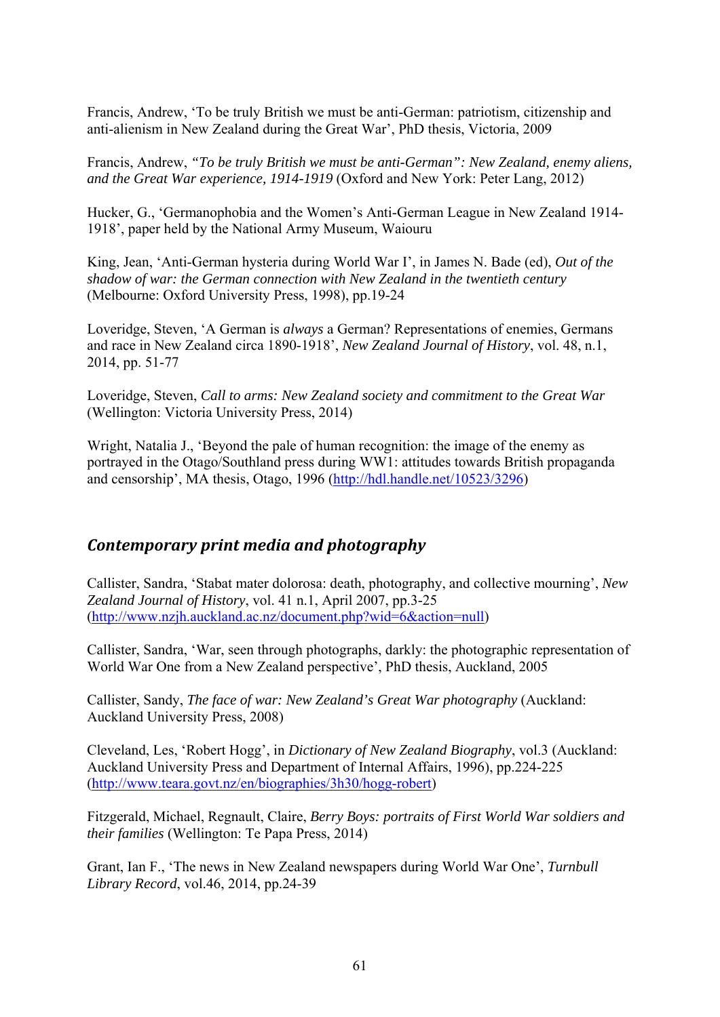Francis, Andrew, 'To be truly British we must be anti-German: patriotism, citizenship and anti-alienism in New Zealand during the Great War', PhD thesis, Victoria, 2009

Francis, Andrew, *"To be truly British we must be anti-German": New Zealand, enemy aliens, and the Great War experience, 1914-1919* (Oxford and New York: Peter Lang, 2012)

Hucker, G., 'Germanophobia and the Women's Anti-German League in New Zealand 1914- 1918', paper held by the National Army Museum, Waiouru

King, Jean, 'Anti-German hysteria during World War I', in James N. Bade (ed), *Out of the shadow of war: the German connection with New Zealand in the twentieth century* (Melbourne: Oxford University Press, 1998), pp.19-24

Loveridge, Steven, 'A German is *always* a German? Representations of enemies, Germans and race in New Zealand circa 1890-1918', *New Zealand Journal of History*, vol. 48, n.1, 2014, pp. 51-77

Loveridge, Steven, *Call to arms: New Zealand society and commitment to the Great War* (Wellington: Victoria University Press, 2014)

Wright, Natalia J., 'Beyond the pale of human recognition: the image of the enemy as portrayed in the Otago/Southland press during WW1: attitudes towards British propaganda and censorship', MA thesis, Otago, 1996 (http://hdl.handle.net/10523/3296)

## *Contemporary print media and photography*

Callister, Sandra, 'Stabat mater dolorosa: death, photography, and collective mourning', *New Zealand Journal of History*, vol. 41 n.1, April 2007, pp.3-25 (http://www.nzjh.auckland.ac.nz/document.php?wid=6&action=null)

Callister, Sandra, 'War, seen through photographs, darkly: the photographic representation of World War One from a New Zealand perspective', PhD thesis, Auckland, 2005

Callister, Sandy, *The face of war: New Zealand's Great War photography* (Auckland: Auckland University Press, 2008)

Cleveland, Les, 'Robert Hogg', in *Dictionary of New Zealand Biography*, vol.3 (Auckland: Auckland University Press and Department of Internal Affairs, 1996), pp.224-225 (http://www.teara.govt.nz/en/biographies/3h30/hogg-robert)

Fitzgerald, Michael, Regnault, Claire, *Berry Boys: portraits of First World War soldiers and their families* (Wellington: Te Papa Press, 2014)

Grant, Ian F., 'The news in New Zealand newspapers during World War One', *Turnbull Library Record*, vol.46, 2014, pp.24-39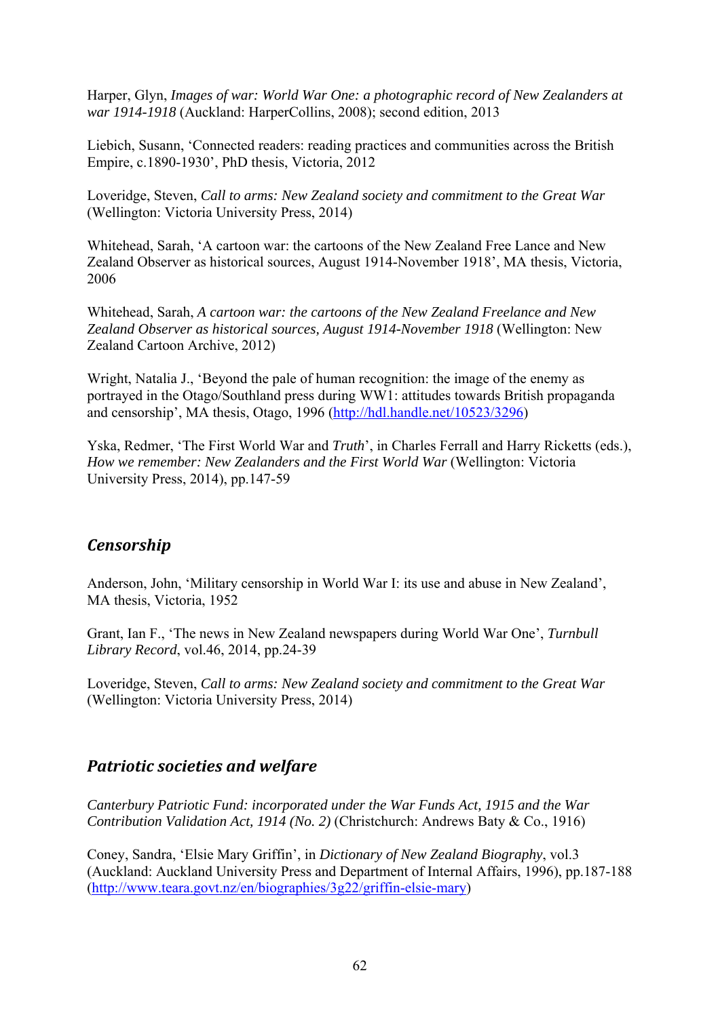Harper, Glyn, *Images of war: World War One: a photographic record of New Zealanders at war 1914-1918* (Auckland: HarperCollins, 2008); second edition, 2013

Liebich, Susann, 'Connected readers: reading practices and communities across the British Empire, c.1890-1930', PhD thesis, Victoria, 2012

Loveridge, Steven, *Call to arms: New Zealand society and commitment to the Great War* (Wellington: Victoria University Press, 2014)

Whitehead, Sarah, 'A cartoon war: the cartoons of the New Zealand Free Lance and New Zealand Observer as historical sources, August 1914-November 1918', MA thesis, Victoria, 2006

Whitehead, Sarah, *A cartoon war: the cartoons of the New Zealand Freelance and New Zealand Observer as historical sources, August 1914-November 1918* (Wellington: New Zealand Cartoon Archive, 2012)

Wright, Natalia J., 'Beyond the pale of human recognition: the image of the enemy as portrayed in the Otago/Southland press during WW1: attitudes towards British propaganda and censorship', MA thesis, Otago, 1996 (http://hdl.handle.net/10523/3296)

Yska, Redmer, 'The First World War and *Truth*', in Charles Ferrall and Harry Ricketts (eds.), *How we remember: New Zealanders and the First World War* (Wellington: Victoria University Press, 2014), pp.147-59

## *Censorship*

Anderson, John, 'Military censorship in World War I: its use and abuse in New Zealand', MA thesis, Victoria, 1952

Grant, Ian F., 'The news in New Zealand newspapers during World War One', *Turnbull Library Record*, vol.46, 2014, pp.24-39

Loveridge, Steven, *Call to arms: New Zealand society and commitment to the Great War* (Wellington: Victoria University Press, 2014)

#### *Patriotic societies and welfare*

*Canterbury Patriotic Fund: incorporated under the War Funds Act, 1915 and the War Contribution Validation Act, 1914 (No. 2)* (Christchurch: Andrews Baty & Co., 1916)

Coney, Sandra, 'Elsie Mary Griffin', in *Dictionary of New Zealand Biography*, vol.3 (Auckland: Auckland University Press and Department of Internal Affairs, 1996), pp.187-188 (http://www.teara.govt.nz/en/biographies/3g22/griffin-elsie-mary)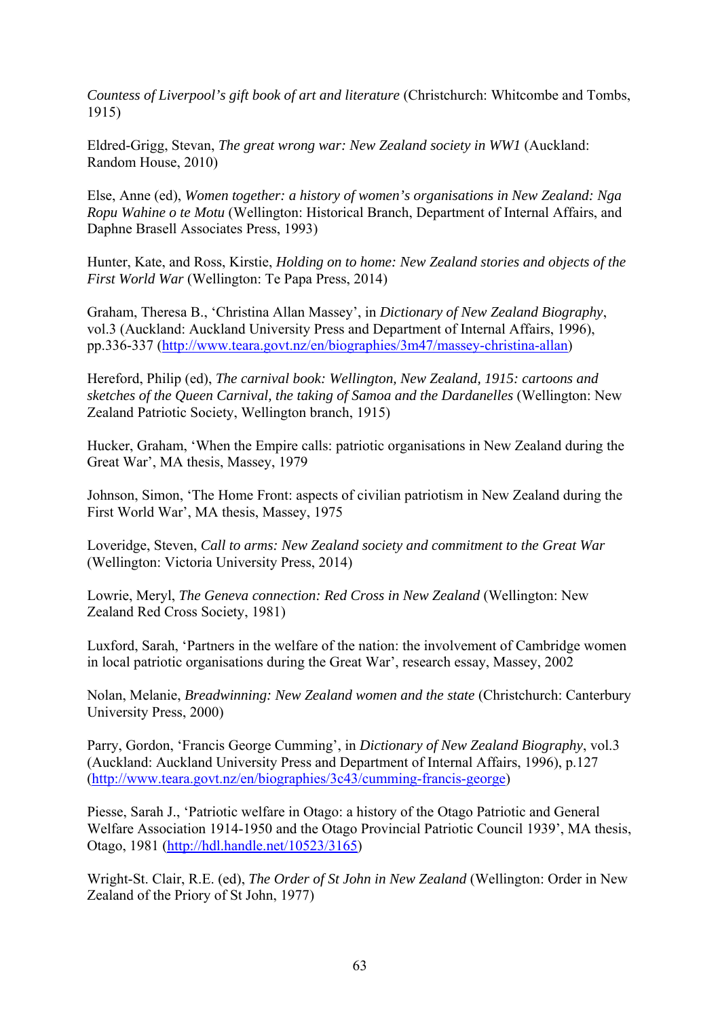*Countess of Liverpool's gift book of art and literature* (Christchurch: Whitcombe and Tombs, 1915)

Eldred-Grigg, Stevan, *The great wrong war: New Zealand society in WW1* (Auckland: Random House, 2010)

Else, Anne (ed), *Women together: a history of women's organisations in New Zealand: Nga Ropu Wahine o te Motu* (Wellington: Historical Branch, Department of Internal Affairs, and Daphne Brasell Associates Press, 1993)

Hunter, Kate, and Ross, Kirstie, *Holding on to home: New Zealand stories and objects of the First World War* (Wellington: Te Papa Press, 2014)

Graham, Theresa B., 'Christina Allan Massey', in *Dictionary of New Zealand Biography*, vol.3 (Auckland: Auckland University Press and Department of Internal Affairs, 1996), pp.336-337 (http://www.teara.govt.nz/en/biographies/3m47/massey-christina-allan)

Hereford, Philip (ed), *The carnival book: Wellington, New Zealand, 1915: cartoons and sketches of the Queen Carnival, the taking of Samoa and the Dardanelles* (Wellington: New Zealand Patriotic Society, Wellington branch, 1915)

Hucker, Graham, 'When the Empire calls: patriotic organisations in New Zealand during the Great War', MA thesis, Massey, 1979

Johnson, Simon, 'The Home Front: aspects of civilian patriotism in New Zealand during the First World War', MA thesis, Massey, 1975

Loveridge, Steven, *Call to arms: New Zealand society and commitment to the Great War* (Wellington: Victoria University Press, 2014)

Lowrie, Meryl, *The Geneva connection: Red Cross in New Zealand* (Wellington: New Zealand Red Cross Society, 1981)

Luxford, Sarah, 'Partners in the welfare of the nation: the involvement of Cambridge women in local patriotic organisations during the Great War', research essay, Massey, 2002

Nolan, Melanie, *Breadwinning: New Zealand women and the state* (Christchurch: Canterbury University Press, 2000)

Parry, Gordon, 'Francis George Cumming', in *Dictionary of New Zealand Biography*, vol.3 (Auckland: Auckland University Press and Department of Internal Affairs, 1996), p.127 (http://www.teara.govt.nz/en/biographies/3c43/cumming-francis-george)

Piesse, Sarah J., 'Patriotic welfare in Otago: a history of the Otago Patriotic and General Welfare Association 1914-1950 and the Otago Provincial Patriotic Council 1939', MA thesis, Otago, 1981 (http://hdl.handle.net/10523/3165)

Wright-St. Clair, R.E. (ed), *The Order of St John in New Zealand* (Wellington: Order in New Zealand of the Priory of St John, 1977)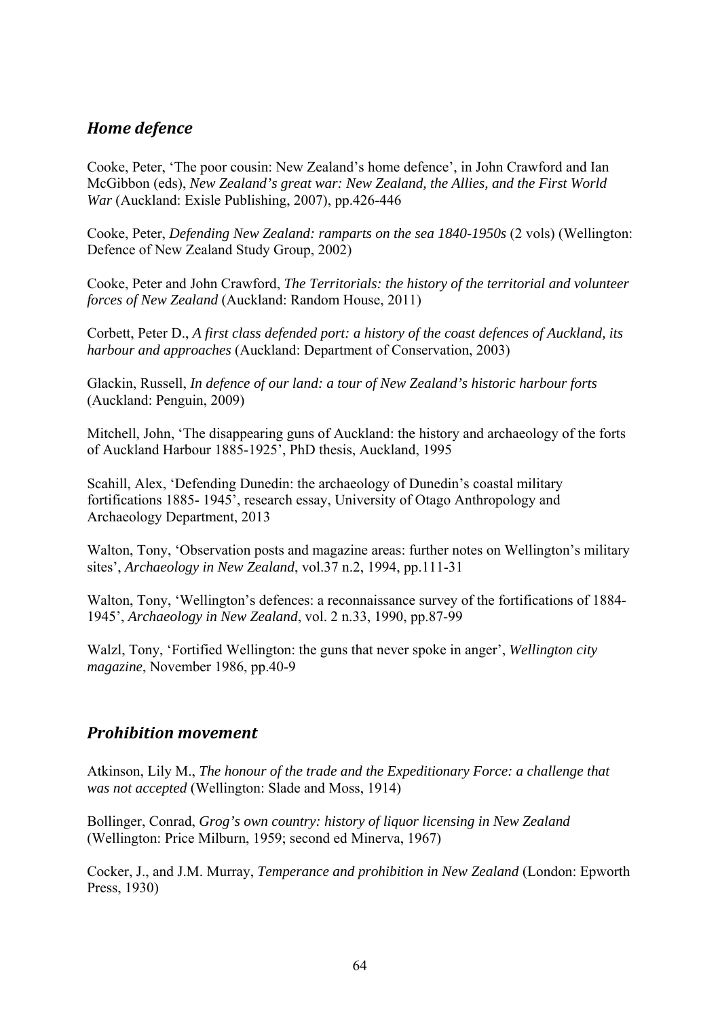## *Home defence*

Cooke, Peter, 'The poor cousin: New Zealand's home defence', in John Crawford and Ian McGibbon (eds), *New Zealand's great war: New Zealand, the Allies, and the First World War* (Auckland: Exisle Publishing, 2007), pp.426-446

Cooke, Peter, *Defending New Zealand: ramparts on the sea 1840-1950s (2 vols)* (Wellington: Defence of New Zealand Study Group, 2002)

Cooke, Peter and John Crawford, *The Territorials: the history of the territorial and volunteer forces of New Zealand* (Auckland: Random House, 2011)

Corbett, Peter D., *A first class defended port: a history of the coast defences of Auckland, its harbour and approaches* (Auckland: Department of Conservation, 2003)

Glackin, Russell, *In defence of our land: a tour of New Zealand's historic harbour forts* (Auckland: Penguin, 2009)

Mitchell, John, 'The disappearing guns of Auckland: the history and archaeology of the forts of Auckland Harbour 1885-1925', PhD thesis, Auckland, 1995

Scahill, Alex, 'Defending Dunedin: the archaeology of Dunedin's coastal military fortifications 1885- 1945', research essay, University of Otago Anthropology and Archaeology Department, 2013

Walton, Tony, 'Observation posts and magazine areas: further notes on Wellington's military sites', *Archaeology in New Zealand*, vol.37 n.2, 1994, pp.111-31

Walton, Tony, 'Wellington's defences: a reconnaissance survey of the fortifications of 1884- 1945', *Archaeology in New Zealand*, vol. 2 n.33, 1990, pp.87-99

Walzl, Tony, 'Fortified Wellington: the guns that never spoke in anger', *Wellington city magazine*, November 1986, pp.40-9

#### *Prohibition movement*

Atkinson, Lily M., *The honour of the trade and the Expeditionary Force: a challenge that was not accepted* (Wellington: Slade and Moss, 1914)

Bollinger, Conrad, *Grog's own country: history of liquor licensing in New Zealand* (Wellington: Price Milburn, 1959; second ed Minerva, 1967)

Cocker, J., and J.M. Murray, *Temperance and prohibition in New Zealand* (London: Epworth Press, 1930)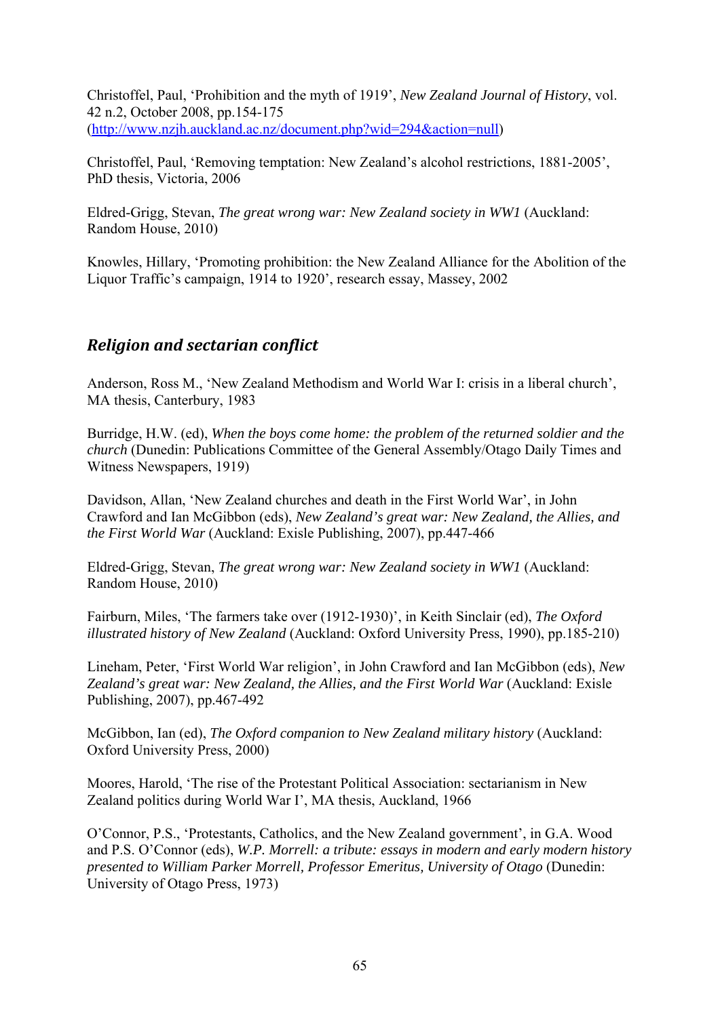Christoffel, Paul, 'Prohibition and the myth of 1919', *New Zealand Journal of History*, vol. 42 n.2, October 2008, pp.154-175 (http://www.nzjh.auckland.ac.nz/document.php?wid=294&action=null)

Christoffel, Paul, 'Removing temptation: New Zealand's alcohol restrictions, 1881-2005', PhD thesis, Victoria, 2006

Eldred-Grigg, Stevan, *The great wrong war: New Zealand society in WW1* (Auckland: Random House, 2010)

Knowles, Hillary, 'Promoting prohibition: the New Zealand Alliance for the Abolition of the Liquor Traffic's campaign, 1914 to 1920', research essay, Massey, 2002

#### *Religion and sectarian conflict*

Anderson, Ross M., 'New Zealand Methodism and World War I: crisis in a liberal church', MA thesis, Canterbury, 1983

Burridge, H.W. (ed), *When the boys come home: the problem of the returned soldier and the church* (Dunedin: Publications Committee of the General Assembly/Otago Daily Times and Witness Newspapers, 1919)

Davidson, Allan, 'New Zealand churches and death in the First World War', in John Crawford and Ian McGibbon (eds), *New Zealand's great war: New Zealand, the Allies, and the First World War* (Auckland: Exisle Publishing, 2007), pp.447-466

Eldred-Grigg, Stevan, *The great wrong war: New Zealand society in WW1* (Auckland: Random House, 2010)

Fairburn, Miles, 'The farmers take over (1912-1930)', in Keith Sinclair (ed), *The Oxford illustrated history of New Zealand* (Auckland: Oxford University Press, 1990), pp.185-210)

Lineham, Peter, 'First World War religion', in John Crawford and Ian McGibbon (eds), *New Zealand's great war: New Zealand, the Allies, and the First World War* (Auckland: Exisle Publishing, 2007), pp.467-492

McGibbon, Ian (ed), *The Oxford companion to New Zealand military history* (Auckland: Oxford University Press, 2000)

Moores, Harold, 'The rise of the Protestant Political Association: sectarianism in New Zealand politics during World War I', MA thesis, Auckland, 1966

O'Connor, P.S., 'Protestants, Catholics, and the New Zealand government', in G.A. Wood and P.S. O'Connor (eds), *W.P. Morrell: a tribute: essays in modern and early modern history presented to William Parker Morrell, Professor Emeritus, University of Otago* (Dunedin: University of Otago Press, 1973)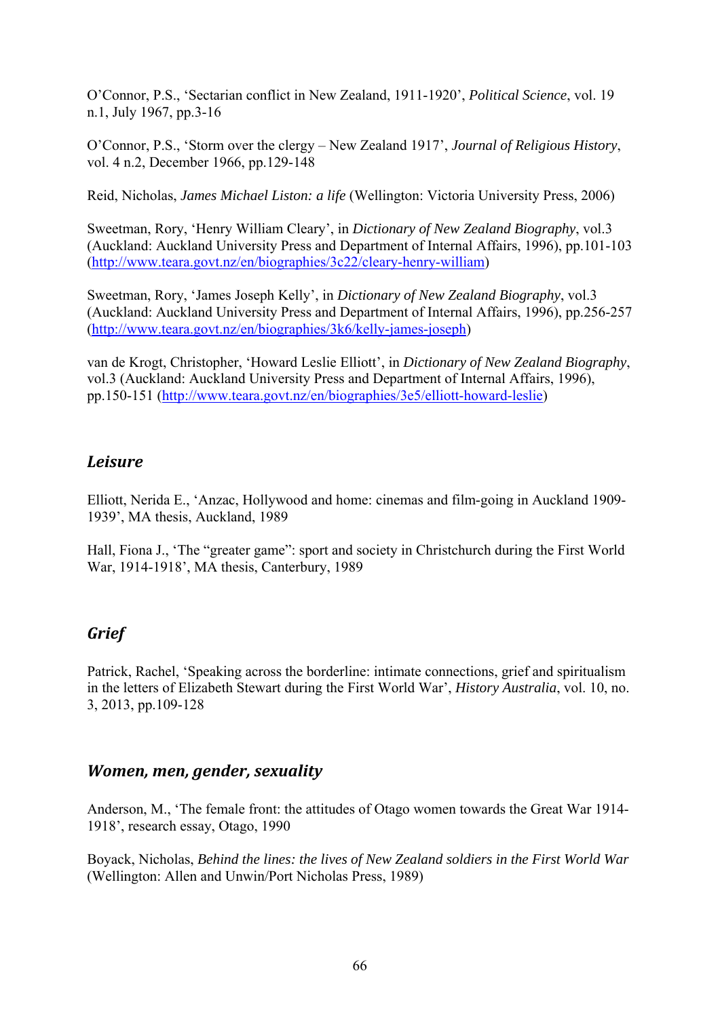O'Connor, P.S., 'Sectarian conflict in New Zealand, 1911-1920', *Political Science*, vol. 19 n.1, July 1967, pp.3-16

O'Connor, P.S., 'Storm over the clergy – New Zealand 1917', *Journal of Religious History*, vol. 4 n.2, December 1966, pp.129-148

Reid, Nicholas, *James Michael Liston: a life* (Wellington: Victoria University Press, 2006)

Sweetman, Rory, 'Henry William Cleary', in *Dictionary of New Zealand Biography*, vol.3 (Auckland: Auckland University Press and Department of Internal Affairs, 1996), pp.101-103 (http://www.teara.govt.nz/en/biographies/3c22/cleary-henry-william)

Sweetman, Rory, 'James Joseph Kelly', in *Dictionary of New Zealand Biography*, vol.3 (Auckland: Auckland University Press and Department of Internal Affairs, 1996), pp.256-257 (http://www.teara.govt.nz/en/biographies/3k6/kelly-james-joseph)

van de Krogt, Christopher, 'Howard Leslie Elliott', in *Dictionary of New Zealand Biography*, vol.3 (Auckland: Auckland University Press and Department of Internal Affairs, 1996), pp.150-151 (http://www.teara.govt.nz/en/biographies/3e5/elliott-howard-leslie)

## *Leisure*

Elliott, Nerida E., 'Anzac, Hollywood and home: cinemas and film-going in Auckland 1909- 1939', MA thesis, Auckland, 1989

Hall, Fiona J., 'The "greater game": sport and society in Christchurch during the First World War, 1914-1918', MA thesis, Canterbury, 1989

# *Grief*

Patrick, Rachel, 'Speaking across the borderline: intimate connections, grief and spiritualism in the letters of Elizabeth Stewart during the First World War', *History Australia*, vol. 10, no. 3, 2013, pp.109-128

#### *Women, men, gender, sexuality*

Anderson, M., 'The female front: the attitudes of Otago women towards the Great War 1914- 1918', research essay, Otago, 1990

Boyack, Nicholas, *Behind the lines: the lives of New Zealand soldiers in the First World War* (Wellington: Allen and Unwin/Port Nicholas Press, 1989)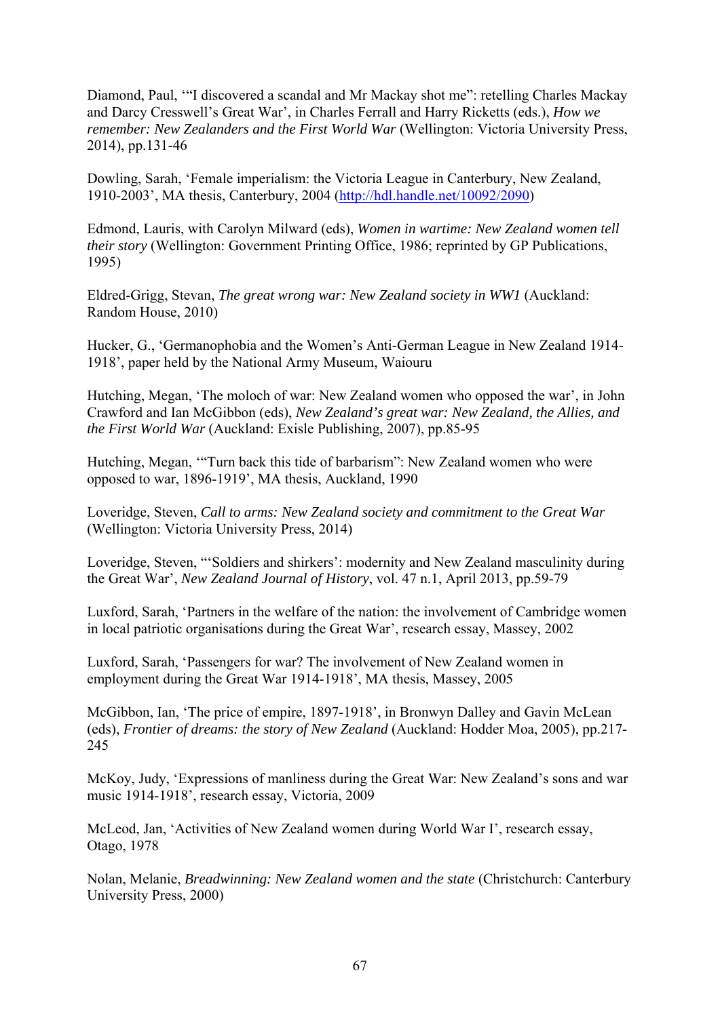Diamond, Paul, '"I discovered a scandal and Mr Mackay shot me": retelling Charles Mackay and Darcy Cresswell's Great War', in Charles Ferrall and Harry Ricketts (eds.), *How we remember: New Zealanders and the First World War* (Wellington: Victoria University Press, 2014), pp.131-46

Dowling, Sarah, 'Female imperialism: the Victoria League in Canterbury, New Zealand, 1910-2003', MA thesis, Canterbury, 2004 (http://hdl.handle.net/10092/2090)

Edmond, Lauris, with Carolyn Milward (eds), *Women in wartime: New Zealand women tell their story* (Wellington: Government Printing Office, 1986; reprinted by GP Publications, 1995)

Eldred-Grigg, Stevan, *The great wrong war: New Zealand society in WW1* (Auckland: Random House, 2010)

Hucker, G., 'Germanophobia and the Women's Anti-German League in New Zealand 1914- 1918', paper held by the National Army Museum, Waiouru

Hutching, Megan, 'The moloch of war: New Zealand women who opposed the war', in John Crawford and Ian McGibbon (eds), *New Zealand's great war: New Zealand, the Allies, and the First World War* (Auckland: Exisle Publishing, 2007), pp.85-95

Hutching, Megan, '"Turn back this tide of barbarism": New Zealand women who were opposed to war, 1896-1919', MA thesis, Auckland, 1990

Loveridge, Steven, *Call to arms: New Zealand society and commitment to the Great War* (Wellington: Victoria University Press, 2014)

Loveridge, Steven, "'Soldiers and shirkers': modernity and New Zealand masculinity during the Great War', *New Zealand Journal of History*, vol. 47 n.1, April 2013, pp.59-79

Luxford, Sarah, 'Partners in the welfare of the nation: the involvement of Cambridge women in local patriotic organisations during the Great War', research essay, Massey, 2002

Luxford, Sarah, 'Passengers for war? The involvement of New Zealand women in employment during the Great War 1914-1918', MA thesis, Massey, 2005

McGibbon, Ian, 'The price of empire, 1897-1918', in Bronwyn Dalley and Gavin McLean (eds), *Frontier of dreams: the story of New Zealand* (Auckland: Hodder Moa, 2005), pp.217- 245

McKoy, Judy, 'Expressions of manliness during the Great War: New Zealand's sons and war music 1914-1918', research essay, Victoria, 2009

McLeod, Jan, 'Activities of New Zealand women during World War I', research essay, Otago, 1978

Nolan, Melanie, *Breadwinning: New Zealand women and the state* (Christchurch: Canterbury University Press, 2000)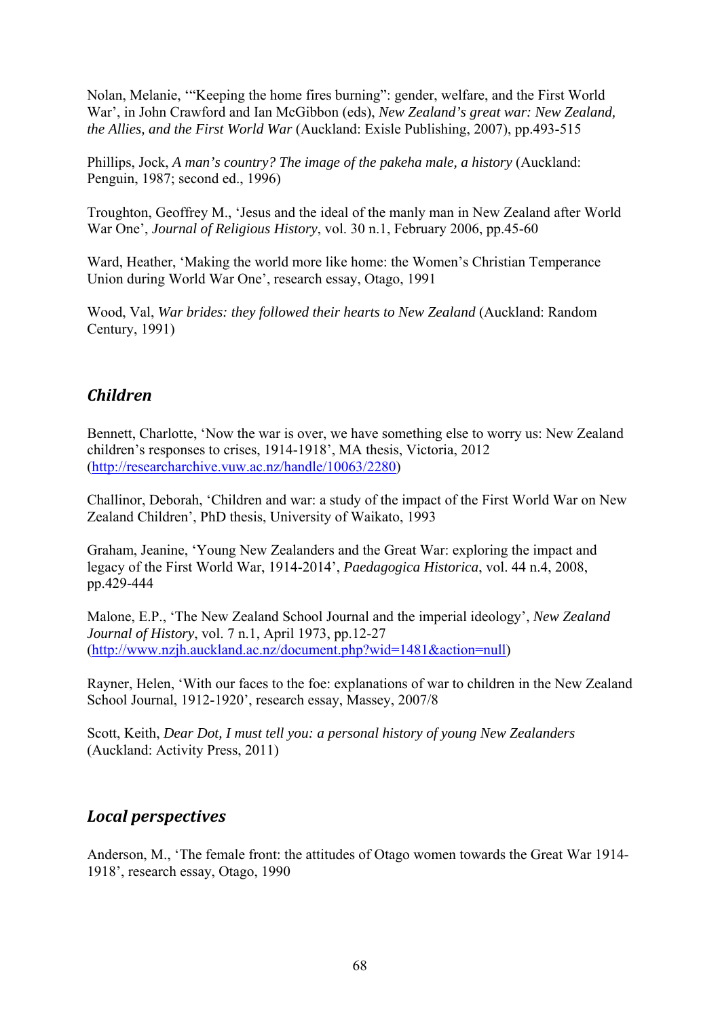Nolan, Melanie, '"Keeping the home fires burning": gender, welfare, and the First World War', in John Crawford and Ian McGibbon (eds), *New Zealand's great war: New Zealand, the Allies, and the First World War* (Auckland: Exisle Publishing, 2007), pp.493-515

Phillips, Jock, *A man's country? The image of the pakeha male, a history* (Auckland: Penguin, 1987; second ed., 1996)

Troughton, Geoffrey M., 'Jesus and the ideal of the manly man in New Zealand after World War One', *Journal of Religious History*, vol. 30 n.1, February 2006, pp.45-60

Ward, Heather, 'Making the world more like home: the Women's Christian Temperance Union during World War One', research essay, Otago, 1991

Wood, Val, *War brides: they followed their hearts to New Zealand* (Auckland: Random Century, 1991)

#### *Children*

Bennett, Charlotte, 'Now the war is over, we have something else to worry us: New Zealand children's responses to crises, 1914-1918', MA thesis, Victoria, 2012 (http://researcharchive.vuw.ac.nz/handle/10063/2280)

Challinor, Deborah, 'Children and war: a study of the impact of the First World War on New Zealand Children', PhD thesis, University of Waikato, 1993

Graham, Jeanine, 'Young New Zealanders and the Great War: exploring the impact and legacy of the First World War, 1914-2014', *Paedagogica Historica*, vol. 44 n.4, 2008, pp.429-444

Malone, E.P., 'The New Zealand School Journal and the imperial ideology', *New Zealand Journal of History*, vol. 7 n.1, April 1973, pp.12-27 (http://www.nzjh.auckland.ac.nz/document.php?wid=1481&action=null)

Rayner, Helen, 'With our faces to the foe: explanations of war to children in the New Zealand School Journal, 1912-1920', research essay, Massey, 2007/8

Scott, Keith, *Dear Dot, I must tell you: a personal history of young New Zealanders* (Auckland: Activity Press, 2011)

#### *Local perspectives*

Anderson, M., 'The female front: the attitudes of Otago women towards the Great War 1914- 1918', research essay, Otago, 1990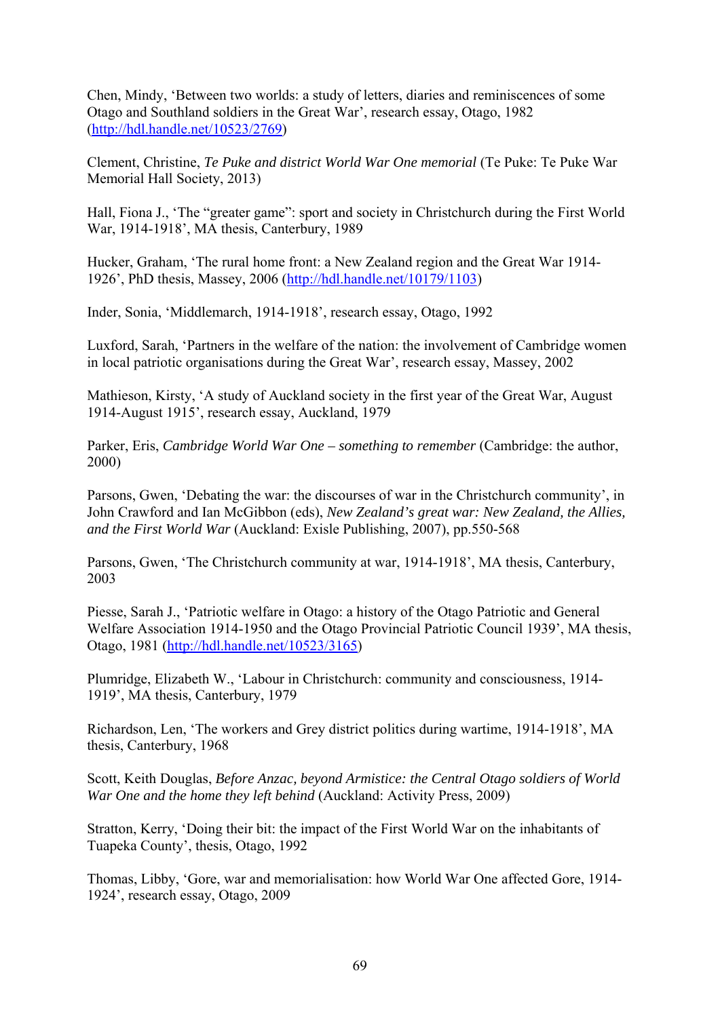Chen, Mindy, 'Between two worlds: a study of letters, diaries and reminiscences of some Otago and Southland soldiers in the Great War', research essay, Otago, 1982 (http://hdl.handle.net/10523/2769)

Clement, Christine, *Te Puke and district World War One memorial* (Te Puke: Te Puke War Memorial Hall Society, 2013)

Hall, Fiona J., 'The "greater game": sport and society in Christchurch during the First World War, 1914-1918', MA thesis, Canterbury, 1989

Hucker, Graham, 'The rural home front: a New Zealand region and the Great War 1914- 1926', PhD thesis, Massey, 2006 (http://hdl.handle.net/10179/1103)

Inder, Sonia, 'Middlemarch, 1914-1918', research essay, Otago, 1992

Luxford, Sarah, 'Partners in the welfare of the nation: the involvement of Cambridge women in local patriotic organisations during the Great War', research essay, Massey, 2002

Mathieson, Kirsty, 'A study of Auckland society in the first year of the Great War, August 1914-August 1915', research essay, Auckland, 1979

Parker, Eris, *Cambridge World War One – something to remember* (Cambridge: the author, 2000)

Parsons, Gwen, 'Debating the war: the discourses of war in the Christchurch community', in John Crawford and Ian McGibbon (eds), *New Zealand's great war: New Zealand, the Allies, and the First World War* (Auckland: Exisle Publishing, 2007), pp.550-568

Parsons, Gwen, 'The Christchurch community at war, 1914-1918', MA thesis, Canterbury, 2003

Piesse, Sarah J., 'Patriotic welfare in Otago: a history of the Otago Patriotic and General Welfare Association 1914-1950 and the Otago Provincial Patriotic Council 1939', MA thesis, Otago, 1981 (http://hdl.handle.net/10523/3165)

Plumridge, Elizabeth W., 'Labour in Christchurch: community and consciousness, 1914- 1919', MA thesis, Canterbury, 1979

Richardson, Len, 'The workers and Grey district politics during wartime, 1914-1918', MA thesis, Canterbury, 1968

Scott, Keith Douglas, *Before Anzac, beyond Armistice: the Central Otago soldiers of World War One and the home they left behind* (Auckland: Activity Press, 2009)

Stratton, Kerry, 'Doing their bit: the impact of the First World War on the inhabitants of Tuapeka County', thesis, Otago, 1992

Thomas, Libby, 'Gore, war and memorialisation: how World War One affected Gore, 1914- 1924', research essay, Otago, 2009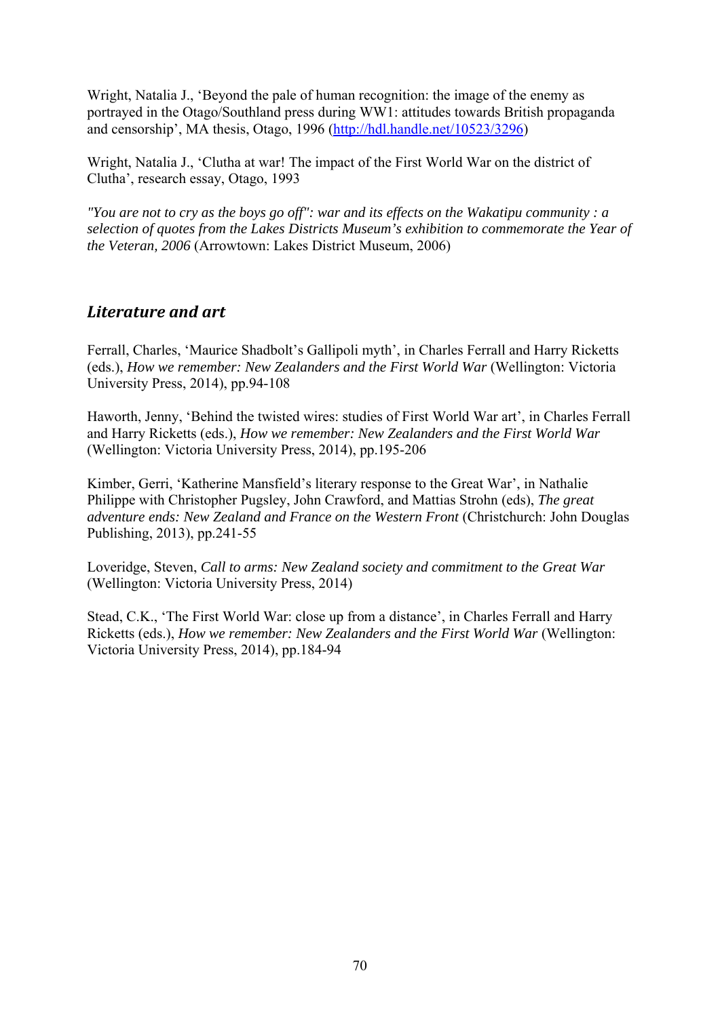Wright, Natalia J., 'Beyond the pale of human recognition: the image of the enemy as portrayed in the Otago/Southland press during WW1: attitudes towards British propaganda and censorship', MA thesis, Otago, 1996 (http://hdl.handle.net/10523/3296)

Wright, Natalia J., 'Clutha at war! The impact of the First World War on the district of Clutha', research essay, Otago, 1993

*"You are not to cry as the boys go off": war and its effects on the Wakatipu community : a selection of quotes from the Lakes Districts Museum's exhibition to commemorate the Year of the Veteran, 2006* (Arrowtown: Lakes District Museum, 2006)

## *Literature and art*

Ferrall, Charles, 'Maurice Shadbolt's Gallipoli myth', in Charles Ferrall and Harry Ricketts (eds.), *How we remember: New Zealanders and the First World War* (Wellington: Victoria University Press, 2014), pp.94-108

Haworth, Jenny, 'Behind the twisted wires: studies of First World War art', in Charles Ferrall and Harry Ricketts (eds.), *How we remember: New Zealanders and the First World War* (Wellington: Victoria University Press, 2014), pp.195-206

Kimber, Gerri, 'Katherine Mansfield's literary response to the Great War', in Nathalie Philippe with Christopher Pugsley, John Crawford, and Mattias Strohn (eds), *The great adventure ends: New Zealand and France on the Western Front* (Christchurch: John Douglas Publishing, 2013), pp.241-55

Loveridge, Steven, *Call to arms: New Zealand society and commitment to the Great War* (Wellington: Victoria University Press, 2014)

Stead, C.K., 'The First World War: close up from a distance', in Charles Ferrall and Harry Ricketts (eds.), *How we remember: New Zealanders and the First World War* (Wellington: Victoria University Press, 2014), pp.184-94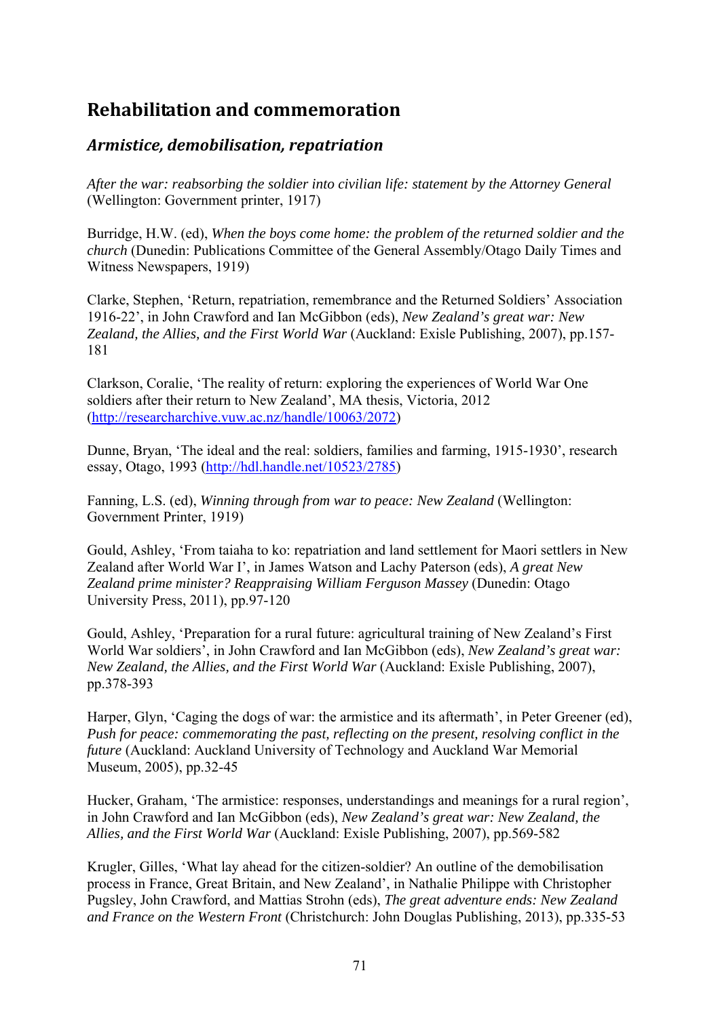# **Rehabilitation and commemoration**

## *Armistice, demobilisation, repatriation*

*After the war: reabsorbing the soldier into civilian life: statement by the Attorney General* (Wellington: Government printer, 1917)

Burridge, H.W. (ed), *When the boys come home: the problem of the returned soldier and the church* (Dunedin: Publications Committee of the General Assembly/Otago Daily Times and Witness Newspapers, 1919)

Clarke, Stephen, 'Return, repatriation, remembrance and the Returned Soldiers' Association 1916-22', in John Crawford and Ian McGibbon (eds), *New Zealand's great war: New Zealand, the Allies, and the First World War* (Auckland: Exisle Publishing, 2007), pp.157- 181

Clarkson, Coralie, 'The reality of return: exploring the experiences of World War One soldiers after their return to New Zealand', MA thesis, Victoria, 2012 (http://researcharchive.vuw.ac.nz/handle/10063/2072)

Dunne, Bryan, 'The ideal and the real: soldiers, families and farming, 1915-1930', research essay, Otago, 1993 (http://hdl.handle.net/10523/2785)

Fanning, L.S. (ed), *Winning through from war to peace: New Zealand* (Wellington: Government Printer, 1919)

Gould, Ashley, 'From taiaha to ko: repatriation and land settlement for Maori settlers in New Zealand after World War I', in James Watson and Lachy Paterson (eds), *A great New Zealand prime minister? Reappraising William Ferguson Massey* (Dunedin: Otago University Press, 2011), pp.97-120

Gould, Ashley, 'Preparation for a rural future: agricultural training of New Zealand's First World War soldiers', in John Crawford and Ian McGibbon (eds), *New Zealand's great war: New Zealand, the Allies, and the First World War* (Auckland: Exisle Publishing, 2007), pp.378-393

Harper, Glyn, 'Caging the dogs of war: the armistice and its aftermath', in Peter Greener (ed), *Push for peace: commemorating the past, reflecting on the present, resolving conflict in the future* (Auckland: Auckland University of Technology and Auckland War Memorial Museum, 2005), pp.32-45

Hucker, Graham, 'The armistice: responses, understandings and meanings for a rural region', in John Crawford and Ian McGibbon (eds), *New Zealand's great war: New Zealand, the Allies, and the First World War* (Auckland: Exisle Publishing, 2007), pp.569-582

Krugler, Gilles, 'What lay ahead for the citizen-soldier? An outline of the demobilisation process in France, Great Britain, and New Zealand', in Nathalie Philippe with Christopher Pugsley, John Crawford, and Mattias Strohn (eds), *The great adventure ends: New Zealand and France on the Western Front* (Christchurch: John Douglas Publishing, 2013), pp.335-53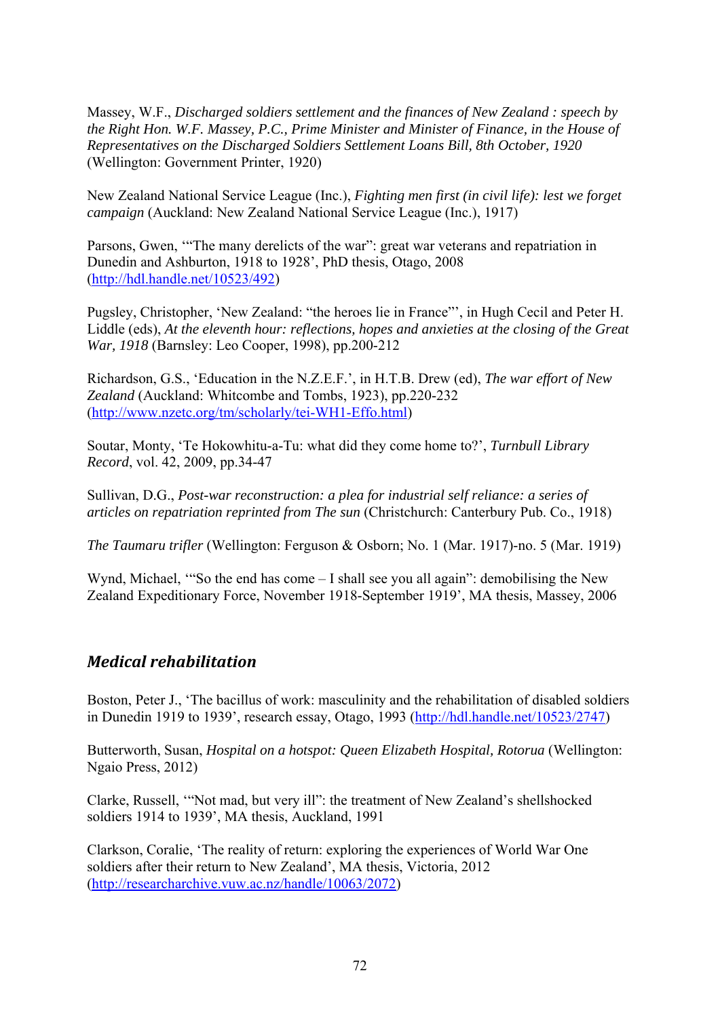Massey, W.F., *Discharged soldiers settlement and the finances of New Zealand : speech by the Right Hon. W.F. Massey, P.C., Prime Minister and Minister of Finance, in the House of Representatives on the Discharged Soldiers Settlement Loans Bill, 8th October, 1920* (Wellington: Government Printer, 1920)

New Zealand National Service League (Inc.), *Fighting men first (in civil life): lest we forget campaign* (Auckland: New Zealand National Service League (Inc.), 1917)

Parsons, Gwen, '"The many derelicts of the war": great war veterans and repatriation in Dunedin and Ashburton, 1918 to 1928', PhD thesis, Otago, 2008 (http://hdl.handle.net/10523/492)

Pugsley, Christopher, 'New Zealand: "the heroes lie in France"', in Hugh Cecil and Peter H. Liddle (eds), *At the eleventh hour: reflections, hopes and anxieties at the closing of the Great War, 1918* (Barnsley: Leo Cooper, 1998), pp.200-212

Richardson, G.S., 'Education in the N.Z.E.F.', in H.T.B. Drew (ed), *The war effort of New Zealand* (Auckland: Whitcombe and Tombs, 1923), pp.220-232 (http://www.nzetc.org/tm/scholarly/tei-WH1-Effo.html)

Soutar, Monty, 'Te Hokowhitu-a-Tu: what did they come home to?', *Turnbull Library Record*, vol. 42, 2009, pp.34-47

Sullivan, D.G., *Post-war reconstruction: a plea for industrial self reliance: a series of articles on repatriation reprinted from The sun* (Christchurch: Canterbury Pub. Co., 1918)

*The Taumaru trifler* (Wellington: Ferguson & Osborn; No. 1 (Mar. 1917)-no. 5 (Mar. 1919)

Wynd, Michael, "So the end has come – I shall see you all again": demobilising the New Zealand Expeditionary Force, November 1918-September 1919', MA thesis, Massey, 2006

## *Medical rehabilitation*

Boston, Peter J., 'The bacillus of work: masculinity and the rehabilitation of disabled soldiers in Dunedin 1919 to 1939', research essay, Otago, 1993 (http://hdl.handle.net/10523/2747)

Butterworth, Susan, *Hospital on a hotspot: Queen Elizabeth Hospital, Rotorua* (Wellington: Ngaio Press, 2012)

Clarke, Russell, '"Not mad, but very ill": the treatment of New Zealand's shellshocked soldiers 1914 to 1939', MA thesis, Auckland, 1991

Clarkson, Coralie, 'The reality of return: exploring the experiences of World War One soldiers after their return to New Zealand', MA thesis, Victoria, 2012 (http://researcharchive.vuw.ac.nz/handle/10063/2072)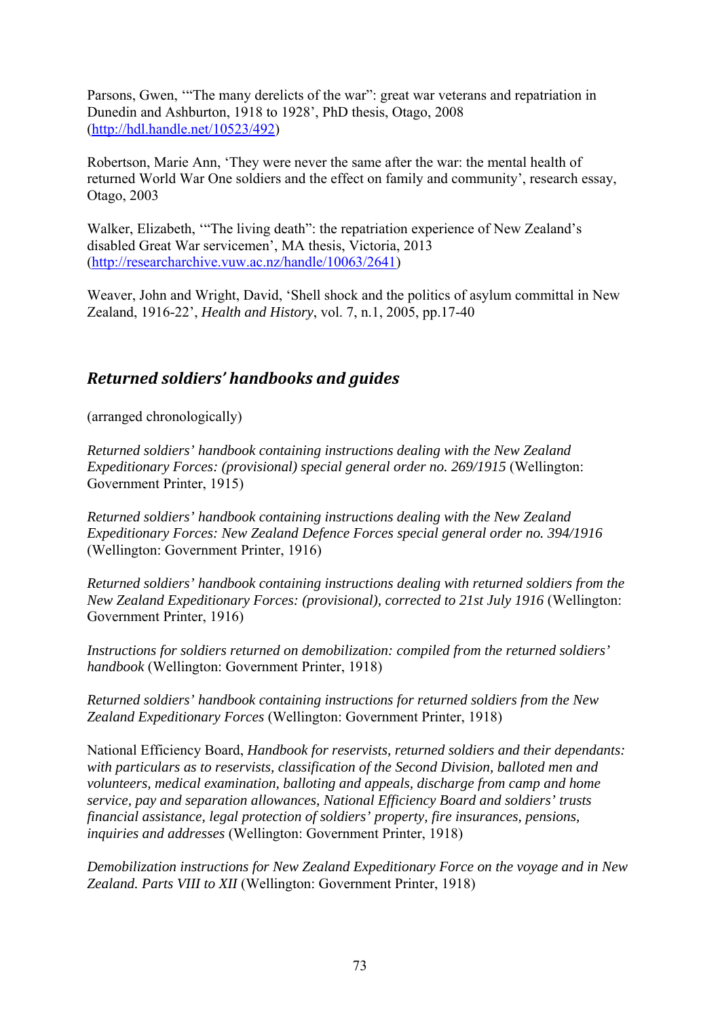Parsons, Gwen, '"The many derelicts of the war": great war veterans and repatriation in Dunedin and Ashburton, 1918 to 1928', PhD thesis, Otago, 2008 (http://hdl.handle.net/10523/492)

Robertson, Marie Ann, 'They were never the same after the war: the mental health of returned World War One soldiers and the effect on family and community', research essay, Otago, 2003

Walker, Elizabeth, '"The living death": the repatriation experience of New Zealand's disabled Great War servicemen', MA thesis, Victoria, 2013 (http://researcharchive.vuw.ac.nz/handle/10063/2641)

Weaver, John and Wright, David, 'Shell shock and the politics of asylum committal in New Zealand, 1916-22', *Health and History*, vol. 7, n.1, 2005, pp.17-40

# *Returned soldiers' handbooks and guides*

(arranged chronologically)

*Returned soldiers' handbook containing instructions dealing with the New Zealand Expeditionary Forces: (provisional) special general order no. 269/1915* (Wellington: Government Printer, 1915)

*Returned soldiers' handbook containing instructions dealing with the New Zealand Expeditionary Forces: New Zealand Defence Forces special general order no. 394/1916* (Wellington: Government Printer, 1916)

*Returned soldiers' handbook containing instructions dealing with returned soldiers from the New Zealand Expeditionary Forces: (provisional), corrected to 21st July 1916* (Wellington: Government Printer, 1916)

*Instructions for soldiers returned on demobilization: compiled from the returned soldiers' handbook* (Wellington: Government Printer, 1918)

*Returned soldiers' handbook containing instructions for returned soldiers from the New Zealand Expeditionary Forces* (Wellington: Government Printer, 1918)

National Efficiency Board, *Handbook for reservists, returned soldiers and their dependants: with particulars as to reservists, classification of the Second Division, balloted men and volunteers, medical examination, balloting and appeals, discharge from camp and home service, pay and separation allowances, National Efficiency Board and soldiers' trusts financial assistance, legal protection of soldiers' property, fire insurances, pensions, inquiries and addresses* (Wellington: Government Printer, 1918)

*Demobilization instructions for New Zealand Expeditionary Force on the voyage and in New Zealand. Parts VIII to XII* (Wellington: Government Printer, 1918)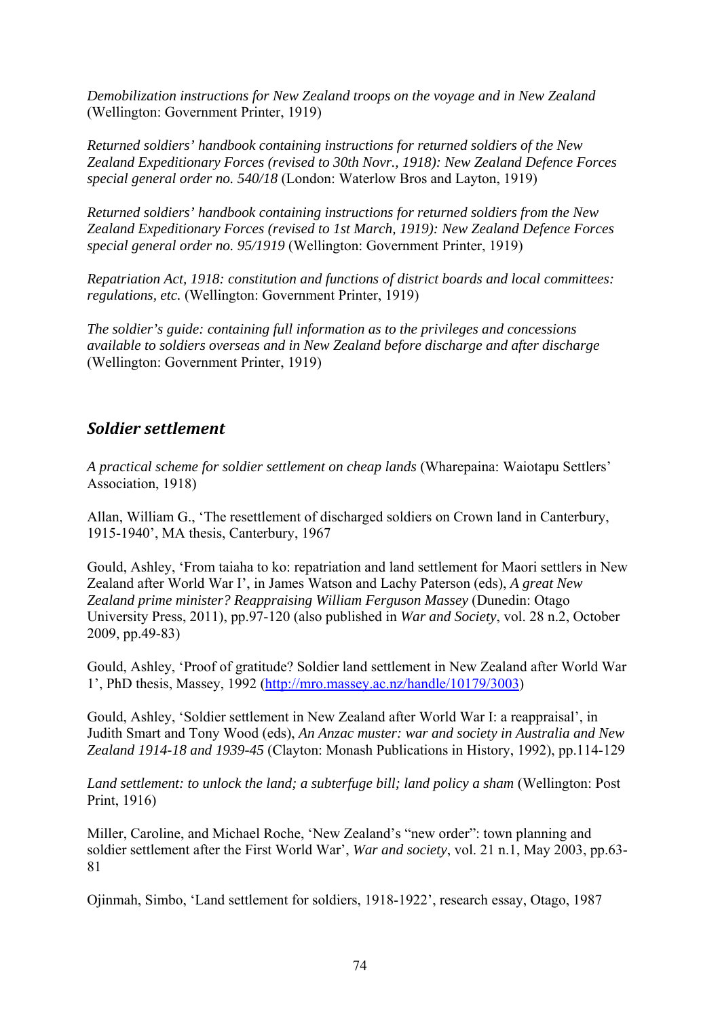*Demobilization instructions for New Zealand troops on the voyage and in New Zealand* (Wellington: Government Printer, 1919)

*Returned soldiers' handbook containing instructions for returned soldiers of the New Zealand Expeditionary Forces (revised to 30th Novr., 1918): New Zealand Defence Forces special general order no. 540/18* (London: Waterlow Bros and Layton, 1919)

*Returned soldiers' handbook containing instructions for returned soldiers from the New Zealand Expeditionary Forces (revised to 1st March, 1919): New Zealand Defence Forces special general order no. 95/1919* (Wellington: Government Printer, 1919)

*Repatriation Act, 1918: constitution and functions of district boards and local committees: regulations, etc.* (Wellington: Government Printer, 1919)

*The soldier's guide: containing full information as to the privileges and concessions available to soldiers overseas and in New Zealand before discharge and after discharge*  (Wellington: Government Printer, 1919)

### *Soldier settlement*

*A practical scheme for soldier settlement on cheap lands* (Wharepaina: Waiotapu Settlers' Association, 1918)

Allan, William G., 'The resettlement of discharged soldiers on Crown land in Canterbury, 1915-1940', MA thesis, Canterbury, 1967

Gould, Ashley, 'From taiaha to ko: repatriation and land settlement for Maori settlers in New Zealand after World War I', in James Watson and Lachy Paterson (eds), *A great New Zealand prime minister? Reappraising William Ferguson Massey* (Dunedin: Otago University Press, 2011), pp.97-120 (also published in *War and Society*, vol. 28 n.2, October 2009, pp.49-83)

Gould, Ashley, 'Proof of gratitude? Soldier land settlement in New Zealand after World War 1', PhD thesis, Massey, 1992 (http://mro.massey.ac.nz/handle/10179/3003)

Gould, Ashley, 'Soldier settlement in New Zealand after World War I: a reappraisal', in Judith Smart and Tony Wood (eds), *An Anzac muster: war and society in Australia and New Zealand 1914-18 and 1939-45* (Clayton: Monash Publications in History, 1992), pp.114-129

*Land settlement: to unlock the land; a subterfuge bill; land policy a sham* (Wellington: Post Print, 1916)

Miller, Caroline, and Michael Roche, 'New Zealand's "new order": town planning and soldier settlement after the First World War', *War and society*, vol. 21 n.1, May 2003, pp.63- 81

Ojinmah, Simbo, 'Land settlement for soldiers, 1918-1922', research essay, Otago, 1987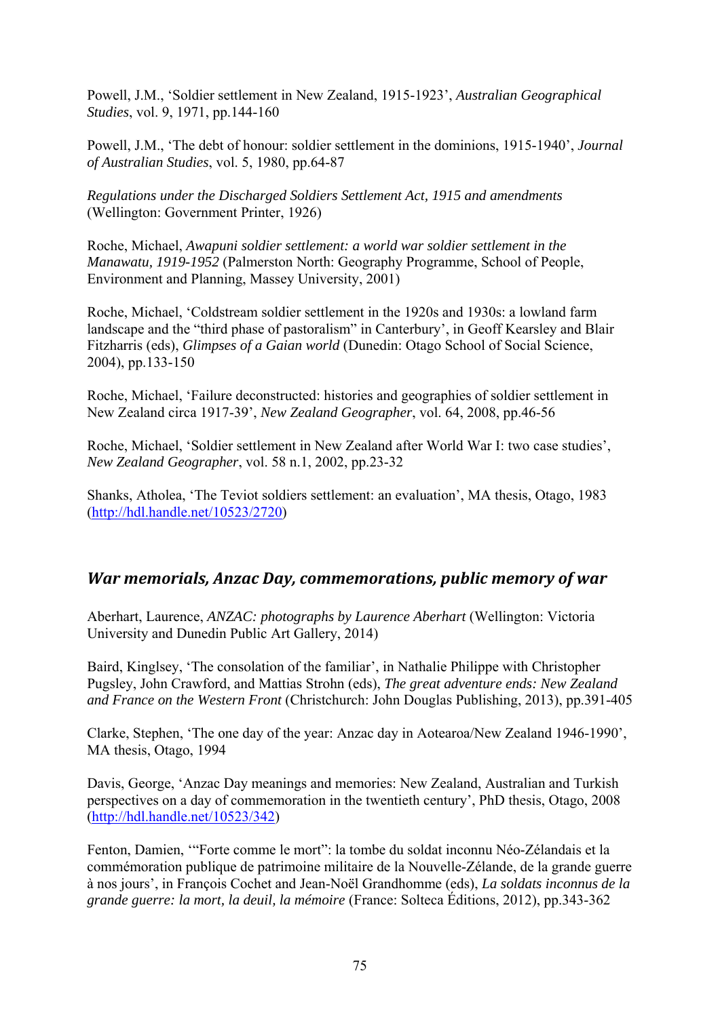Powell, J.M., 'Soldier settlement in New Zealand, 1915-1923', *Australian Geographical Studies*, vol. 9, 1971, pp.144-160

Powell, J.M., 'The debt of honour: soldier settlement in the dominions, 1915-1940', *Journal of Australian Studies*, vol. 5, 1980, pp.64-87

*Regulations under the Discharged Soldiers Settlement Act, 1915 and amendments*  (Wellington: Government Printer, 1926)

Roche, Michael, *Awapuni soldier settlement: a world war soldier settlement in the Manawatu, 1919-1952* (Palmerston North: Geography Programme, School of People, Environment and Planning, Massey University, 2001)

Roche, Michael, 'Coldstream soldier settlement in the 1920s and 1930s: a lowland farm landscape and the "third phase of pastoralism" in Canterbury', in Geoff Kearsley and Blair Fitzharris (eds), *Glimpses of a Gaian world* (Dunedin: Otago School of Social Science, 2004), pp.133-150

Roche, Michael, 'Failure deconstructed: histories and geographies of soldier settlement in New Zealand circa 1917-39', *New Zealand Geographer*, vol. 64, 2008, pp.46-56

Roche, Michael, 'Soldier settlement in New Zealand after World War I: two case studies', *New Zealand Geographer*, vol. 58 n.1, 2002, pp.23-32

Shanks, Atholea, 'The Teviot soldiers settlement: an evaluation', MA thesis, Otago, 1983 (http://hdl.handle.net/10523/2720)

### *War memorials, Anzac Day, commemorations, public memory of war*

Aberhart, Laurence, *ANZAC: photographs by Laurence Aberhart* (Wellington: Victoria University and Dunedin Public Art Gallery, 2014)

Baird, Kinglsey, 'The consolation of the familiar', in Nathalie Philippe with Christopher Pugsley, John Crawford, and Mattias Strohn (eds), *The great adventure ends: New Zealand and France on the Western Front* (Christchurch: John Douglas Publishing, 2013), pp.391-405

Clarke, Stephen, 'The one day of the year: Anzac day in Aotearoa/New Zealand 1946-1990', MA thesis, Otago, 1994

Davis, George, 'Anzac Day meanings and memories: New Zealand, Australian and Turkish perspectives on a day of commemoration in the twentieth century', PhD thesis, Otago, 2008 (http://hdl.handle.net/10523/342)

Fenton, Damien, '"Forte comme le mort": la tombe du soldat inconnu Néo-Zélandais et la commémoration publique de patrimoine militaire de la Nouvelle-Zélande, de la grande guerre à nos jours', in François Cochet and Jean-Noël Grandhomme (eds), *La soldats inconnus de la grande guerre: la mort, la deuil, la mémoire* (France: Solteca Éditions, 2012), pp.343-362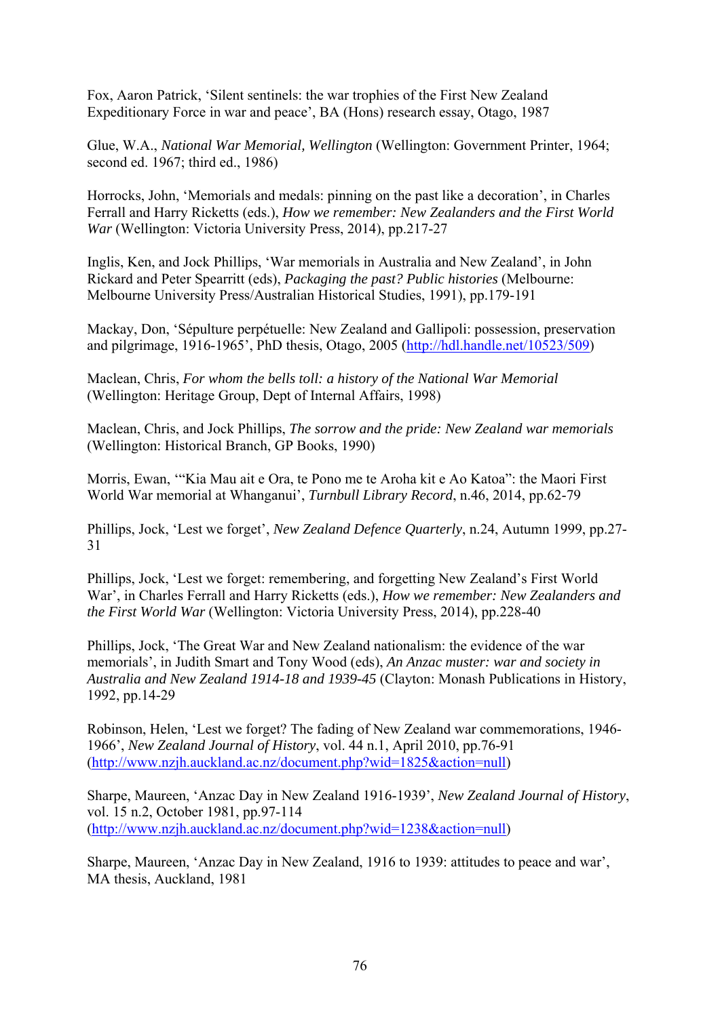Fox, Aaron Patrick, 'Silent sentinels: the war trophies of the First New Zealand Expeditionary Force in war and peace', BA (Hons) research essay, Otago, 1987

Glue, W.A., *National War Memorial, Wellington* (Wellington: Government Printer, 1964; second ed. 1967; third ed., 1986)

Horrocks, John, 'Memorials and medals: pinning on the past like a decoration', in Charles Ferrall and Harry Ricketts (eds.), *How we remember: New Zealanders and the First World War* (Wellington: Victoria University Press, 2014), pp.217-27

Inglis, Ken, and Jock Phillips, 'War memorials in Australia and New Zealand', in John Rickard and Peter Spearritt (eds), *Packaging the past? Public histories* (Melbourne: Melbourne University Press/Australian Historical Studies, 1991), pp.179-191

Mackay, Don, 'Sépulture perpétuelle: New Zealand and Gallipoli: possession, preservation and pilgrimage, 1916-1965', PhD thesis, Otago, 2005 (http://hdl.handle.net/10523/509)

Maclean, Chris, *For whom the bells toll: a history of the National War Memorial* (Wellington: Heritage Group, Dept of Internal Affairs, 1998)

Maclean, Chris, and Jock Phillips, *The sorrow and the pride: New Zealand war memorials* (Wellington: Historical Branch, GP Books, 1990)

Morris, Ewan, '"Kia Mau ait e Ora, te Pono me te Aroha kit e Ao Katoa": the Maori First World War memorial at Whanganui', *Turnbull Library Record*, n.46, 2014, pp.62-79

Phillips, Jock, 'Lest we forget', *New Zealand Defence Quarterly*, n.24, Autumn 1999, pp.27- 31

Phillips, Jock, 'Lest we forget: remembering, and forgetting New Zealand's First World War', in Charles Ferrall and Harry Ricketts (eds.), *How we remember: New Zealanders and the First World War* (Wellington: Victoria University Press, 2014), pp.228-40

Phillips, Jock, 'The Great War and New Zealand nationalism: the evidence of the war memorials', in Judith Smart and Tony Wood (eds), *An Anzac muster: war and society in Australia and New Zealand 1914-18 and 1939-45* (Clayton: Monash Publications in History, 1992, pp.14-29

Robinson, Helen, 'Lest we forget? The fading of New Zealand war commemorations, 1946- 1966', *New Zealand Journal of History*, vol. 44 n.1, April 2010, pp.76-91 (http://www.nzjh.auckland.ac.nz/document.php?wid=1825&action=null)

Sharpe, Maureen, 'Anzac Day in New Zealand 1916-1939', *New Zealand Journal of History*, vol. 15 n.2, October 1981, pp.97-114 (http://www.nzjh.auckland.ac.nz/document.php?wid=1238&action=null)

Sharpe, Maureen, 'Anzac Day in New Zealand, 1916 to 1939: attitudes to peace and war', MA thesis, Auckland, 1981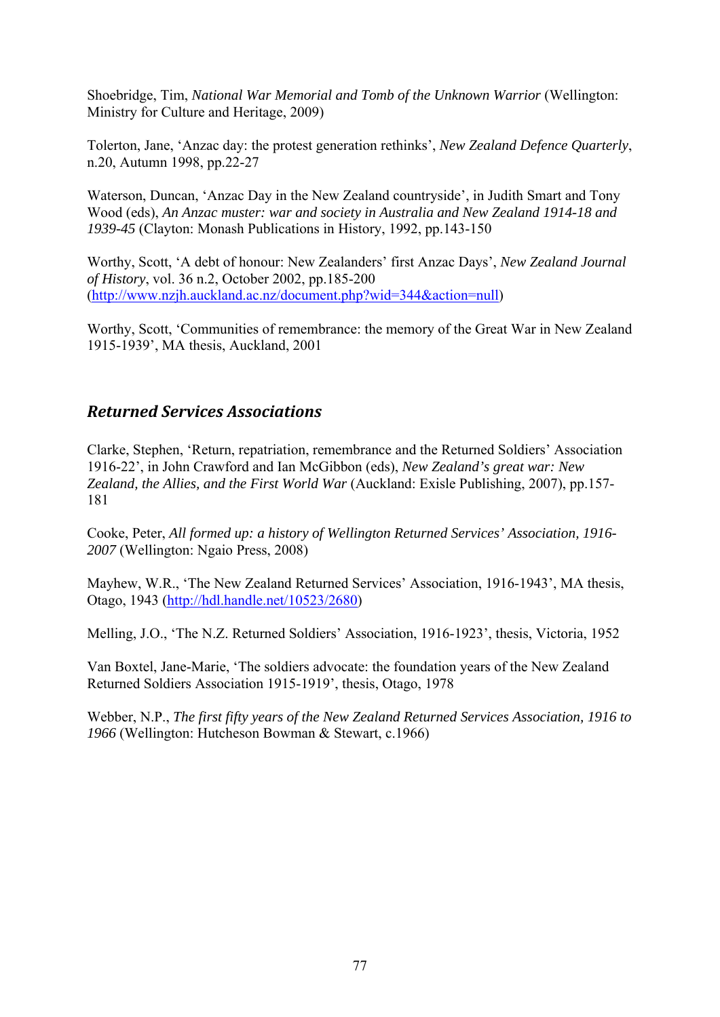Shoebridge, Tim, *National War Memorial and Tomb of the Unknown Warrior* (Wellington: Ministry for Culture and Heritage, 2009)

Tolerton, Jane, 'Anzac day: the protest generation rethinks', *New Zealand Defence Quarterly*, n.20, Autumn 1998, pp.22-27

Waterson, Duncan, 'Anzac Day in the New Zealand countryside', in Judith Smart and Tony Wood (eds), *An Anzac muster: war and society in Australia and New Zealand 1914-18 and 1939-45* (Clayton: Monash Publications in History, 1992, pp.143-150

Worthy, Scott, 'A debt of honour: New Zealanders' first Anzac Days', *New Zealand Journal of History*, vol. 36 n.2, October 2002, pp.185-200 (http://www.nzjh.auckland.ac.nz/document.php?wid=344&action=null)

Worthy, Scott, 'Communities of remembrance: the memory of the Great War in New Zealand 1915-1939', MA thesis, Auckland, 2001

## *Returned Services Associations*

Clarke, Stephen, 'Return, repatriation, remembrance and the Returned Soldiers' Association 1916-22', in John Crawford and Ian McGibbon (eds), *New Zealand's great war: New Zealand, the Allies, and the First World War* (Auckland: Exisle Publishing, 2007), pp.157- 181

Cooke, Peter, *All formed up: a history of Wellington Returned Services' Association, 1916- 2007* (Wellington: Ngaio Press, 2008)

Mayhew, W.R., 'The New Zealand Returned Services' Association, 1916-1943', MA thesis, Otago, 1943 (http://hdl.handle.net/10523/2680)

Melling, J.O., 'The N.Z. Returned Soldiers' Association, 1916-1923', thesis, Victoria, 1952

Van Boxtel, Jane-Marie, 'The soldiers advocate: the foundation years of the New Zealand Returned Soldiers Association 1915-1919', thesis, Otago, 1978

Webber, N.P., *The first fifty years of the New Zealand Returned Services Association, 1916 to 1966* (Wellington: Hutcheson Bowman & Stewart, c.1966)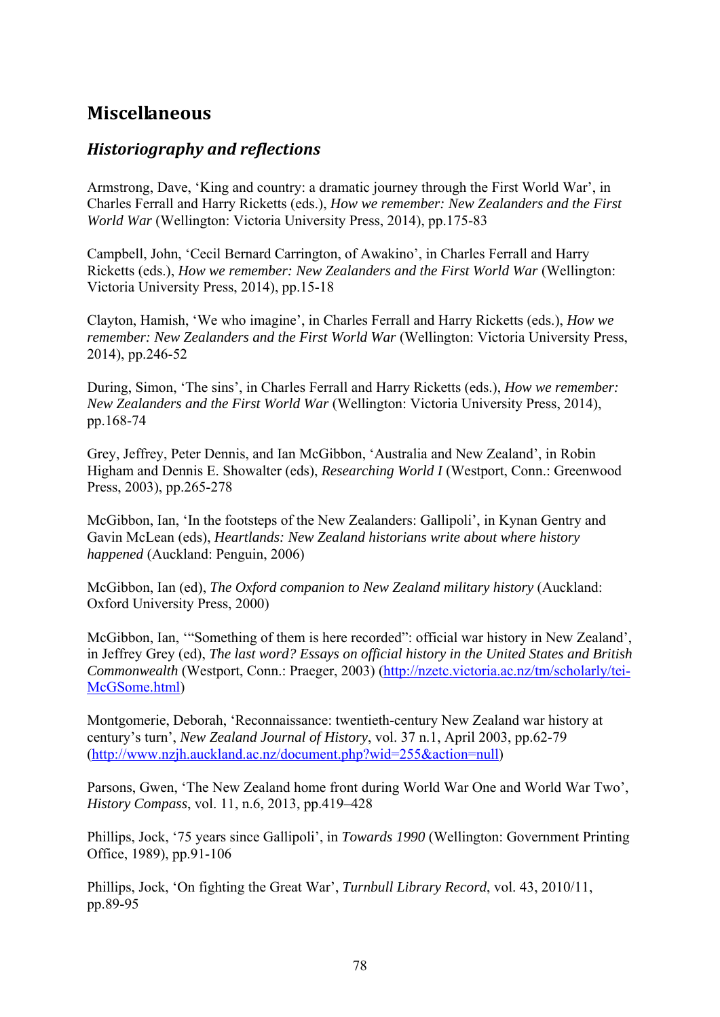# **Miscellaneous**

## *Historiography and reflections*

Armstrong, Dave, 'King and country: a dramatic journey through the First World War', in Charles Ferrall and Harry Ricketts (eds.), *How we remember: New Zealanders and the First World War* (Wellington: Victoria University Press, 2014), pp.175-83

Campbell, John, 'Cecil Bernard Carrington, of Awakino', in Charles Ferrall and Harry Ricketts (eds.), *How we remember: New Zealanders and the First World War* (Wellington: Victoria University Press, 2014), pp.15-18

Clayton, Hamish, 'We who imagine', in Charles Ferrall and Harry Ricketts (eds.), *How we remember: New Zealanders and the First World War* (Wellington: Victoria University Press, 2014), pp.246-52

During, Simon, 'The sins', in Charles Ferrall and Harry Ricketts (eds.), *How we remember: New Zealanders and the First World War* (Wellington: Victoria University Press, 2014), pp.168-74

Grey, Jeffrey, Peter Dennis, and Ian McGibbon, 'Australia and New Zealand', in Robin Higham and Dennis E. Showalter (eds), *Researching World I* (Westport, Conn.: Greenwood Press, 2003), pp.265-278

McGibbon, Ian, 'In the footsteps of the New Zealanders: Gallipoli', in Kynan Gentry and Gavin McLean (eds), *Heartlands: New Zealand historians write about where history happened* (Auckland: Penguin, 2006)

McGibbon, Ian (ed), *The Oxford companion to New Zealand military history* (Auckland: Oxford University Press, 2000)

McGibbon, Ian, '"Something of them is here recorded": official war history in New Zealand', in Jeffrey Grey (ed), *The last word? Essays on official history in the United States and British Commonwealth* (Westport, Conn.: Praeger, 2003) (http://nzetc.victoria.ac.nz/tm/scholarly/tei-McGSome.html)

Montgomerie, Deborah, 'Reconnaissance: twentieth-century New Zealand war history at century's turn', *New Zealand Journal of History*, vol. 37 n.1, April 2003, pp.62-79 (http://www.nzjh.auckland.ac.nz/document.php?wid=255&action=null)

Parsons, Gwen, 'The New Zealand home front during World War One and World War Two', *History Compass*, vol. 11, n.6, 2013, pp.419–428

Phillips, Jock, '75 years since Gallipoli', in *Towards 1990* (Wellington: Government Printing Office, 1989), pp.91-106

Phillips, Jock, 'On fighting the Great War', *Turnbull Library Record*, vol. 43, 2010/11, pp.89-95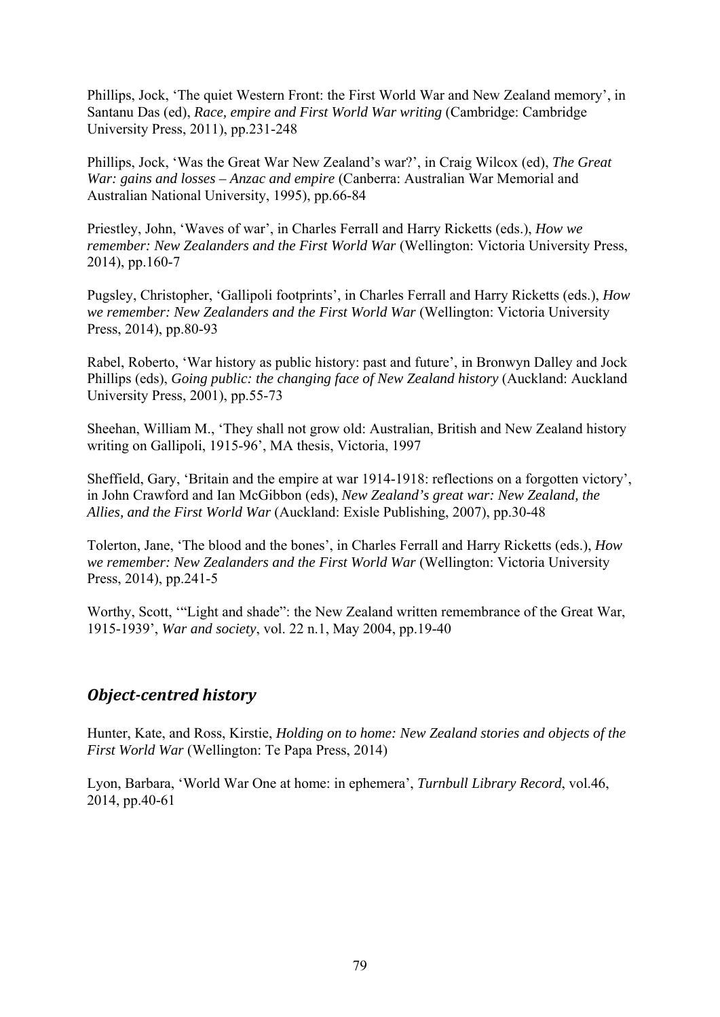Phillips, Jock, 'The quiet Western Front: the First World War and New Zealand memory', in Santanu Das (ed), *Race, empire and First World War writing* (Cambridge: Cambridge University Press, 2011), pp.231-248

Phillips, Jock, 'Was the Great War New Zealand's war?', in Craig Wilcox (ed), *The Great War: gains and losses – Anzac and empire* (Canberra: Australian War Memorial and Australian National University, 1995), pp.66-84

Priestley, John, 'Waves of war', in Charles Ferrall and Harry Ricketts (eds.), *How we remember: New Zealanders and the First World War* (Wellington: Victoria University Press, 2014), pp.160-7

Pugsley, Christopher, 'Gallipoli footprints', in Charles Ferrall and Harry Ricketts (eds.), *How we remember: New Zealanders and the First World War* (Wellington: Victoria University Press, 2014), pp.80-93

Rabel, Roberto, 'War history as public history: past and future', in Bronwyn Dalley and Jock Phillips (eds), *Going public: the changing face of New Zealand history* (Auckland: Auckland University Press, 2001), pp.55-73

Sheehan, William M., 'They shall not grow old: Australian, British and New Zealand history writing on Gallipoli, 1915-96', MA thesis, Victoria, 1997

Sheffield, Gary, 'Britain and the empire at war 1914-1918: reflections on a forgotten victory', in John Crawford and Ian McGibbon (eds), *New Zealand's great war: New Zealand, the Allies, and the First World War* (Auckland: Exisle Publishing, 2007), pp.30-48

Tolerton, Jane, 'The blood and the bones', in Charles Ferrall and Harry Ricketts (eds.), *How we remember: New Zealanders and the First World War* (Wellington: Victoria University Press, 2014), pp.241-5

Worthy, Scott, '"Light and shade": the New Zealand written remembrance of the Great War, 1915-1939', *War and society*, vol. 22 n.1, May 2004, pp.19-40

### *Object‐centred history*

Hunter, Kate, and Ross, Kirstie, *Holding on to home: New Zealand stories and objects of the First World War* (Wellington: Te Papa Press, 2014)

Lyon, Barbara, 'World War One at home: in ephemera', *Turnbull Library Record*, vol.46, 2014, pp.40-61